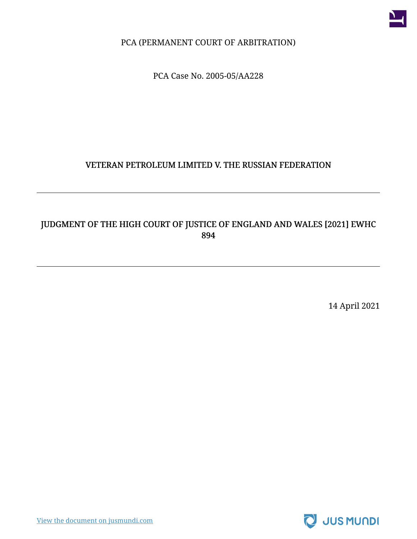

PCA (PERMANENT COURT OF ARBITRATION)

PCA Case No. 2005-05/AA228

#### VETERAN PETROLEUM LIMITED V. THE RUSSIAN FEDERATION

#### JUDGMENT OF THE HIGH COURT OF JUSTICE OF ENGLAND AND WALES [2021] EWHC 894

14 April 2021

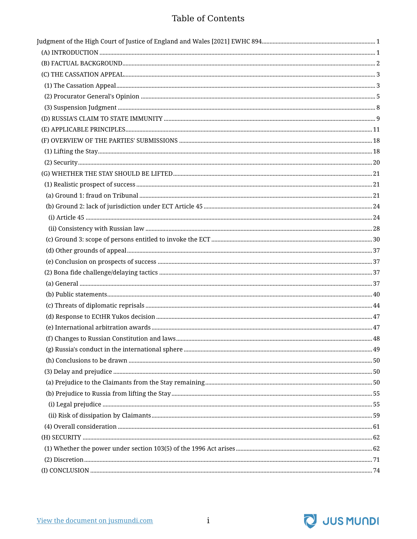#### **Table of Contents**

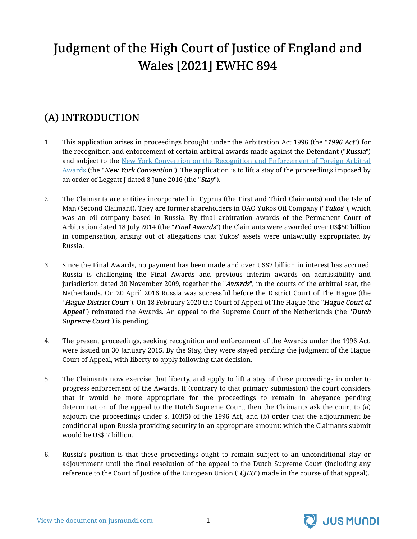# <span id="page-2-0"></span>Judgment of the High Court of Justice of England and Wales [2021] EWHC 894

### <span id="page-2-1"></span>(A) INTRODUCTION

- 1. This application arises in proceedings brought under the Arbitration Act 1996 (the "1996 Act") for the recognition and enforcement of certain arbitral awards made against the Defendant ("Russia") and subject to the [New York Convention on the Recognition and Enforcement of Foreign Arbitral](https://jusmundi.com/en/document/h/QU40cHZUZkJRUURFNUNJWUNndHJFdFdrdHhZSWZBTE04d2NyNTNwTzd2V2duWUJtOHZza3ltZUJSaUhVNXdFOExaYVowY0tWcnZHNGM1NHE3aHVGSmExb3B0MjRsUXpSazdZZk9PM0hHNWpvL2RJWTdHY3VBam44cllUUTc3bDF6TWkwY1ZCOXI5RGg5S0ZhRmN3WlBIeThCSGZUalVXUU9EQ2c1bGpHYWhremdFdjZoYVFraTFaeWMzQTcydEtabEdUa0tPUkJRVm0rTEJDZGF0SU9ZQT09) [Awards](https://jusmundi.com/en/document/h/QU40cHZUZkJRUURFNUNJWUNndHJFdFdrdHhZSWZBTE04d2NyNTNwTzd2V2duWUJtOHZza3ltZUJSaUhVNXdFOExaYVowY0tWcnZHNGM1NHE3aHVGSmExb3B0MjRsUXpSazdZZk9PM0hHNWpvL2RJWTdHY3VBam44cllUUTc3bDF6TWkwY1ZCOXI5RGg5S0ZhRmN3WlBIeThCSGZUalVXUU9EQ2c1bGpHYWhremdFdjZoYVFraTFaeWMzQTcydEtabEdUa0tPUkJRVm0rTEJDZGF0SU9ZQT09) (the "New York Convention"). The application is to lift a stay of the proceedings imposed by an order of Leggatt J dated 8 June 2016 (the "Stay").
- 2. The Claimants are entities incorporated in Cyprus (the First and Third Claimants) and the Isle of Man (Second Claimant). They are former shareholders in OAO Yukos Oil Company ("Yukos"), which was an oil company based in Russia. By final arbitration awards of the Permanent Court of Arbitration dated 18 July 2014 (the "*Final Awards*") the Claimants were awarded over US\$50 billion in compensation, arising out of allegations that Yukos' assets were unlawfully expropriated by Russia.
- 3. Since the Final Awards, no payment has been made and over US\$7 billion in interest has accrued. Russia is challenging the Final Awards and previous interim awards on admissibility and jurisdiction dated 30 November 2009, together the "Awards", in the courts of the arbitral seat, the Netherlands. On 20 April 2016 Russia was successful before the District Court of The Hague (the "Hague District Court"). On 18 February 2020 the Court of Appeal of The Hague (the "Hague Court of Appeal") reinstated the Awards. An appeal to the Supreme Court of the Netherlands (the "Dutch Supreme Court") is pending.
- 4. The present proceedings, seeking recognition and enforcement of the Awards under the 1996 Act, were issued on 30 January 2015. By the Stay, they were stayed pending the judgment of the Hague Court of Appeal, with liberty to apply following that decision.
- 5. The Claimants now exercise that liberty, and apply to lift a stay of these proceedings in order to progress enforcement of the Awards. If (contrary to that primary submission) the court considers that it would be more appropriate for the proceedings to remain in abeyance pending determination of the appeal to the Dutch Supreme Court, then the Claimants ask the court to (a) adjourn the proceedings under s. 103(5) of the 1996 Act, and (b) order that the adjournment be conditional upon Russia providing security in an appropriate amount: which the Claimants submit would be US\$ 7 billion.
- 6. Russia's position is that these proceedings ought to remain subject to an unconditional stay or adjournment until the final resolution of the appeal to the Dutch Supreme Court (including any reference to the Court of Justice of the European Union ("CJEU") made in the course of that appeal).



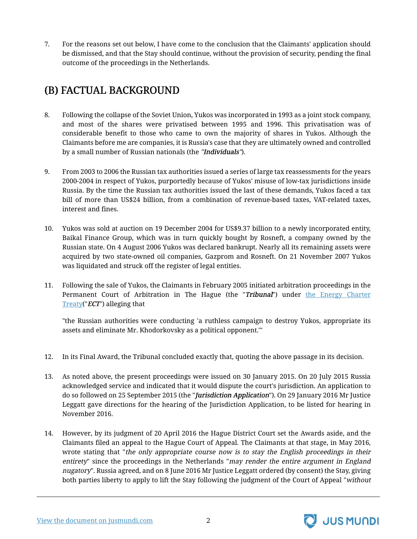7. For the reasons set out below, I have come to the conclusion that the Claimants' application should be dismissed, and that the Stay should continue, without the provision of security, pending the final outcome of the proceedings in the Netherlands.

#### <span id="page-3-0"></span>(B) FACTUAL BACKGROUND

- 8. Following the collapse of the Soviet Union, Yukos was incorporated in 1993 as a joint stock company, and most of the shares were privatised between 1995 and 1996. This privatisation was of considerable benefit to those who came to own the majority of shares in Yukos. Although the Claimants before me are companies, it is Russia's case that they are ultimately owned and controlled by a small number of Russian nationals (the "Individuals").
- 9. From 2003 to 2006 the Russian tax authorities issued a series of large tax reassessments for the years 2000-2004 in respect of Yukos, purportedly because of Yukos' misuse of low-tax jurisdictions inside Russia. By the time the Russian tax authorities issued the last of these demands, Yukos faced a tax bill of more than US\$24 billion, from a combination of revenue-based taxes, VAT-related taxes, interest and fines.
- 10. Yukos was sold at auction on 19 December 2004 for US\$9.37 billion to a newly incorporated entity, Baikal Finance Group, which was in turn quickly bought by Rosneft, a company owned by the Russian state. On 4 August 2006 Yukos was declared bankrupt. Nearly all its remaining assets were acquired by two state-owned oil companies, Gazprom and Rosneft. On 21 November 2007 Yukos was liquidated and struck off the register of legal entities.
- 11. Following the sale of Yukos, the Claimants in February 2005 initiated arbitration proceedings in the Permanent Court of Arbitration in The Hague (the "Tribunal") under [the Energy Charter](https://jusmundi.com/en/document/h/clljWVJHbGxISEg0VUZMdWNJazE2TnJ3Mmxwb2NlQ1R3cmNjQXR1UDFhaUg5bDhhczBqUjlmYmVtWWhITFNjK3dCV0JaSFlDK3BFbFIyL0xvSHhiR2sxdnZtV2R3TDJsQUR2Q0hoUUhPeWgvdVNQMWZac3FEZFU2cERHQXJzMTc=) [Treaty](https://jusmundi.com/en/document/h/clljWVJHbGxISEg0VUZMdWNJazE2TnJ3Mmxwb2NlQ1R3cmNjQXR1UDFhaUg5bDhhczBqUjlmYmVtWWhITFNjK3dCV0JaSFlDK3BFbFIyL0xvSHhiR2sxdnZtV2R3TDJsQUR2Q0hoUUhPeWgvdVNQMWZac3FEZFU2cERHQXJzMTc=)("ECT") alleging that

"the Russian authorities were conducting 'a ruthless campaign to destroy Yukos, appropriate its assets and eliminate Mr. Khodorkovsky as a political opponent.'"

- 12. In its Final Award, the Tribunal concluded exactly that, quoting the above passage in its decision.
- 13. As noted above, the present proceedings were issued on 30 January 2015. On 20 July 2015 Russia acknowledged service and indicated that it would dispute the court's jurisdiction. An application to do so followed on 25 September 2015 (the "Jurisdiction Application"). On 29 January 2016 Mr Justice Leggatt gave directions for the hearing of the Jurisdiction Application, to be listed for hearing in November 2016.
- 14. However, by its judgment of 20 April 2016 the Hague District Court set the Awards aside, and the Claimants filed an appeal to the Hague Court of Appeal. The Claimants at that stage, in May 2016, wrote stating that "the only appropriate course now is to stay the English proceedings in their entirety" since the proceedings in the Netherlands "may render the entire argument in England nugatory". Russia agreed, and on 8 June 2016 Mr Justice Leggatt ordered (by consent) the Stay, giving both parties liberty to apply to lift the Stay following the judgment of the Court of Appeal "without



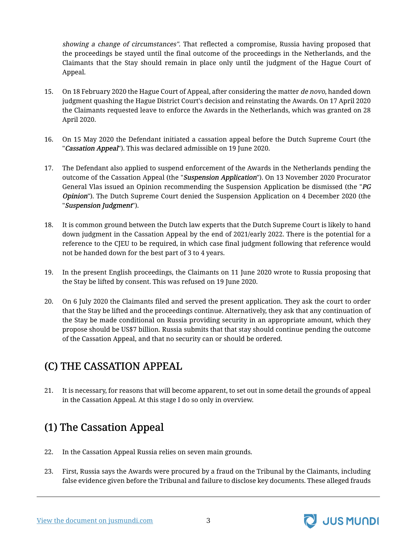showing a change of circumstances". That reflected a compromise, Russia having proposed that the proceedings be stayed until the final outcome of the proceedings in the Netherlands, and the Claimants that the Stay should remain in place only until the judgment of the Hague Court of Appeal.

- 15. On 18 February 2020 the Hague Court of Appeal, after considering the matter de novo, handed down judgment quashing the Hague District Court's decision and reinstating the Awards. On 17 April 2020 the Claimants requested leave to enforce the Awards in the Netherlands, which was granted on 28 April 2020.
- 16. On 15 May 2020 the Defendant initiated a cassation appeal before the Dutch Supreme Court (the "Cassation Appeal"). This was declared admissible on 19 June 2020.
- 17. The Defendant also applied to suspend enforcement of the Awards in the Netherlands pending the outcome of the Cassation Appeal (the "Suspension Application"). On 13 November 2020 Procurator General Vlas issued an Opinion recommending the Suspension Application be dismissed (the "PG Opinion"). The Dutch Supreme Court denied the Suspension Application on 4 December 2020 (the "Suspension Judgment").
- 18. It is common ground between the Dutch law experts that the Dutch Supreme Court is likely to hand down judgment in the Cassation Appeal by the end of 2021/early 2022. There is the potential for a reference to the CJEU to be required, in which case final judgment following that reference would not be handed down for the best part of 3 to 4 years.
- 19. In the present English proceedings, the Claimants on 11 June 2020 wrote to Russia proposing that the Stay be lifted by consent. This was refused on 19 June 2020.
- 20. On 6 July 2020 the Claimants filed and served the present application. They ask the court to order that the Stay be lifted and the proceedings continue. Alternatively, they ask that any continuation of the Stay be made conditional on Russia providing security in an appropriate amount, which they propose should be US\$7 billion. Russia submits that that stay should continue pending the outcome of the Cassation Appeal, and that no security can or should be ordered.

#### <span id="page-4-0"></span>(C) THE CASSATION APPEAL

21. It is necessary, for reasons that will become apparent, to set out in some detail the grounds of appeal in the Cassation Appeal. At this stage I do so only in overview.

## <span id="page-4-1"></span>(1) The Cassation Appeal

- 22. In the Cassation Appeal Russia relies on seven main grounds.
- 23. First, Russia says the Awards were procured by a fraud on the Tribunal by the Claimants, including false evidence given before the Tribunal and failure to disclose key documents. These alleged frauds

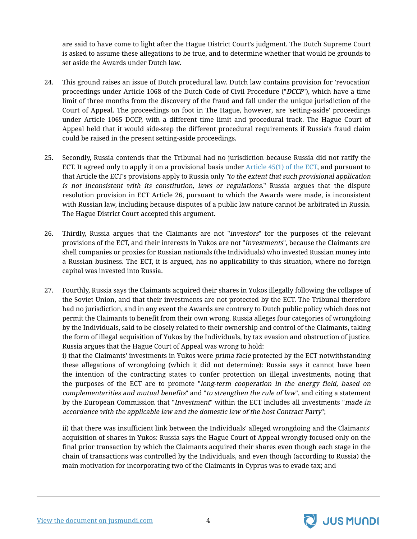are said to have come to light after the Hague District Court's judgment. The Dutch Supreme Court is asked to assume these allegations to be true, and to determine whether that would be grounds to set aside the Awards under Dutch law.

- 24. This ground raises an issue of Dutch procedural law. Dutch law contains provision for 'revocation' proceedings under Article 1068 of the Dutch Code of Civil Procedure ("DCCP"), which have a time limit of three months from the discovery of the fraud and fall under the unique jurisdiction of the Court of Appeal. The proceedings on foot in The Hague, however, are 'setting-aside' proceedings under Article 1065 DCCP, with a different time limit and procedural track. The Hague Court of Appeal held that it would side-step the different procedural requirements if Russia's fraud claim could be raised in the present setting-aside proceedings.
- 25. Secondly, Russia contends that the Tribunal had no jurisdiction because Russia did not ratify the ECT. It agreed only to apply it on a provisional basis under [Article 45\(1\) of the ECT](https://jusmundi.com/en/document/h/clljWVJHbGxISEg0VUZMdWNJazE2TnJ3Mmxwb2NlQ1R3cmNjQXR1UDFhaUg5bDhhczBqUjlmYmVtWWhITFNjK3dCV0JaSFlDK3BFbFIyL0xvSHhiR2sxdnZtV2R3TDJsQUR2Q0hoUUhPeWlwUFRXK0ZmSTJDNUVyTytCd1RRNTNjZ05Tdy9FMGVhb3p3Ky9uOE9DSXdBPT0=), and pursuant to that Article the ECT's provisions apply to Russia only "to the extent that such provisional application is not inconsistent with its constitution, laws or regulations." Russia argues that the dispute resolution provision in ECT Article 26, pursuant to which the Awards were made, is inconsistent with Russian law, including because disputes of a public law nature cannot be arbitrated in Russia. The Hague District Court accepted this argument.
- 26. Thirdly, Russia argues that the Claimants are not "investors" for the purposes of the relevant provisions of the ECT, and their interests in Yukos are not "investments", because the Claimants are shell companies or proxies for Russian nationals (the Individuals) who invested Russian money into a Russian business. The ECT, it is argued, has no applicability to this situation, where no foreign capital was invested into Russia.
- 27. Fourthly, Russia says the Claimants acquired their shares in Yukos illegally following the collapse of the Soviet Union, and that their investments are not protected by the ECT. The Tribunal therefore had no jurisdiction, and in any event the Awards are contrary to Dutch public policy which does not permit the Claimants to benefit from their own wrong. Russia alleges four categories of wrongdoing by the Individuals, said to be closely related to their ownership and control of the Claimants, taking the form of illegal acquisition of Yukos by the Individuals, by tax evasion and obstruction of justice. Russia argues that the Hague Court of Appeal was wrong to hold:

i) that the Claimants' investments in Yukos were *prima facie* protected by the ECT notwithstanding these allegations of wrongdoing (which it did not determine): Russia says it cannot have been the intention of the contracting states to confer protection on illegal investments, noting that the purposes of the ECT are to promote "long-term cooperation in the energy field, based on complementarities and mutual benefits" and "to strengthen the rule of law", and citing a statement by the European Commission that "Investment" within the ECT includes all investments "made in accordance with the applicable law and the domestic law of the host Contract Party";

ii) that there was insufficient link between the Individuals' alleged wrongdoing and the Claimants' acquisition of shares in Yukos: Russia says the Hague Court of Appeal wrongly focused only on the final prior transaction by which the Claimants acquired their shares even though each stage in the chain of transactions was controlled by the Individuals, and even though (according to Russia) the main motivation for incorporating two of the Claimants in Cyprus was to evade tax; and

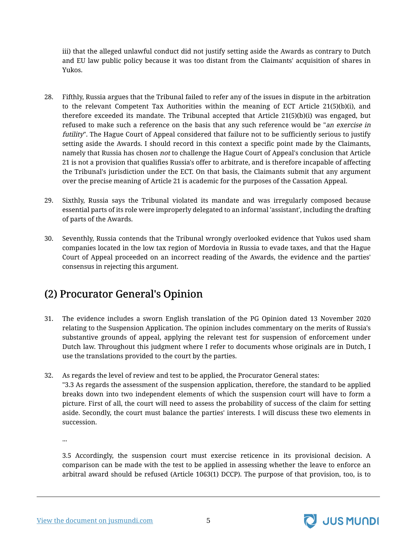iii) that the alleged unlawful conduct did not justify setting aside the Awards as contrary to Dutch and EU law public policy because it was too distant from the Claimants' acquisition of shares in Yukos.

- 28. Fifthly, Russia argues that the Tribunal failed to refer any of the issues in dispute in the arbitration to the relevant Competent Tax Authorities within the meaning of ECT Article 21(5)(b)(i), and therefore exceeded its mandate. The Tribunal accepted that Article 21(5)(b)(i) was engaged, but refused to make such a reference on the basis that any such reference would be "an exercise in futility". The Hague Court of Appeal considered that failure not to be sufficiently serious to justify setting aside the Awards. I should record in this context a specific point made by the Claimants, namely that Russia has chosen not to challenge the Hague Court of Appeal's conclusion that Article 21 is not a provision that qualifies Russia's offer to arbitrate, and is therefore incapable of affecting the Tribunal's jurisdiction under the ECT. On that basis, the Claimants submit that any argument over the precise meaning of Article 21 is academic for the purposes of the Cassation Appeal.
- 29. Sixthly, Russia says the Tribunal violated its mandate and was irregularly composed because essential parts of its role were improperly delegated to an informal 'assistant', including the drafting of parts of the Awards.
- 30. Seventhly, Russia contends that the Tribunal wrongly overlooked evidence that Yukos used sham companies located in the low tax region of Mordovia in Russia to evade taxes, and that the Hague Court of Appeal proceeded on an incorrect reading of the Awards, the evidence and the parties' consensus in rejecting this argument.

#### <span id="page-6-0"></span>(2) Procurator General's Opinion

- 31. The evidence includes a sworn English translation of the PG Opinion dated 13 November 2020 relating to the Suspension Application. The opinion includes commentary on the merits of Russia's substantive grounds of appeal, applying the relevant test for suspension of enforcement under Dutch law. Throughout this judgment where I refer to documents whose originals are in Dutch, I use the translations provided to the court by the parties.
- 32. As regards the level of review and test to be applied, the Procurator General states: "3.3 As regards the assessment of the suspension application, therefore, the standard to be applied breaks down into two independent elements of which the suspension court will have to form a picture. First of all, the court will need to assess the probability of success of the claim for setting aside. Secondly, the court must balance the parties' interests. I will discuss these two elements in succession.

...

3.5 Accordingly, the suspension court must exercise reticence in its provisional decision. A comparison can be made with the test to be applied in assessing whether the leave to enforce an arbitral award should be refused (Article 1063(1) DCCP). The purpose of that provision, too, is to

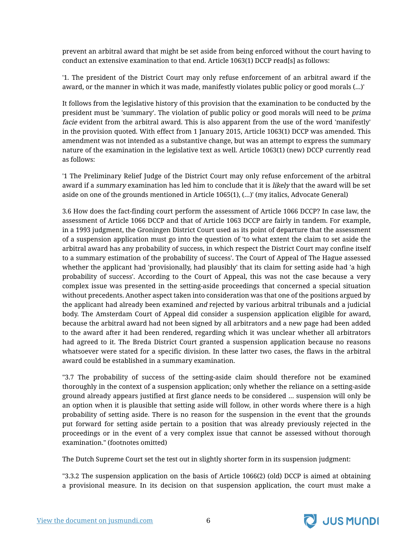prevent an arbitral award that might be set aside from being enforced without the court having to conduct an extensive examination to that end. Article 1063(1) DCCP read[s] as follows:

'1. The president of the District Court may only refuse enforcement of an arbitral award if the award, or the manner in which it was made, manifestly violates public policy or good morals (…)'

It follows from the legislative history of this provision that the examination to be conducted by the president must be 'summary'. The violation of public policy or good morals will need to be prima facie evident from the arbitral award. This is also apparent from the use of the word 'manifestly' in the provision quoted. With effect from 1 January 2015, Article 1063(1) DCCP was amended. This amendment was not intended as a substantive change, but was an attempt to express the summary nature of the examination in the legislative text as well. Article 1063(1) (new) DCCP currently read as follows:

'1 The Preliminary Relief Judge of the District Court may only refuse enforcement of the arbitral award if a summary examination has led him to conclude that it is likely that the award will be set aside on one of the grounds mentioned in Article 1065(1), (…)' (my italics, Advocate General)

3.6 How does the fact-finding court perform the assessment of Article 1066 DCCP? In case law, the assessment of Article 1066 DCCP and that of Article 1063 DCCP are fairly in tandem. For example, in a 1993 judgment, the Groningen District Court used as its point of departure that the assessment of a suspension application must go into the question of 'to what extent the claim to set aside the arbitral award has any probability of success, in which respect the District Court may confine itself to a summary estimation of the probability of success'. The Court of Appeal of The Hague assessed whether the applicant had 'provisionally, had plausibly' that its claim for setting aside had 'a high probability of success'. According to the Court of Appeal, this was not the case because a very complex issue was presented in the setting-aside proceedings that concerned a special situation without precedents. Another aspect taken into consideration was that one of the positions argued by the applicant had already been examined *and* rejected by various arbitral tribunals and a judicial body. The Amsterdam Court of Appeal did consider a suspension application eligible for award, because the arbitral award had not been signed by all arbitrators and a new page had been added to the award after it had been rendered, regarding which it was unclear whether all arbitrators had agreed to it. The Breda District Court granted a suspension application because no reasons whatsoever were stated for a specific division. In these latter two cases, the flaws in the arbitral award could be established in a summary examination.

"3.7 The probability of success of the setting-aside claim should therefore not be examined thoroughly in the context of a suspension application; only whether the reliance on a setting-aside ground already appears justified at first glance needs to be considered … suspension will only be an option when it is plausible that setting aside will follow, in other words where there is a high probability of setting aside. There is no reason for the suspension in the event that the grounds put forward for setting aside pertain to a position that was already previously rejected in the proceedings or in the event of a very complex issue that cannot be assessed without thorough examination." (footnotes omitted)

The Dutch Supreme Court set the test out in slightly shorter form in its suspension judgment:

"3.3.2 The suspension application on the basis of Article 1066(2) (old) DCCP is aimed at obtaining a provisional measure. In its decision on that suspension application, the court must make a

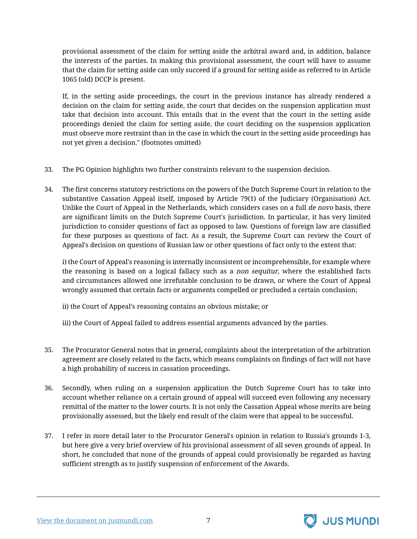provisional assessment of the claim for setting aside the arbitral award and, in addition, balance the interests of the parties. In making this provisional assessment, the court will have to assume that the claim for setting aside can only succeed if a ground for setting aside as referred to in Article 1065 (old) DCCP is present.

If, in the setting aside proceedings, the court in the previous instance has already rendered a decision on the claim for setting aside, the court that decides on the suspension application must take that decision into account. This entails that in the event that the court in the setting aside proceedings denied the claim for setting aside, the court deciding on the suspension application must observe more restraint than in the case in which the court in the setting aside proceedings has not yet given a decision." (footnotes omitted)

- 33. The PG Opinion highlights two further constraints relevant to the suspension decision.
- 34. The first concerns statutory restrictions on the powers of the Dutch Supreme Court in relation to the substantive Cassation Appeal itself, imposed by Article 79(1) of the Judiciary (Organisation) Act. Unlike the Court of Appeal in the Netherlands, which considers cases on a full de novo basis, there are significant limits on the Dutch Supreme Court's jurisdiction. In particular, it has very limited jurisdiction to consider questions of fact as opposed to law. Questions of foreign law are classified for these purposes as questions of fact. As a result, the Supreme Court can review the Court of Appeal's decision on questions of Russian law or other questions of fact only to the extent that:

i) the Court of Appeal's reasoning is internally inconsistent or incomprehensible, for example where the reasoning is based on a logical fallacy such as a non sequitur, where the established facts and circumstances allowed one irrefutable conclusion to be drawn, or where the Court of Appeal wrongly assumed that certain facts or arguments compelled or precluded a certain conclusion;

ii) the Court of Appeal's reasoning contains an obvious mistake; or

iii) the Court of Appeal failed to address essential arguments advanced by the parties.

- 35. The Procurator General notes that in general, complaints about the interpretation of the arbitration agreement are closely related to the facts, which means complaints on findings of fact will not have a high probability of success in cassation proceedings.
- 36. Secondly, when ruling on a suspension application the Dutch Supreme Court has to take into account whether reliance on a certain ground of appeal will succeed even following any necessary remittal of the matter to the lower courts. It is not only the Cassation Appeal whose merits are being provisionally assessed, but the likely end result of the claim were that appeal to be successful.
- 37. I refer in more detail later to the Procurator General's opinion in relation to Russia's grounds 1-3, but here give a very brief overview of his provisional assessment of all seven grounds of appeal. In short, he concluded that none of the grounds of appeal could provisionally be regarded as having sufficient strength as to justify suspension of enforcement of the Awards.

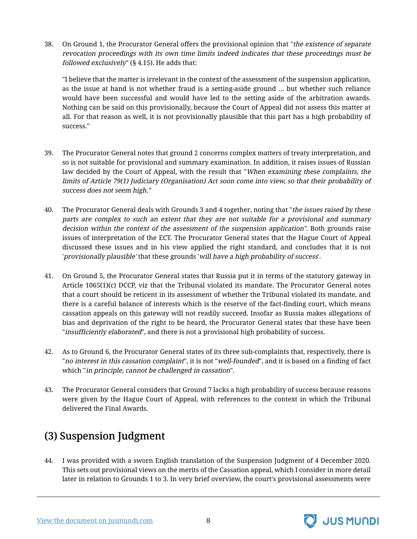38. On Ground 1, the Procurator General offers the provisional opinion that "the existence of separate revocation proceedings with its own time limits indeed indicates that these proceedings must be followed exclusively" (§ 4.15). He adds that:

"I believe that the matter is irrelevant in the context of the assessment of the suspension application, as the issue at hand is not whether fraud is a setting-aside ground … but whether such reliance would have been successful and would have led to the setting aside of the arbitration awards. Nothing can be said on this provisionally, because the Court of Appeal did not assess this matter at all. For that reason as well, it is not provisionally plausible that this part has a high probability of success."

- 39. The Procurator General notes that ground 2 concerns complex matters of treaty interpretation, and so is not suitable for provisional and summary examination. In addition, it raises issues of Russian law decided by the Court of Appeal, with the result that "When examining these complaints, the limits of Article 79(1) Judiciary (Organisation) Act soon come into view, so that their probability of success does not seem high."
- 40. The Procurator General deals with Grounds 3 and 4 together, noting that "the issues raised by these parts are complex to such an extent that they are not suitable for <sup>a</sup> provisional and summary decision within the context of the assessment of the suspension application". Both grounds raise issues of interpretation of the ECT. The Procurator General states that the Hague Court of Appeal discussed these issues and in his view applied the right standard, and concludes that it is not 'provisionally plausible' that these grounds 'will have a high probability of success'.
- 41. On Ground 5, the Procurator General states that Russia put it in terms of the statutory gateway in Article 1065(1)(c) DCCP, viz that the Tribunal violated its mandate. The Procurator General notes that a court should be reticent in its assessment of whether the Tribunal violated its mandate, and there is a careful balance of interests which is the reserve of the fact-finding court, which means cassation appeals on this gateway will not readily succeed. Insofar as Russia makes allegations of bias and deprivation of the right to be heard, the Procurator General states that these have been "insufficiently elaborated", and there is not a provisional high probability of success.
- 42. As to Ground 6, the Procurator General states of its three sub-complaints that, respectively, there is "no interest in this cassation complaint", it is not "well-founded", and it is based on a finding of fact which "in principle, cannot be challenged in cassation".
- 43. The Procurator General considers that Ground 7 lacks a high probability of success because reasons were given by the Hague Court of Appeal, with references to the context in which the Tribunal delivered the Final Awards.

# <span id="page-9-0"></span>(3) Suspension Judgment

44. I was provided with a sworn English translation of the Suspension Judgment of 4 December 2020. This sets out provisional views on the merits of the Cassation appeal, which I consider in more detail later in relation to Grounds 1 to 3. In very brief overview, the court's provisional assessments were



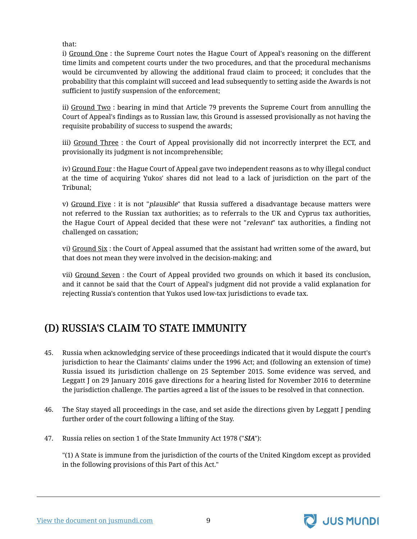that:

i) Ground One : the Supreme Court notes the Hague Court of Appeal's reasoning on the different time limits and competent courts under the two procedures, and that the procedural mechanisms would be circumvented by allowing the additional fraud claim to proceed; it concludes that the probability that this complaint will succeed and lead subsequently to setting aside the Awards is not sufficient to justify suspension of the enforcement;

ii) Ground Two : bearing in mind that Article 79 prevents the Supreme Court from annulling the Court of Appeal's findings as to Russian law, this Ground is assessed provisionally as not having the requisite probability of success to suspend the awards;

iii) Ground Three : the Court of Appeal provisionally did not incorrectly interpret the ECT, and provisionally its judgment is not incomprehensible;

iv) Ground Four : the Hague Court of Appeal gave two independent reasons as to why illegal conduct at the time of acquiring Yukos' shares did not lead to a lack of jurisdiction on the part of the Tribunal;

v) Ground Five : it is not "plausible" that Russia suffered a disadvantage because matters were not referred to the Russian tax authorities; as to referrals to the UK and Cyprus tax authorities, the Hague Court of Appeal decided that these were not "relevant" tax authorities, a finding not challenged on cassation;

vi) Ground Six : the Court of Appeal assumed that the assistant had written some of the award, but that does not mean they were involved in the decision-making; and

vii) Ground Seven : the Court of Appeal provided two grounds on which it based its conclusion, and it cannot be said that the Court of Appeal's judgment did not provide a valid explanation for rejecting Russia's contention that Yukos used low-tax jurisdictions to evade tax.

## <span id="page-10-0"></span>(D) RUSSIA'S CLAIM TO STATE IMMUNITY

- 45. Russia when acknowledging service of these proceedings indicated that it would dispute the court's jurisdiction to hear the Claimants' claims under the 1996 Act; and (following an extension of time) Russia issued its jurisdiction challenge on 25 September 2015. Some evidence was served, and Leggatt J on 29 January 2016 gave directions for a hearing listed for November 2016 to determine the jurisdiction challenge. The parties agreed a list of the issues to be resolved in that connection.
- 46. The Stay stayed all proceedings in the case, and set aside the directions given by Leggatt J pending further order of the court following a lifting of the Stay.
- 47. Russia relies on section 1 of the State Immunity Act 1978 ("*SIA*"):

"(1) A State is immune from the jurisdiction of the courts of the United Kingdom except as provided in the following provisions of this Part of this Act."

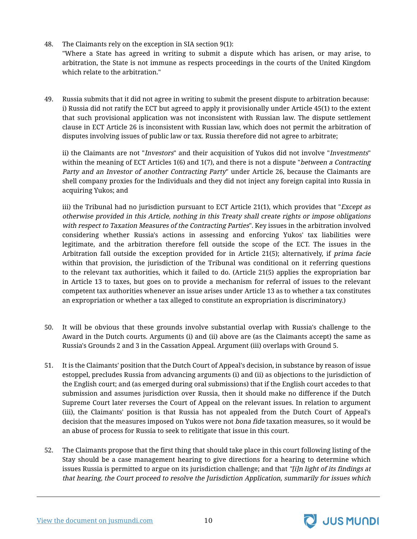- 48. The Claimants rely on the exception in SIA section 9(1): "Where a State has agreed in writing to submit a dispute which has arisen, or may arise, to arbitration, the State is not immune as respects proceedings in the courts of the United Kingdom which relate to the arbitration."
- 49. Russia submits that it did not agree in writing to submit the present dispute to arbitration because: i) Russia did not ratify the ECT but agreed to apply it provisionally under Article 45(1) to the extent that such provisional application was not inconsistent with Russian law. The dispute settlement clause in ECT Article 26 is inconsistent with Russian law, which does not permit the arbitration of disputes involving issues of public law or tax. Russia therefore did not agree to arbitrate;

ii) the Claimants are not "*Investors*" and their acquisition of Yukos did not involve "*Investments*" within the meaning of ECT Articles  $1(6)$  and  $1(7)$ , and there is not a dispute "between a Contracting" Party and an Investor of another Contracting Party" under Article 26, because the Claimants are shell company proxies for the Individuals and they did not inject any foreign capital into Russia in acquiring Yukos; and

iii) the Tribunal had no jurisdiction pursuant to ECT Article 21(1), which provides that "*Except as* otherwise provided in this Article, nothing in this Treaty shall create rights or impose obligations with respect to Taxation Measures of the Contracting Parties". Key issues in the arbitration involved considering whether Russia's actions in assessing and enforcing Yukos' tax liabilities were legitimate, and the arbitration therefore fell outside the scope of the ECT. The issues in the Arbitration fall outside the exception provided for in Article 21(5); alternatively, if *prima facie* within that provision, the jurisdiction of the Tribunal was conditional on it referring questions to the relevant tax authorities, which it failed to do. (Article 21(5) applies the expropriation bar in Article 13 to taxes, but goes on to provide a mechanism for referral of issues to the relevant competent tax authorities whenever an issue arises under Article 13 as to whether a tax constitutes an expropriation or whether a tax alleged to constitute an expropriation is discriminatory.)

- 50. It will be obvious that these grounds involve substantial overlap with Russia's challenge to the Award in the Dutch courts. Arguments (i) and (ii) above are (as the Claimants accept) the same as Russia's Grounds 2 and 3 in the Cassation Appeal. Argument (iii) overlaps with Ground 5.
- 51. It is the Claimants' position that the Dutch Court of Appeal's decision, in substance by reason of issue estoppel, precludes Russia from advancing arguments (i) and (ii) as objections to the jurisdiction of the English court; and (as emerged during oral submissions) that if the English court accedes to that submission and assumes jurisdiction over Russia, then it should make no difference if the Dutch Supreme Court later reverses the Court of Appeal on the relevant issues. In relation to argument (iii), the Claimants' position is that Russia has not appealed from the Dutch Court of Appeal's decision that the measures imposed on Yukos were not *bona fide* taxation measures, so it would be an abuse of process for Russia to seek to relitigate that issue in this court.
- 52. The Claimants propose that the first thing that should take place in this court following listing of the Stay should be a case management hearing to give directions for a hearing to determine which issues Russia is permitted to argue on its jurisdiction challenge; and that "[i]n light of its findings at that hearing, the Court proceed to resolve the Jurisdiction Application, summarily for issues which

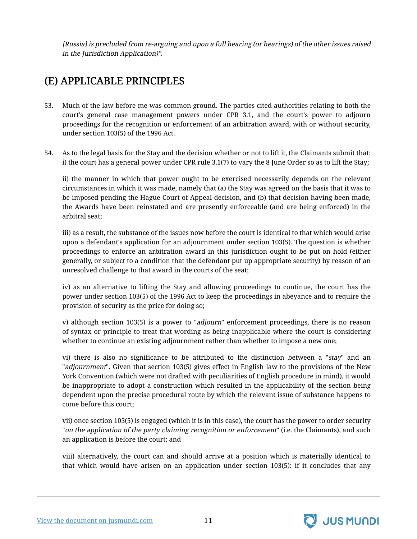[Russia] is precluded from re-arguing and upon <sup>a</sup> full hearing (or hearings) of the other issues raised in the Jurisdiction Application)".

#### <span id="page-12-0"></span>(E) APPLICABLE PRINCIPLES

- 53. Much of the law before me was common ground. The parties cited authorities relating to both the court's general case management powers under CPR 3.1, and the court's power to adjourn proceedings for the recognition or enforcement of an arbitration award, with or without security, under section 103(5) of the 1996 Act.
- 54. As to the legal basis for the Stay and the decision whether or not to lift it, the Claimants submit that: i) the court has a general power under CPR rule 3.1(7) to vary the 8 June Order so as to lift the Stay;

ii) the manner in which that power ought to be exercised necessarily depends on the relevant circumstances in which it was made, namely that (a) the Stay was agreed on the basis that it was to be imposed pending the Hague Court of Appeal decision, and (b) that decision having been made, the Awards have been reinstated and are presently enforceable (and are being enforced) in the arbitral seat;

iii) as a result, the substance of the issues now before the court is identical to that which would arise upon a defendant's application for an adjournment under section 103(5). The question is whether proceedings to enforce an arbitration award in this jurisdiction ought to be put on hold (either generally, or subject to a condition that the defendant put up appropriate security) by reason of an unresolved challenge to that award in the courts of the seat;

iv) as an alternative to lifting the Stay and allowing proceedings to continue, the court has the power under section 103(5) of the 1996 Act to keep the proceedings in abeyance and to require the provision of security as the price for doing so;

v) although section 103(5) is a power to "*adjourn*" enforcement proceedings, there is no reason of syntax or principle to treat that wording as being inapplicable where the court is considering whether to continue an existing adjournment rather than whether to impose a new one;

vi) there is also no significance to be attributed to the distinction between a "stay" and an "adjournment". Given that section 103(5) gives effect in English law to the provisions of the New York Convention (which were not drafted with peculiarities of English procedure in mind), it would be inappropriate to adopt a construction which resulted in the applicability of the section being dependent upon the precise procedural route by which the relevant issue of substance happens to come before this court;

vii) once section 103(5) is engaged (which it is in this case), the court has the power to order security "on the application of the party claiming recognition or enforcement" (i.e. the Claimants), and such an application is before the court; and

viii) alternatively, the court can and should arrive at a position which is materially identical to that which would have arisen on an application under section 103(5): if it concludes that any

[View the document on jusmundi.com](https://jusmundi.com/en/document/decision/en-veteran-petroleum-limited-v-the-russian-federation-judgment-of-the-high-court-of-justice-of-england-and-wales-2021-ewhc-894-wednesday-14th-april-2021) 11

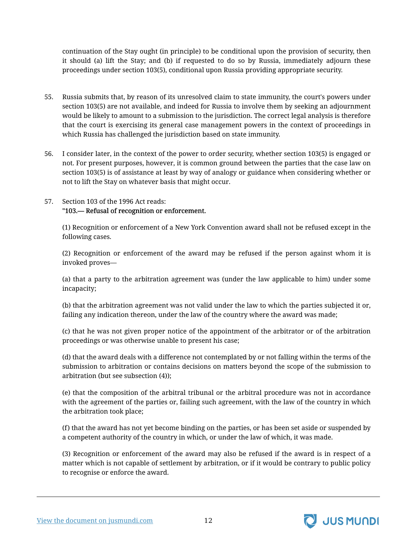continuation of the Stay ought (in principle) to be conditional upon the provision of security, then it should (a) lift the Stay; and (b) if requested to do so by Russia, immediately adjourn these proceedings under section 103(5), conditional upon Russia providing appropriate security.

- 55. Russia submits that, by reason of its unresolved claim to state immunity, the court's powers under section 103(5) are not available, and indeed for Russia to involve them by seeking an adjournment would be likely to amount to a submission to the jurisdiction. The correct legal analysis is therefore that the court is exercising its general case management powers in the context of proceedings in which Russia has challenged the jurisdiction based on state immunity.
- 56. I consider later, in the context of the power to order security, whether section 103(5) is engaged or not. For present purposes, however, it is common ground between the parties that the case law on section 103(5) is of assistance at least by way of analogy or guidance when considering whether or not to lift the Stay on whatever basis that might occur.

#### 57. Section 103 of the 1996 Act reads: "103.— Refusal of recognition or enforcement.

(1) Recognition or enforcement of a New York Convention award shall not be refused except in the following cases.

(2) Recognition or enforcement of the award may be refused if the person against whom it is invoked proves—

(a) that a party to the arbitration agreement was (under the law applicable to him) under some incapacity;

(b) that the arbitration agreement was not valid under the law to which the parties subjected it or, failing any indication thereon, under the law of the country where the award was made;

(c) that he was not given proper notice of the appointment of the arbitrator or of the arbitration proceedings or was otherwise unable to present his case;

(d) that the award deals with a difference not contemplated by or not falling within the terms of the submission to arbitration or contains decisions on matters beyond the scope of the submission to arbitration (but see subsection (4));

(e) that the composition of the arbitral tribunal or the arbitral procedure was not in accordance with the agreement of the parties or, failing such agreement, with the law of the country in which the arbitration took place;

(f) that the award has not yet become binding on the parties, or has been set aside or suspended by a competent authority of the country in which, or under the law of which, it was made.

(3) Recognition or enforcement of the award may also be refused if the award is in respect of a matter which is not capable of settlement by arbitration, or if it would be contrary to public policy to recognise or enforce the award.

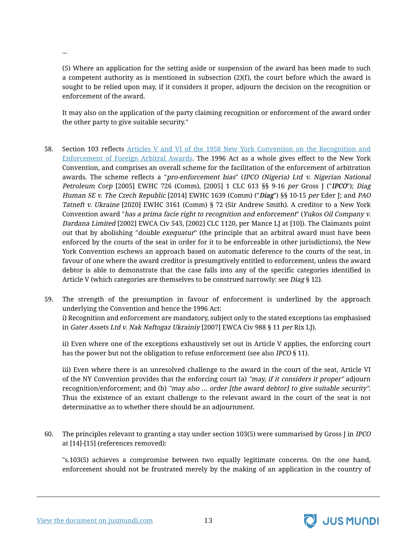...

(5) Where an application for the setting aside or suspension of the award has been made to such a competent authority as is mentioned in subsection (2)(f), the court before which the award is sought to be relied upon may, if it considers it proper, adjourn the decision on the recognition or enforcement of the award.

It may also on the application of the party claiming recognition or enforcement of the award order the other party to give suitable security."

- 58. Section 103 reflects [Articles V and VI of the 1958 New York Convention on the Recognition and](https://jusmundi.com/en/document/h/QU40cHZUZkJRUURFNUNJWUNndHJFdFdrdHhZSWZBTE04d2NyNTNwTzd2V2duWUJtOHZza3ltZUJSaUhVNXdFOExaYVowY0tWcnZHNGM1NHE3aHVGSmExb3B0MjRsUXpSazdZZk9PM0hHNWpvL2RJWTdHY3VBam44cllUUTc3bDF6TWkwY1ZCOXI5RGg5S0ZhRmN3WlBIeThCSGZUalVXUU9EQ2c1bGpHYWhremdFdjZoYVFraTFaeWMzQTcydEtacnNuS3hhTmhydE9JbE5HRmlrYjNvZz09) [Enforcement of Foreign Arbitral Awards.](https://jusmundi.com/en/document/h/QU40cHZUZkJRUURFNUNJWUNndHJFdFdrdHhZSWZBTE04d2NyNTNwTzd2V2duWUJtOHZza3ltZUJSaUhVNXdFOExaYVowY0tWcnZHNGM1NHE3aHVGSmExb3B0MjRsUXpSazdZZk9PM0hHNWpvL2RJWTdHY3VBam44cllUUTc3bDF6TWkwY1ZCOXI5RGg5S0ZhRmN3WlBIeThCSGZUalVXUU9EQ2c1bGpHYWhremdFdjZoYVFraTFaeWMzQTcydEtacnNuS3hhTmhydE9JbE5HRmlrYjNvZz09) The 1996 Act as a whole gives effect to the New York Convention, and comprises an overall scheme for the facilitation of the enforcement of arbitration awards. The scheme reflects a "pro-enforcement bias" (IPCO (Nigeria) Ltd v. Nigerian National Petroleum Corp [2005] EWHC 726 (Comm), [2005] 1 CLC 613 §§ 9-16 per Gross J ("IPCO"); Diag Human SE v. The Czech Republic [2014] EWHC 1639 (Comm) ("Diag") §§ 10-15 per Eder J; and PAO Tatneft v. Ukraine [2020] EWHC 3161 (Comm) § 72 (Sir Andrew Smith). A creditor to a New York Convention award "has <sup>a</sup> prima facie right to recognition and enforcement" (Yukos Oil Company v. Dardana Limited [2002] EWCA Civ 543, [2002] CLC 1120, per Mance LJ at [10]). The Claimants point out that by abolishing "*double exequatur*" (the principle that an arbitral award must have been enforced by the courts of the seat in order for it to be enforceable in other jurisdictions), the New York Convention eschews an approach based on automatic deference to the courts of the seat, in favour of one where the award creditor is presumptively entitled to enforcement, unless the award debtor is able to demonstrate that the case falls into any of the specific categories identified in Article V (which categories are themselves to be construed narrowly: see Diag § 12).
- 59. The strength of the presumption in favour of enforcement is underlined by the approach underlying the Convention and hence the 1996 Act: i) Recognition and enforcement are mandatory, subject only to the stated exceptions (as emphasised in Gater Assets Ltd v. Nak Naftogaz Ukrainiy [2007] EWCA Civ 988 § 11 per Rix LJ).

ii) Even where one of the exceptions exhaustively set out in Article V applies, the enforcing court has the power but not the obligation to refuse enforcement (see also *IPCO* § 11).

iii) Even where there is an unresolved challenge to the award in the court of the seat, Article VI of the NY Convention provides that the enforcing court (a) "may, if it considers it proper" adjourn recognition/enforcement; and (b) "may also … order [the award debtor] to give suitable security". Thus the existence of an extant challenge to the relevant award in the court of the seat is not determinative as to whether there should be an adjournment.

60. The principles relevant to granting a stay under section 103(5) were summarised by Gross J in *IPCO* at [14]-[15] (references removed):

"s.103(5) achieves a compromise between two equally legitimate concerns. On the one hand, enforcement should not be frustrated merely by the making of an application in the country of



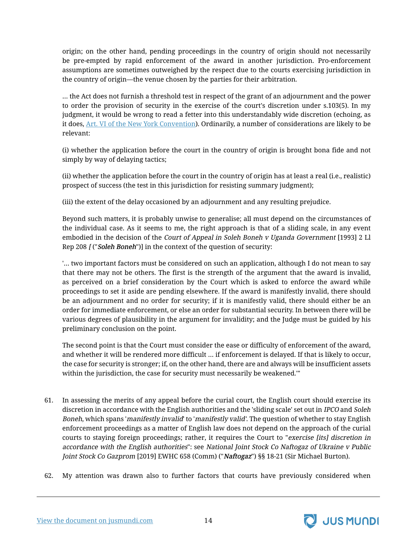origin; on the other hand, pending proceedings in the country of origin should not necessarily be pre-empted by rapid enforcement of the award in another jurisdiction. Pro-enforcement assumptions are sometimes outweighed by the respect due to the courts exercising jurisdiction in the country of origin—the venue chosen by the parties for their arbitration.

… the Act does not furnish a threshold test in respect of the grant of an adjournment and the power to order the provision of security in the exercise of the court's discretion under s.103(5). In my judgment, it would be wrong to read a fetter into this understandably wide discretion (echoing, as it does, [Art. VI of the New York Convention](https://jusmundi.com/en/document/h/QU40cHZUZkJRUURFNUNJWUNndHJFdFdrdHhZSWZBTE04d2NyNTNwTzd2V2duWUJtOHZza3ltZUJSaUhVNXdFOExaYVowY0tWcnZHNGM1NHE3aHVGSmExb3B0MjRsUXpSazdZZk9PM0hHNWpvL2RJWTdHY3VBam44cllUUTc3bDF6TWkwY1ZCOXI5RGg5S0ZhRmN3WlBIeThCSGZUalVXUU9EQ2c1bGpHYWhremdFdjZoYVFraTFaeWMzQTcydEtaRXBQYnBZUjllOHF6ZEdZc1BMcDhwQT09)). Ordinarily, a number of considerations are likely to be relevant:

(i) whether the application before the court in the country of origin is brought bona fide and not simply by way of delaying tactics;

(ii) whether the application before the court in the country of origin has at least a real (i.e., realistic) prospect of success (the test in this jurisdiction for resisting summary judgment);

(iii) the extent of the delay occasioned by an adjournment and any resulting prejudice.

Beyond such matters, it is probably unwise to generalise; all must depend on the circumstances of the individual case. As it seems to me, the right approach is that of a sliding scale, in any event embodied in the decision of the Court of Appeal in Soleh Boneh v Uganda Government [1993] 2 Ll Rep 208 [ ("Soleh Boneh")] in the context of the question of security:

'… two important factors must be considered on such an application, although I do not mean to say that there may not be others. The first is the strength of the argument that the award is invalid, as perceived on a brief consideration by the Court which is asked to enforce the award while proceedings to set it aside are pending elsewhere. If the award is manifestly invalid, there should be an adjournment and no order for security; if it is manifestly valid, there should either be an order for immediate enforcement, or else an order for substantial security. In between there will be various degrees of plausibility in the argument for invalidity; and the Judge must be guided by his preliminary conclusion on the point.

The second point is that the Court must consider the ease or difficulty of enforcement of the award, and whether it will be rendered more difficult … if enforcement is delayed. If that is likely to occur, the case for security is stronger; if, on the other hand, there are and always will be insufficient assets within the jurisdiction, the case for security must necessarily be weakened.'"

- 61. In assessing the merits of any appeal before the curial court, the English court should exercise its discretion in accordance with the English authorities and the 'sliding scale' set out in IPCO and Soleh Boneh, which spans 'manifestly invalid' to 'manifestly valid'. The question of whether to stay English enforcement proceedings as a matter of English law does not depend on the approach of the curial courts to staying foreign proceedings; rather, it requires the Court to "exercise [its] discretion in accordance with the English authorities": see National Joint Stock Co Naftogaz of Ukraine <sup>v</sup> Public Joint Stock Co Gazprom [2019] EWHC 658 (Comm) ("Naftogaz") §§ 18-21 (Sir Michael Burton).
- 62. My attention was drawn also to further factors that courts have previously considered when

[View the document on jusmundi.com](https://jusmundi.com/en/document/decision/en-veteran-petroleum-limited-v-the-russian-federation-judgment-of-the-high-court-of-justice-of-england-and-wales-2021-ewhc-894-wednesday-14th-april-2021) 14

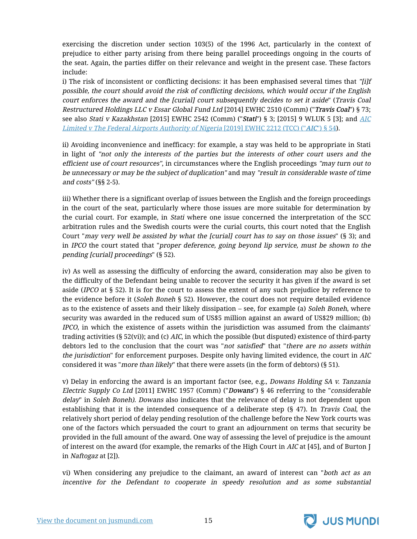exercising the discretion under section 103(5) of the 1996 Act, particularly in the context of prejudice to either party arising from there being parallel proceedings ongoing in the courts of the seat. Again, the parties differ on their relevance and weight in the present case. These factors include:

i) The risk of inconsistent or conflicting decisions: it has been emphasised several times that " $[i]$ f possible, the court should avoid the risk of conflicting decisions, which would occur if the English court enforces the award and the [curial] court subsequently decides to set it aside" (Travis Coal Restructured Holdings LLC <sup>v</sup> Essar Global Fund Ltd [2014] EWHC 2510 (Comm) ("Travis Coal") § 73; see also Stati v Kazakhstan [2015] EWHC 2542 (Comm) ("Stati") § 3; [2015] 9 WLUK 5 [3]; and  $\overline{AIC}$  $\overline{AIC}$  $\overline{AIC}$ [Limited v The Federal Airports Authority of Nigeria](https://jusmundi.com/en/document/h/VEpTMzhmTFY1TUEzZ2xDcDNab3RFaG55WkIxUld3RFJSTFkyTmdrTW91S0cwK3o2dFRyakpJbWc5dmhHNGlPeVAybks2RU9qU0xmOVY2Y0tQMTl2ZDhlcno4QWVmYkw1ZzZhOWpDcFRDU2k5bUFXN0pOY0g3aE9ldUhBSFdSTDVNMk1pYWV2cWFuNW41VXFyRk9senA4SXY0dGc1USs3Y1BXQjV2NkJEUkZHOWJVZmNyMjZaVTNnL2pYTWpzMWN1K081UmlETmo1RmFLYXk2ckl3SmxpeXBnOU1GcXdBVzdxWXVMMjJCZkNsMD0=) [2019] EWHC 2212 (TCC) ("AIC") § 54).

ii) Avoiding inconvenience and inefficacy: for example, a stay was held to be appropriate in Stati in light of "not only the interests of the parties but the interests of other court users and the efficient use of court resources", in circumstances where the English proceedings "may turn out to be unnecessary or may be the subject of duplication" and may "result in considerable waste of time and costs" (§§ 2-5).

iii) Whether there is a significant overlap of issues between the English and the foreign proceedings in the court of the seat, particularly where those issues are more suitable for determination by the curial court. For example, in Stati where one issue concerned the interpretation of the SCC arbitration rules and the Swedish courts were the curial courts, this court noted that the English Court "may very well be assisted by what the [curial] court has to say on those issues" (§ 3); and in IPCO the court stated that "proper deference, going beyond lip service, must be shown to the pending [curial] proceedings" (§ 52).

iv) As well as assessing the difficulty of enforcing the award, consideration may also be given to the difficulty of the Defendant being unable to recover the security it has given if the award is set aside (IPCO at § 52). It is for the court to assess the extent of any such prejudice by reference to the evidence before it (Soleh Boneh § 52). However, the court does not require detailed evidence as to the existence of assets and their likely dissipation – see, for example (a) Soleh Boneh, where security was awarded in the reduced sum of US\$5 million against an award of US\$29 million; (b) IPCO, in which the existence of assets within the jurisdiction was assumed from the claimants' trading activities (§ 52(vi)); and (c)  $AIC$ , in which the possible (but disputed) existence of third-party debtors led to the conclusion that the court was "not satisfied" that "there are no assets within the jurisdiction" for enforcement purposes. Despite only having limited evidence, the court in AIC considered it was "more than likely" that there were assets (in the form of debtors) (§ 51).

v) Delay in enforcing the award is an important factor (see, e.g., *Dowans Holding SA v. Tanzania* Electric Supply Co Ltd [2011] EWHC 1957 (Comm) ("Dowans") § 46 referring to the "considerable delay" in Soleh Boneh). Dowans also indicates that the relevance of delay is not dependent upon establishing that it is the intended consequence of a deliberate step (§ 47). In Travis Coal, the relatively short period of delay pending resolution of the challenge before the New York courts was one of the factors which persuaded the court to grant an adjournment on terms that security be provided in the full amount of the award. One way of assessing the level of prejudice is the amount of interest on the award (for example, the remarks of the High Court in AIC at [45], and of Burton J in Naftogaz at [2]).

vi) When considering any prejudice to the claimant, an award of interest can "both act as an incentive for the Defendant to cooperate in speedy resolution and as some substantial

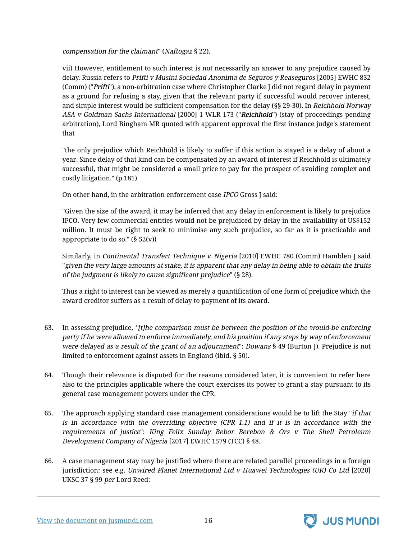compensation for the claimant" (Naftogaz § 22).

vii) However, entitlement to such interest is not necessarily an answer to any prejudice caused by delay. Russia refers to Prifti v Musini Sociedad Anonima de Seguros y Reaseguros [2005] EWHC 832 (Comm) ("Prifti"), a non-arbitration case where Christopher Clarke J did not regard delay in payment as a ground for refusing a stay, given that the relevant party if successful would recover interest, and simple interest would be sufficient compensation for the delay (§§ 29-30). In Reichhold Norway ASA v Goldman Sachs International [2000] 1 WLR 173 ("Reichhold") (stay of proceedings pending arbitration), Lord Bingham MR quoted with apparent approval the first instance judge's statement that

"the only prejudice which Reichhold is likely to suffer if this action is stayed is a delay of about a year. Since delay of that kind can be compensated by an award of interest if Reichhold is ultimately successful, that might be considered a small price to pay for the prospect of avoiding complex and costly litigation." (p.181)

On other hand, in the arbitration enforcement case IPCO Gross J said:

"Given the size of the award, it may be inferred that any delay in enforcement is likely to prejudice IPCO. Very few commercial entities would not be prejudiced by delay in the availability of US\$152 million. It must be right to seek to minimise any such prejudice, so far as it is practicable and appropriate to do so." (§ 52(v))

Similarly, in Continental Transfert Technique v. Nigeria [2010] EWHC 780 (Comm) Hamblen J said "given the very large amounts at stake, it is apparent that any delay in being able to obtain the fruits of the judgment is likely to cause significant prejudice" (§ 28).

Thus a right to interest can be viewed as merely a quantification of one form of prejudice which the award creditor suffers as a result of delay to payment of its award.

- 63. In assessing prejudice, "[t]he comparison must be between the position of the would-be enforcing party if he were allowed to enforce immediately, and his position if any steps by way of enforcement were delayed as <sup>a</sup> result of the grant of an adjournment": Dowans § 49 (Burton J). Prejudice is not limited to enforcement against assets in England (ibid. § 50).
- 64. Though their relevance is disputed for the reasons considered later, it is convenient to refer here also to the principles applicable where the court exercises its power to grant a stay pursuant to its general case management powers under the CPR.
- 65. The approach applying standard case management considerations would be to lift the Stay "if that is in accordance with the overriding objective (CPR 1.1) and if it is in accordance with the requirements of justice": King Felix Sunday Bebor Berebon & Ors <sup>v</sup> The Shell Petroleum Development Company of Nigeria [2017] EWHC 1579 (TCC) § 48.
- 66. A case management stay may be justified where there are related parallel proceedings in a foreign jurisdiction: see e.g. Unwired Planet International Ltd <sup>v</sup> Huawei Technologies (UK) Co Ltd [2020] UKSC 37 § 99 per Lord Reed:



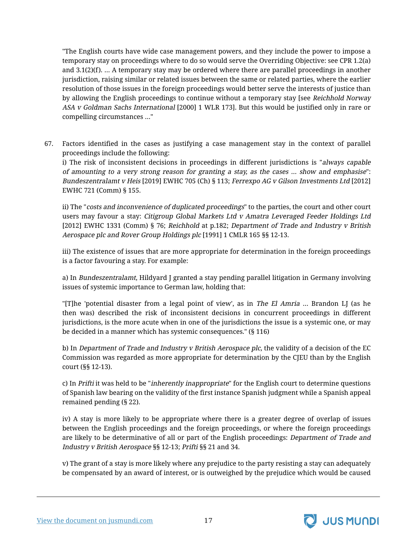"The English courts have wide case management powers, and they include the power to impose a temporary stay on proceedings where to do so would serve the Overriding Objective: see CPR 1.2(a) and 3.1(2)(f). … A temporary stay may be ordered where there are parallel proceedings in another jurisdiction, raising similar or related issues between the same or related parties, where the earlier resolution of those issues in the foreign proceedings would better serve the interests of justice than by allowing the English proceedings to continue without a temporary stay [see Reichhold Norway ASA v Goldman Sachs International [2000] 1 WLR 173]. But this would be justified only in rare or compelling circumstances …"

67. Factors identified in the cases as justifying a case management stay in the context of parallel proceedings include the following:

i) The risk of inconsistent decisions in proceedings in different jurisdictions is "always capable" of amounting to <sup>a</sup> very strong reason for granting <sup>a</sup> stay, as the cases … show and emphasise": Bundeszentralamt <sup>v</sup> Heis [2019] EWHC 705 (Ch) § 113; Ferrexpo AG <sup>v</sup> Gilson Investments Ltd [2012] EWHC 721 (Comm) § 155.

ii) The "costs and inconvenience of duplicated proceedings" to the parties, the court and other court users may favour a stay: Citigroup Global Markets Ltd v Amatra Leveraged Feeder Holdings Ltd [2012] EWHC 1331 (Comm) § 76; Reichhold at p.182; Department of Trade and Industry <sup>v</sup> British Aerospace plc and Rover Group Holdings plc [1991] 1 CMLR 165 §§ 12-13.

iii) The existence of issues that are more appropriate for determination in the foreign proceedings is a factor favouring a stay. For example:

a) In Bundeszentralamt, Hildyard J granted a stay pending parallel litigation in Germany involving issues of systemic importance to German law, holding that:

"[T]he 'potential disaster from a legal point of view', as in The El Amria ... Brandon LJ (as he then was) described the risk of inconsistent decisions in concurrent proceedings in different jurisdictions, is the more acute when in one of the jurisdictions the issue is a systemic one, or may be decided in a manner which has systemic consequences." (§ 116)

b) In Department of Trade and Industry <sup>v</sup> British Aerospace plc, the validity of a decision of the EC Commission was regarded as more appropriate for determination by the CJEU than by the English court (§§ 12-13).

c) In *Prifti* it was held to be "*inherently inappropriate*" for the English court to determine questions of Spanish law bearing on the validity of the first instance Spanish judgment while a Spanish appeal remained pending (§ 22).

iv) A stay is more likely to be appropriate where there is a greater degree of overlap of issues between the English proceedings and the foreign proceedings, or where the foreign proceedings are likely to be determinative of all or part of the English proceedings: Department of Trade and Industry v British Aerospace §§ 12-13; Prifti §§ 21 and 34.

v) The grant of a stay is more likely where any prejudice to the party resisting a stay can adequately be compensated by an award of interest, or is outweighed by the prejudice which would be caused

[View the document on jusmundi.com](https://jusmundi.com/en/document/decision/en-veteran-petroleum-limited-v-the-russian-federation-judgment-of-the-high-court-of-justice-of-england-and-wales-2021-ewhc-894-wednesday-14th-april-2021) 17

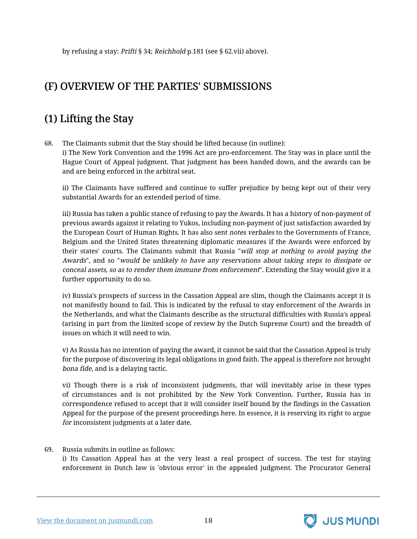by refusing a stay: Prifti § 34; Reichhold p.181 (see § 62.vii) above).

#### <span id="page-19-0"></span>(F) OVERVIEW OF THE PARTIES' SUBMISSIONS

## <span id="page-19-1"></span>(1) Lifting the Stay

68. The Claimants submit that the Stay should be lifted because (in outline): i) The New York Convention and the 1996 Act are pro-enforcement. The Stay was in place until the Hague Court of Appeal judgment. That judgment has been handed down, and the awards can be and are being enforced in the arbitral seat.

ii) The Claimants have suffered and continue to suffer prejudice by being kept out of their very substantial Awards for an extended period of time.

iii) Russia has taken a public stance of refusing to pay the Awards. It has a history of non-payment of previous awards against it relating to Yukos, including non-payment of just satisfaction awarded by the European Court of Human Rights. It has also sent notes verbales to the Governments of France, Belgium and the United States threatening diplomatic measures if the Awards were enforced by their states' courts. The Claimants submit that Russia "will stop at nothing to avoid paying the Awards", and so "would be unlikely to have any reservations about taking steps to dissipate or conceal assets, so as to render them immune from enforcement". Extending the Stay would give it a further opportunity to do so.

iv) Russia's prospects of success in the Cassation Appeal are slim, though the Claimants accept it is not manifestly bound to fail. This is indicated by the refusal to stay enforcement of the Awards in the Netherlands, and what the Claimants describe as the structural difficulties with Russia's appeal (arising in part from the limited scope of review by the Dutch Supreme Court) and the breadth of issues on which it will need to win.

v) As Russia has no intention of paying the award, it cannot be said that the Cassation Appeal is truly for the purpose of discovering its legal obligations in good faith. The appeal is therefore not brought bona fide, and is a delaying tactic.

vi) Though there is a risk of inconsistent judgments, that will inevitably arise in these types of circumstances and is not prohibited by the New York Convention. Further, Russia has in correspondence refused to accept that it will consider itself bound by the findings in the Cassation Appeal for the purpose of the present proceedings here. In essence, it is reserving its right to argue for inconsistent judgments at a later date.

69. Russia submits in outline as follows:

i) Its Cassation Appeal has at the very least a real prospect of success. The test for staying enforcement in Dutch law is 'obvious error' in the appealed judgment. The Procurator General

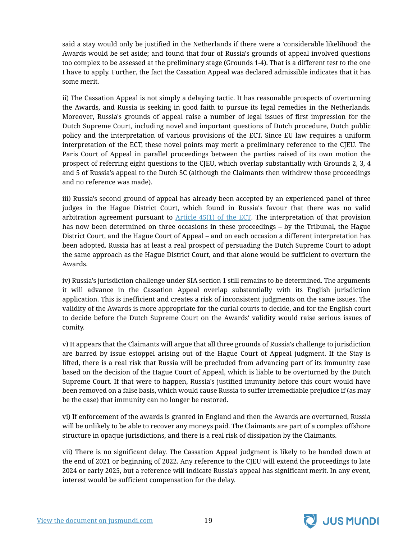said a stay would only be justified in the Netherlands if there were a 'considerable likelihood' the Awards would be set aside; and found that four of Russia's grounds of appeal involved questions too complex to be assessed at the preliminary stage (Grounds 1-4). That is a different test to the one I have to apply. Further, the fact the Cassation Appeal was declared admissible indicates that it has some merit.

ii) The Cassation Appeal is not simply a delaying tactic. It has reasonable prospects of overturning the Awards, and Russia is seeking in good faith to pursue its legal remedies in the Netherlands. Moreover, Russia's grounds of appeal raise a number of legal issues of first impression for the Dutch Supreme Court, including novel and important questions of Dutch procedure, Dutch public policy and the interpretation of various provisions of the ECT. Since EU law requires a uniform interpretation of the ECT, these novel points may merit a preliminary reference to the CJEU. The Paris Court of Appeal in parallel proceedings between the parties raised of its own motion the prospect of referring eight questions to the CJEU, which overlap substantially with Grounds 2, 3, 4 and 5 of Russia's appeal to the Dutch SC (although the Claimants then withdrew those proceedings and no reference was made).

iii) Russia's second ground of appeal has already been accepted by an experienced panel of three judges in the Hague District Court, which found in Russia's favour that there was no valid arbitration agreement pursuant to  $\Delta$ rticle  $45(1)$  of the ECT. The interpretation of that provision has now been determined on three occasions in these proceedings – by the Tribunal, the Hague District Court, and the Hague Court of Appeal – and on each occasion a different interpretation has been adopted. Russia has at least a real prospect of persuading the Dutch Supreme Court to adopt the same approach as the Hague District Court, and that alone would be sufficient to overturn the Awards.

iv) Russia's jurisdiction challenge under SIA section 1 still remains to be determined. The arguments it will advance in the Cassation Appeal overlap substantially with its English jurisdiction application. This is inefficient and creates a risk of inconsistent judgments on the same issues. The validity of the Awards is more appropriate for the curial courts to decide, and for the English court to decide before the Dutch Supreme Court on the Awards' validity would raise serious issues of comity.

v) It appears that the Claimants will argue that all three grounds of Russia's challenge to jurisdiction are barred by issue estoppel arising out of the Hague Court of Appeal judgment. If the Stay is lifted, there is a real risk that Russia will be precluded from advancing part of its immunity case based on the decision of the Hague Court of Appeal, which is liable to be overturned by the Dutch Supreme Court. If that were to happen, Russia's justified immunity before this court would have been removed on a false basis, which would cause Russia to suffer irremediable prejudice if (as may be the case) that immunity can no longer be restored.

vi) If enforcement of the awards is granted in England and then the Awards are overturned, Russia will be unlikely to be able to recover any moneys paid. The Claimants are part of a complex offshore structure in opaque jurisdictions, and there is a real risk of dissipation by the Claimants.

vii) There is no significant delay. The Cassation Appeal judgment is likely to be handed down at the end of 2021 or beginning of 2022. Any reference to the CJEU will extend the proceedings to late 2024 or early 2025, but a reference will indicate Russia's appeal has significant merit. In any event, interest would be sufficient compensation for the delay.

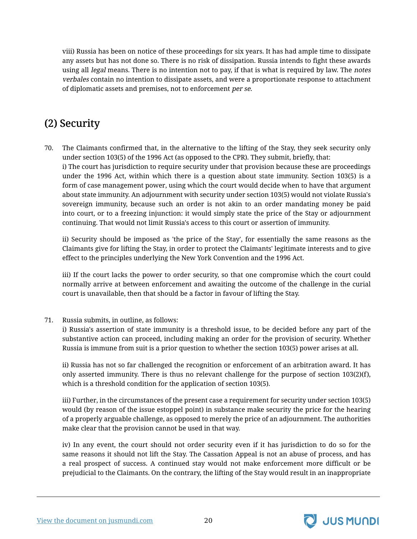viii) Russia has been on notice of these proceedings for six years. It has had ample time to dissipate any assets but has not done so. There is no risk of dissipation. Russia intends to fight these awards using all *legal* means. There is no intention not to pay, if that is what is required by law. The *notes* verbales contain no intention to dissipate assets, and were a proportionate response to attachment of diplomatic assets and premises, not to enforcement per se.

#### <span id="page-21-0"></span>(2) Security

70. The Claimants confirmed that, in the alternative to the lifting of the Stay, they seek security only under section 103(5) of the 1996 Act (as opposed to the CPR). They submit, briefly, that: i) The court has jurisdiction to require security under that provision because these are proceedings under the 1996 Act, within which there is a question about state immunity. Section 103(5) is a form of case management power, using which the court would decide when to have that argument about state immunity. An adjournment with security under section 103(5) would not violate Russia's sovereign immunity, because such an order is not akin to an order mandating money be paid into court, or to a freezing injunction: it would simply state the price of the Stay or adjournment continuing. That would not limit Russia's access to this court or assertion of immunity.

ii) Security should be imposed as 'the price of the Stay', for essentially the same reasons as the Claimants give for lifting the Stay, in order to protect the Claimants' legitimate interests and to give effect to the principles underlying the New York Convention and the 1996 Act.

iii) If the court lacks the power to order security, so that one compromise which the court could normally arrive at between enforcement and awaiting the outcome of the challenge in the curial court is unavailable, then that should be a factor in favour of lifting the Stay.

71. Russia submits, in outline, as follows:

i) Russia's assertion of state immunity is a threshold issue, to be decided before any part of the substantive action can proceed, including making an order for the provision of security. Whether Russia is immune from suit is a prior question to whether the section 103(5) power arises at all.

ii) Russia has not so far challenged the recognition or enforcement of an arbitration award. It has only asserted immunity. There is thus no relevant challenge for the purpose of section 103(2)(f), which is a threshold condition for the application of section 103(5).

iii) Further, in the circumstances of the present case a requirement for security under section 103(5) would (by reason of the issue estoppel point) in substance make security the price for the hearing of a properly arguable challenge, as opposed to merely the price of an adjournment. The authorities make clear that the provision cannot be used in that way.

iv) In any event, the court should not order security even if it has jurisdiction to do so for the same reasons it should not lift the Stay. The Cassation Appeal is not an abuse of process, and has a real prospect of success. A continued stay would not make enforcement more difficult or be prejudicial to the Claimants. On the contrary, the lifting of the Stay would result in an inappropriate

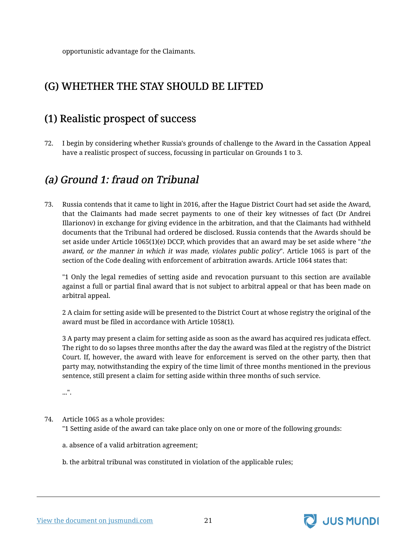opportunistic advantage for the Claimants.

#### <span id="page-22-0"></span>(G) WHETHER THE STAY SHOULD BE LIFTED

#### <span id="page-22-1"></span>(1) Realistic prospect of success

72. I begin by considering whether Russia's grounds of challenge to the Award in the Cassation Appeal have a realistic prospect of success, focussing in particular on Grounds 1 to 3.

#### <span id="page-22-2"></span>(a) Ground 1: fraud on Tribunal

73. Russia contends that it came to light in 2016, after the Hague District Court had set aside the Award, that the Claimants had made secret payments to one of their key witnesses of fact (Dr Andrei Illarionov) in exchange for giving evidence in the arbitration, and that the Claimants had withheld documents that the Tribunal had ordered be disclosed. Russia contends that the Awards should be set aside under Article 1065(1)(e) DCCP, which provides that an award may be set aside where "the award, or the manner in which it was made, violates public policy". Article 1065 is part of the section of the Code dealing with enforcement of arbitration awards. Article 1064 states that:

"1 Only the legal remedies of setting aside and revocation pursuant to this section are available against a full or partial final award that is not subject to arbitral appeal or that has been made on arbitral appeal.

2 A claim for setting aside will be presented to the District Court at whose registry the original of the award must be filed in accordance with Article 1058(1).

3 A party may present a claim for setting aside as soon as the award has acquired res judicata effect. The right to do so lapses three months after the day the award was filed at the registry of the District Court. If, however, the award with leave for enforcement is served on the other party, then that party may, notwithstanding the expiry of the time limit of three months mentioned in the previous sentence, still present a claim for setting aside within three months of such service.

...".

74. Article 1065 as a whole provides:

"1 Setting aside of the award can take place only on one or more of the following grounds:

a. absence of a valid arbitration agreement;

b. the arbitral tribunal was constituted in violation of the applicable rules;

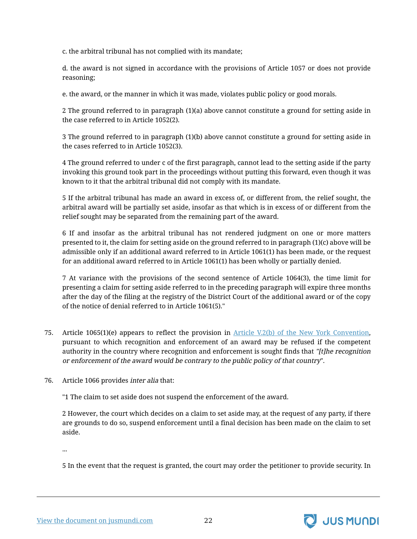c. the arbitral tribunal has not complied with its mandate;

d. the award is not signed in accordance with the provisions of Article 1057 or does not provide reasoning;

e. the award, or the manner in which it was made, violates public policy or good morals.

2 The ground referred to in paragraph (1)(a) above cannot constitute a ground for setting aside in the case referred to in Article 1052(2).

3 The ground referred to in paragraph (1)(b) above cannot constitute a ground for setting aside in the cases referred to in Article 1052(3).

4 The ground referred to under c of the first paragraph, cannot lead to the setting aside if the party invoking this ground took part in the proceedings without putting this forward, even though it was known to it that the arbitral tribunal did not comply with its mandate.

5 If the arbitral tribunal has made an award in excess of, or different from, the relief sought, the arbitral award will be partially set aside, insofar as that which is in excess of or different from the relief sought may be separated from the remaining part of the award.

6 If and insofar as the arbitral tribunal has not rendered judgment on one or more matters presented to it, the claim for setting aside on the ground referred to in paragraph (1)(c) above will be admissible only if an additional award referred to in Article 1061(1) has been made, or the request for an additional award referred to in Article 1061(1) has been wholly or partially denied.

7 At variance with the provisions of the second sentence of Article 1064(3), the time limit for presenting a claim for setting aside referred to in the preceding paragraph will expire three months after the day of the filing at the registry of the District Court of the additional award or of the copy of the notice of denial referred to in Article 1061(5)."

- 75. Article 1065(1)(e) appears to reflect the provision in [Article V.2\(b\) of the New York Convention](https://jusmundi.com/en/document/h/QU40cHZUZkJRUURFNUNJWUNndHJFdFdrdHhZSWZBTE04d2NyNTNwTzd2V2duWUJtOHZza3ltZUJSaUhVNXdFOExaYVowY0tWcnZHNGM1NHE3aHVGSmExb3B0MjRsUXpSazdZZk9PM0hHNWpvL2RJWTdHY3VBam44cllUUTc3bDF6TWkwY1ZCOXI5RGg5S0ZhRmN3WlBIeThCSGZUalVXUU9EQ2c1bGpHYWhremdFdjZoYVFraTFaeWMzQTcydEtaaXhHczNRYkwyMXVMS0NxQkVHZS9Udz09), pursuant to which recognition and enforcement of an award may be refused if the competent authority in the country where recognition and enforcement is sought finds that "[t]he recognition or enforcement of the award would be contrary to the public policy of that country".
- 76. Article 1066 provides inter alia that:

"1 The claim to set aside does not suspend the enforcement of the award.

2 However, the court which decides on a claim to set aside may, at the request of any party, if there are grounds to do so, suspend enforcement until a final decision has been made on the claim to set aside.

...

5 In the event that the request is granted, the court may order the petitioner to provide security. In



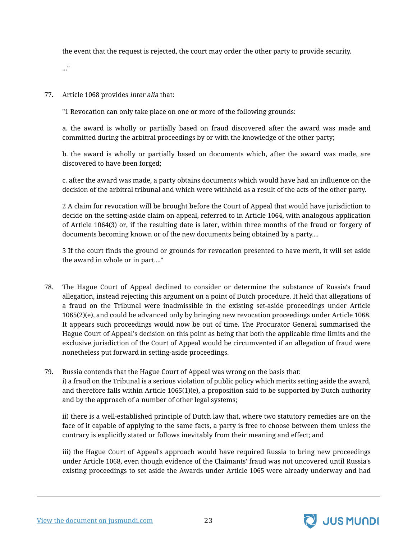the event that the request is rejected, the court may order the other party to provide security.

..."

77. Article 1068 provides *inter alia* that:

"1 Revocation can only take place on one or more of the following grounds:

a. the award is wholly or partially based on fraud discovered after the award was made and committed during the arbitral proceedings by or with the knowledge of the other party;

b. the award is wholly or partially based on documents which, after the award was made, are discovered to have been forged;

c. after the award was made, a party obtains documents which would have had an influence on the decision of the arbitral tribunal and which were withheld as a result of the acts of the other party.

2 A claim for revocation will be brought before the Court of Appeal that would have jurisdiction to decide on the setting-aside claim on appeal, referred to in Article 1064, with analogous application of Article 1064(3) or, if the resulting date is later, within three months of the fraud or forgery of documents becoming known or of the new documents being obtained by a party....

3 If the court finds the ground or grounds for revocation presented to have merit, it will set aside the award in whole or in part...."

- 78. The Hague Court of Appeal declined to consider or determine the substance of Russia's fraud allegation, instead rejecting this argument on a point of Dutch procedure. It held that allegations of a fraud on the Tribunal were inadmissible in the existing set-aside proceedings under Article 1065(2)(e), and could be advanced only by bringing new revocation proceedings under Article 1068. It appears such proceedings would now be out of time. The Procurator General summarised the Hague Court of Appeal's decision on this point as being that both the applicable time limits and the exclusive jurisdiction of the Court of Appeal would be circumvented if an allegation of fraud were nonetheless put forward in setting-aside proceedings.
- 79. Russia contends that the Hague Court of Appeal was wrong on the basis that: i) a fraud on the Tribunal is a serious violation of public policy which merits setting aside the award, and therefore falls within Article 1065(1)(e), a proposition said to be supported by Dutch authority and by the approach of a number of other legal systems;

ii) there is a well-established principle of Dutch law that, where two statutory remedies are on the face of it capable of applying to the same facts, a party is free to choose between them unless the contrary is explicitly stated or follows inevitably from their meaning and effect; and

iii) the Hague Court of Appeal's approach would have required Russia to bring new proceedings under Article 1068, even though evidence of the Claimants' fraud was not uncovered until Russia's existing proceedings to set aside the Awards under Article 1065 were already underway and had



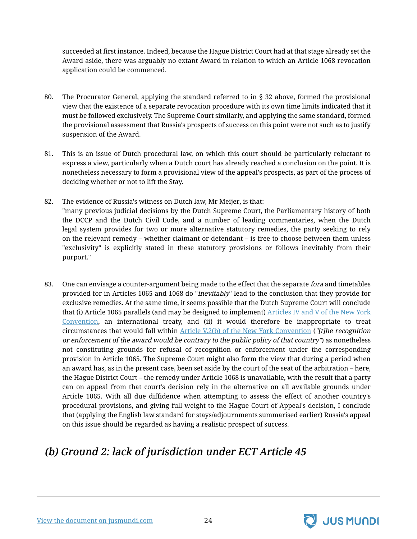succeeded at first instance. Indeed, because the Hague District Court had at that stage already set the Award aside, there was arguably no extant Award in relation to which an Article 1068 revocation application could be commenced.

- 80. The Procurator General, applying the standard referred to in § 32 above, formed the provisional view that the existence of a separate revocation procedure with its own time limits indicated that it must be followed exclusively. The Supreme Court similarly, and applying the same standard, formed the provisional assessment that Russia's prospects of success on this point were not such as to justify suspension of the Award.
- 81. This is an issue of Dutch procedural law, on which this court should be particularly reluctant to express a view, particularly when a Dutch court has already reached a conclusion on the point. It is nonetheless necessary to form a provisional view of the appeal's prospects, as part of the process of deciding whether or not to lift the Stay.
- 82. The evidence of Russia's witness on Dutch law, Mr Meijer, is that: "many previous judicial decisions by the Dutch Supreme Court, the Parliamentary history of both the DCCP and the Dutch Civil Code, and a number of leading commentaries, when the Dutch legal system provides for two or more alternative statutory remedies, the party seeking to rely on the relevant remedy – whether claimant or defendant – is free to choose between them unless "exclusivity" is explicitly stated in these statutory provisions or follows inevitably from their purport."
- 83. One can envisage a counter-argument being made to the effect that the separate fora and timetables provided for in Articles 1065 and 1068 do "inevitably" lead to the conclusion that they provide for exclusive remedies. At the same time, it seems possible that the Dutch Supreme Court will conclude that (i) Article 1065 parallels (and may be designed to implement) [Articles IV and V of the New York](https://jusmundi.com/en/document/h/QU40cHZUZkJRUURFNUNJWUNndHJFdFdrdHhZSWZBTE04d2NyNTNwTzd2V2duWUJtOHZza3ltZUJSaUhVNXdFOExaYVowY0tWcnZHNGM1NHE3aHVGSmExb3B0MjRsUXpSazdZZk9PM0hHNWpvL2RJWTdHY3VBam44cllUUTc3bDF6TWkwY1ZCOXI5RGg5S0ZhRmN3WlBIeThCSGZUalVXUU9EQ2c1bGpHYWhremdFdjZoYVFraTFaeWMzQTcydEtaWk1zNVppUTdJclV0QUtXNGJmSkplUT09) [Convention](https://jusmundi.com/en/document/h/QU40cHZUZkJRUURFNUNJWUNndHJFdFdrdHhZSWZBTE04d2NyNTNwTzd2V2duWUJtOHZza3ltZUJSaUhVNXdFOExaYVowY0tWcnZHNGM1NHE3aHVGSmExb3B0MjRsUXpSazdZZk9PM0hHNWpvL2RJWTdHY3VBam44cllUUTc3bDF6TWkwY1ZCOXI5RGg5S0ZhRmN3WlBIeThCSGZUalVXUU9EQ2c1bGpHYWhremdFdjZoYVFraTFaeWMzQTcydEtaWk1zNVppUTdJclV0QUtXNGJmSkplUT09), an international treaty, and (ii) it would therefore be inappropriate to treat circumstances that would fall within [Article V.2\(b\) of the New York Convention](https://jusmundi.com/en/document/h/QU40cHZUZkJRUURFNUNJWUNndHJFdFdrdHhZSWZBTE04d2NyNTNwTzd2V2duWUJtOHZza3ltZUJSaUhVNXdFOExaYVowY0tWcnZHNGM1NHE3aHVGSmExb3B0MjRsUXpSazdZZk9PM0hHNWpvL2RJWTdHY3VBam44cllUUTc3bDF6TWkwY1ZCOXI5RGg5S0ZhRmN3WlBIeThCSGZUalVXUU9EQ2c1bGpHYWhremdFdjZoYVFraTFaeWMzQTcydEtaaXhHczNRYkwyMXVMS0NxQkVHZS9Udz09) ("[t]he recognition or enforcement of the award would be contrary to the public policy of that country") as nonetheless not constituting grounds for refusal of recognition or enforcement under the corresponding provision in Article 1065. The Supreme Court might also form the view that during a period when an award has, as in the present case, been set aside by the court of the seat of the arbitration – here, the Hague District Court – the remedy under Article 1068 is unavailable, with the result that a party can on appeal from that court's decision rely in the alternative on all available grounds under Article 1065. With all due diffidence when attempting to assess the effect of another country's procedural provisions, and giving full weight to the Hague Court of Appeal's decision, I conclude that (applying the English law standard for stays/adjournments summarised earlier) Russia's appeal on this issue should be regarded as having a realistic prospect of success.

#### <span id="page-25-1"></span><span id="page-25-0"></span>(b) Ground 2: lack of jurisdiction under ECT Article 45

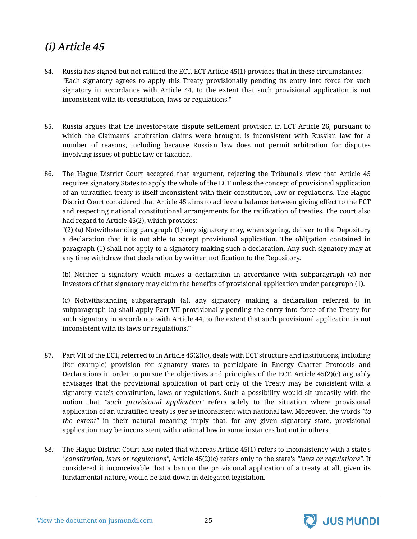# (i) Article 45

- 84. Russia has signed but not ratified the ECT. ECT Article 45(1) provides that in these circumstances: "Each signatory agrees to apply this Treaty provisionally pending its entry into force for such signatory in accordance with Article 44, to the extent that such provisional application is not inconsistent with its constitution, laws or regulations."
- 85. Russia argues that the investor-state dispute settlement provision in ECT Article 26, pursuant to which the Claimants' arbitration claims were brought, is inconsistent with Russian law for a number of reasons, including because Russian law does not permit arbitration for disputes involving issues of public law or taxation.
- 86. The Hague District Court accepted that argument, rejecting the Tribunal's view that Article 45 requires signatory States to apply the whole of the ECT unless the concept of provisional application of an unratified treaty is itself inconsistent with their constitution, law or regulations. The Hague District Court considered that Article 45 aims to achieve a balance between giving effect to the ECT and respecting national constitutional arrangements for the ratification of treaties. The court also had regard to Article 45(2), which provides:

"(2) (a) Notwithstanding paragraph (1) any signatory may, when signing, deliver to the Depository a declaration that it is not able to accept provisional application. The obligation contained in paragraph (1) shall not apply to a signatory making such a declaration. Any such signatory may at any time withdraw that declaration by written notification to the Depository.

(b) Neither a signatory which makes a declaration in accordance with subparagraph (a) nor Investors of that signatory may claim the benefits of provisional application under paragraph (1).

(c) Notwithstanding subparagraph (a), any signatory making a declaration referred to in subparagraph (a) shall apply Part VII provisionally pending the entry into force of the Treaty for such signatory in accordance with Article 44, to the extent that such provisional application is not inconsistent with its laws or regulations."

- 87. Part VII of the ECT, referred to in Article 45(2)(c), deals with ECT structure and institutions, including (for example) provision for signatory states to participate in Energy Charter Protocols and Declarations in order to pursue the objectives and principles of the ECT. Article 45(2)(c) arguably envisages that the provisional application of part only of the Treaty may be consistent with a signatory state's constitution, laws or regulations. Such a possibility would sit uneasily with the notion that "such provisional application" refers solely to the situation where provisional application of an unratified treaty is per se inconsistent with national law. Moreover, the words "to the extent" in their natural meaning imply that, for any given signatory state, provisional application may be inconsistent with national law in some instances but not in others.
- 88. The Hague District Court also noted that whereas Article 45(1) refers to inconsistency with a state's "constitution, laws or regulations", Article 45(2)(c) refers only to the state's "laws or regulations". It considered it inconceivable that a ban on the provisional application of a treaty at all, given its fundamental nature, would be laid down in delegated legislation.



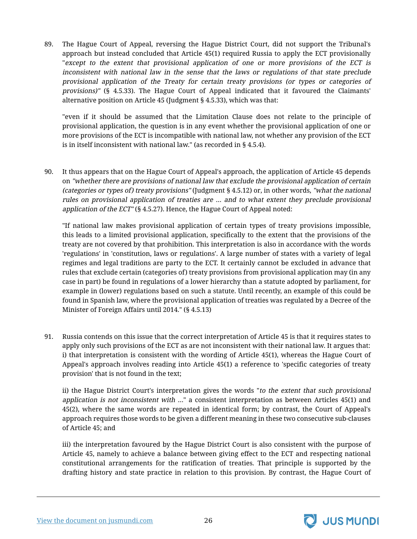89. The Hague Court of Appeal, reversing the Hague District Court, did not support the Tribunal's approach but instead concluded that Article 45(1) required Russia to apply the ECT provisionally "except to the extent that provisional application of one or more provisions of the ECT is inconsistent with national law in the sense that the laws or regulations of that state preclude provisional application of the Treaty for certain treaty provisions (or types or categories of provisions)" (§ 4.5.33). The Hague Court of Appeal indicated that it favoured the Claimants' alternative position on Article 45 (Judgment § 4.5.33), which was that:

"even if it should be assumed that the Limitation Clause does not relate to the principle of provisional application, the question is in any event whether the provisional application of one or more provisions of the ECT is incompatible with national law, not whether any provision of the ECT is in itself inconsistent with national law." (as recorded in § 4.5.4).

90. It thus appears that on the Hague Court of Appeal's approach, the application of Article 45 depends on "whether there are provisions of national law that exclude the provisional application of certain (categories or types of) treaty provisions" (Judgment § 4.5.12) or, in other words, "what the national rules on provisional application of treaties are … and to what extent they preclude provisional application of the ECT" (§ 4.5.27). Hence, the Hague Court of Appeal noted:

"If national law makes provisional application of certain types of treaty provisions impossible, this leads to a limited provisional application, specifically to the extent that the provisions of the treaty are not covered by that prohibition. This interpretation is also in accordance with the words 'regulations' in 'constitution, laws or regulations'. A large number of states with a variety of legal regimes and legal traditions are party to the ECT. It certainly cannot be excluded in advance that rules that exclude certain (categories of) treaty provisions from provisional application may (in any case in part) be found in regulations of a lower hierarchy than a statute adopted by parliament, for example in (lower) regulations based on such a statute. Until recently, an example of this could be found in Spanish law, where the provisional application of treaties was regulated by a Decree of the Minister of Foreign Affairs until 2014." (§ 4.5.13)

91. Russia contends on this issue that the correct interpretation of Article 45 is that it requires states to apply only such provisions of the ECT as are not inconsistent with their national law. It argues that: i) that interpretation is consistent with the wording of Article 45(1), whereas the Hague Court of Appeal's approach involves reading into Article 45(1) a reference to 'specific categories of treaty provision' that is not found in the text;

ii) the Hague District Court's interpretation gives the words "to the extent that such provisional application is not inconsistent with …" a consistent interpretation as between Articles 45(1) and 45(2), where the same words are repeated in identical form; by contrast, the Court of Appeal's approach requires those words to be given a different meaning in these two consecutive sub-clauses of Article 45; and

iii) the interpretation favoured by the Hague District Court is also consistent with the purpose of Article 45, namely to achieve a balance between giving effect to the ECT and respecting national constitutional arrangements for the ratification of treaties. That principle is supported by the drafting history and state practice in relation to this provision. By contrast, the Hague Court of

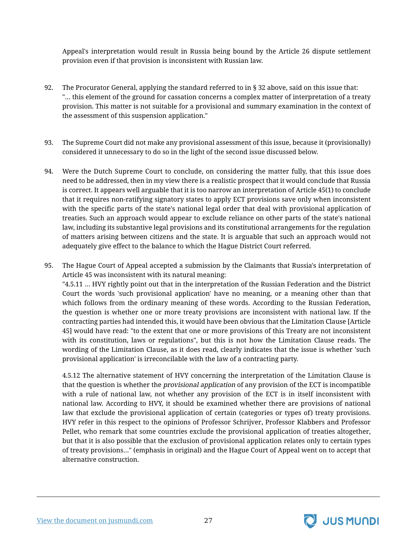Appeal's interpretation would result in Russia being bound by the Article 26 dispute settlement provision even if that provision is inconsistent with Russian law.

- 92. The Procurator General, applying the standard referred to in § 32 above, said on this issue that: "… this element of the ground for cassation concerns a complex matter of interpretation of a treaty provision. This matter is not suitable for a provisional and summary examination in the context of the assessment of this suspension application."
- 93. The Supreme Court did not make any provisional assessment of this issue, because it (provisionally) considered it unnecessary to do so in the light of the second issue discussed below.
- 94. Were the Dutch Supreme Court to conclude, on considering the matter fully, that this issue does need to be addressed, then in my view there is a realistic prospect that it would conclude that Russia is correct. It appears well arguable that it is too narrow an interpretation of Article 45(1) to conclude that it requires non-ratifying signatory states to apply ECT provisions save only when inconsistent with the specific parts of the state's national legal order that deal with provisional application of treaties. Such an approach would appear to exclude reliance on other parts of the state's national law, including its substantive legal provisions and its constitutional arrangements for the regulation of matters arising between citizens and the state. It is arguable that such an approach would not adequately give effect to the balance to which the Hague District Court referred.
- 95. The Hague Court of Appeal accepted a submission by the Claimants that Russia's interpretation of Article 45 was inconsistent with its natural meaning: "4.5.11 … HVY rightly point out that in the interpretation of the Russian Federation and the District Court the words 'such provisional application' have no meaning, or a meaning other than that which follows from the ordinary meaning of these words. According to the Russian Federation, the question is whether one or more treaty provisions are inconsistent with national law. If the contracting parties had intended this, it would have been obvious that the Limitation Clause [Article 45] would have read: "to the extent that one or more provisions of this Treaty are not inconsistent with its constitution, laws or regulations", but this is not how the Limitation Clause reads. The wording of the Limitation Clause, as it does read, clearly indicates that the issue is whether 'such provisional application' is irreconcilable with the law of a contracting party.

4.5.12 The alternative statement of HVY concerning the interpretation of the Limitation Clause is that the question is whether the *provisional application* of any provision of the ECT is incompatible with a rule of national law, not whether any provision of the ECT is in itself inconsistent with national law. According to HVY, it should be examined whether there are provisions of national law that exclude the provisional application of certain (categories or types of) treaty provisions. HVY refer in this respect to the opinions of Professor Schrijver, Professor Klabbers and Professor Pellet, who remark that some countries exclude the provisional application of treaties altogether, but that it is also possible that the exclusion of provisional application relates only to certain types of treaty provisions…" (emphasis in original) and the Hague Court of Appeal went on to accept that alternative construction.



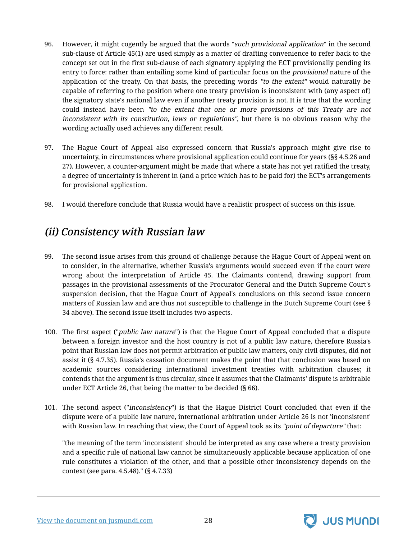- 96. However, it might cogently be argued that the words "such provisional application" in the second sub-clause of Article 45(1) are used simply as a matter of drafting convenience to refer back to the concept set out in the first sub-clause of each signatory applying the ECT provisionally pending its entry to force: rather than entailing some kind of particular focus on the *provisional* nature of the application of the treaty. On that basis, the preceding words "to the extent" would naturally be capable of referring to the position where one treaty provision is inconsistent with (any aspect of) the signatory state's national law even if another treaty provision is not. It is true that the wording could instead have been "to the extent that one or more provisions of this Treaty are not inconsistent with its constitution, laws or regulations", but there is no obvious reason why the wording actually used achieves any different result.
- 97. The Hague Court of Appeal also expressed concern that Russia's approach might give rise to uncertainty, in circumstances where provisional application could continue for years (§§ 4.5.26 and 27). However, a counter-argument might be made that where a state has not yet ratified the treaty, a degree of uncertainty is inherent in (and a price which has to be paid for) the ECT's arrangements for provisional application.
- 98. I would therefore conclude that Russia would have a realistic prospect of success on this issue.

#### <span id="page-29-0"></span>(ii) Consistency with Russian law

- 99. The second issue arises from this ground of challenge because the Hague Court of Appeal went on to consider, in the alternative, whether Russia's arguments would succeed even if the court were wrong about the interpretation of Article 45. The Claimants contend, drawing support from passages in the provisional assessments of the Procurator General and the Dutch Supreme Court's suspension decision, that the Hague Court of Appeal's conclusions on this second issue concern matters of Russian law and are thus not susceptible to challenge in the Dutch Supreme Court (see § 34 above). The second issue itself includes two aspects.
- 100. The first aspect ("*public law nature*") is that the Hague Court of Appeal concluded that a dispute between a foreign investor and the host country is not of a public law nature, therefore Russia's point that Russian law does not permit arbitration of public law matters, only civil disputes, did not assist it (§ 4.7.35). Russia's cassation document makes the point that that conclusion was based on academic sources considering international investment treaties with arbitration clauses; it contends that the argument is thus circular, since it assumes that the Claimants' dispute is arbitrable under ECT Article 26, that being the matter to be decided (§ 66).
- 101. The second aspect ("*inconsistency*") is that the Hague District Court concluded that even if the dispute were of a public law nature, international arbitration under Article 26 is not 'inconsistent' with Russian law. In reaching that view, the Court of Appeal took as its "point of departure" that:

"the meaning of the term 'inconsistent' should be interpreted as any case where a treaty provision and a specific rule of national law cannot be simultaneously applicable because application of one rule constitutes a violation of the other, and that a possible other inconsistency depends on the context (see para. 4.5.48)." (§ 4.7.33)

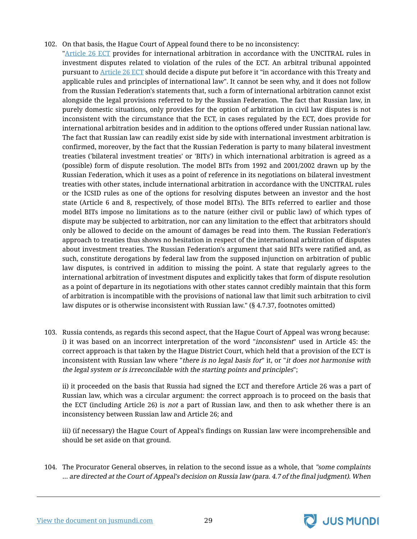102. On that basis, the Hague Court of Appeal found there to be no inconsistency:

["Article 26 ECT](https://jusmundi.com/en/document/h/clljWVJHbGxISEg0VUZMdWNJazE2TnJ3Mmxwb2NlQ1R3cmNjQXR1UDFhaUg5bDhhczBqUjlmYmVtWWhITFNjK3dCV0JaSFlDK3BFbFIyL0xvSHhiR2sxdnZtV2R3TDJsQUR2Q0hoUUhPeWlwUFRXK0ZmSTJDNUVyTytCd1RRNTNDQmJGNXZZVGpGLzhUODVQMzdWbEl3PT0=) provides for international arbitration in accordance with the UNCITRAL rules in investment disputes related to violation of the rules of the ECT. An arbitral tribunal appointed pursuant to [Article 26 ECT](https://jusmundi.com/en/document/h/clljWVJHbGxISEg0VUZMdWNJazE2TnJ3Mmxwb2NlQ1R3cmNjQXR1UDFhaUg5bDhhczBqUjlmYmVtWWhITFNjK3dCV0JaSFlDK3BFbFIyL0xvSHhiR2sxdnZtV2R3TDJsQUR2Q0hoUUhPeWlwUFRXK0ZmSTJDNUVyTytCd1RRNTNDQmJGNXZZVGpGLzhUODVQMzdWbEl3PT0=) should decide a dispute put before it "in accordance with this Treaty and applicable rules and principles of international law". It cannot be seen why, and it does not follow from the Russian Federation's statements that, such a form of international arbitration cannot exist alongside the legal provisions referred to by the Russian Federation. The fact that Russian law, in purely domestic situations, only provides for the option of arbitration in civil law disputes is not inconsistent with the circumstance that the ECT, in cases regulated by the ECT, does provide for international arbitration besides and in addition to the options offered under Russian national law. The fact that Russian law can readily exist side by side with international investment arbitration is confirmed, moreover, by the fact that the Russian Federation is party to many bilateral investment treaties ('bilateral investment treaties' or 'BITs') in which international arbitration is agreed as a (possible) form of dispute resolution. The model BITs from 1992 and 2001/2002 drawn up by the Russian Federation, which it uses as a point of reference in its negotiations on bilateral investment treaties with other states, include international arbitration in accordance with the UNCITRAL rules or the ICSID rules as one of the options for resolving disputes between an investor and the host state (Article 6 and 8, respectively, of those model BITs). The BITs referred to earlier and those model BITs impose no limitations as to the nature (either civil or public law) of which types of dispute may be subjected to arbitration, nor can any limitation to the effect that arbitrators should only be allowed to decide on the amount of damages be read into them. The Russian Federation's approach to treaties thus shows no hesitation in respect of the international arbitration of disputes about investment treaties. The Russian Federation's argument that said BITs were ratified and, as such, constitute derogations by federal law from the supposed injunction on arbitration of public law disputes, is contrived in addition to missing the point. A state that regularly agrees to the international arbitration of investment disputes and explicitly takes that form of dispute resolution as a point of departure in its negotiations with other states cannot credibly maintain that this form of arbitration is incompatible with the provisions of national law that limit such arbitration to civil law disputes or is otherwise inconsistent with Russian law." (§ 4.7.37, footnotes omitted)

103. Russia contends, as regards this second aspect, that the Hague Court of Appeal was wrong because: i) it was based on an incorrect interpretation of the word "inconsistent" used in Article 45: the correct approach is that taken by the Hague District Court, which held that a provision of the ECT is inconsistent with Russian law where "there is no legal basis for" it, or "it does not harmonise with the legal system or is irreconcilable with the starting points and principles";

ii) it proceeded on the basis that Russia had signed the ECT and therefore Article 26 was a part of Russian law, which was a circular argument: the correct approach is to proceed on the basis that the ECT (including Article 26) is not a part of Russian law, and then to ask whether there is an inconsistency between Russian law and Article 26; and

iii) (if necessary) the Hague Court of Appeal's findings on Russian law were incomprehensible and should be set aside on that ground.

104. The Procurator General observes, in relation to the second issue as a whole, that *"some complaints* … are directed at the Court of Appeal's decision on Russia law (para. 4.7 of the final judgment). When

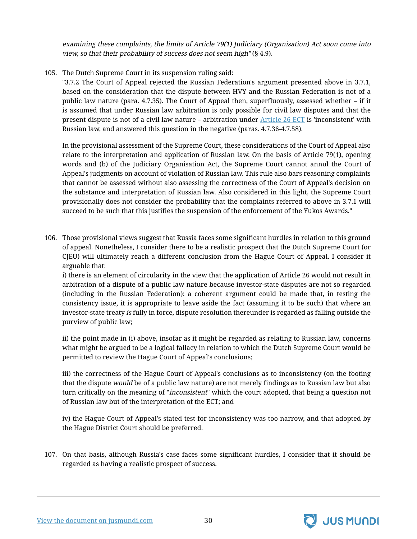examining these complaints, the limits of Article 79(1) Judiciary (Organisation) Act soon come into view, so that their probability of success does not seem high" (§ 4.9).

105. The Dutch Supreme Court in its suspension ruling said:

"3.7.2 The Court of Appeal rejected the Russian Federation's argument presented above in 3.7.1, based on the consideration that the dispute between HVY and the Russian Federation is not of a public law nature (para. 4.7.35). The Court of Appeal then, superfluously, assessed whether – if it is assumed that under Russian law arbitration is only possible for civil law disputes and that the present dispute is not of a civil law nature – arbitration under [Article 26 ECT](https://jusmundi.com/en/document/h/clljWVJHbGxISEg0VUZMdWNJazE2TnJ3Mmxwb2NlQ1R3cmNjQXR1UDFhaUg5bDhhczBqUjlmYmVtWWhITFNjK3dCV0JaSFlDK3BFbFIyL0xvSHhiR2sxdnZtV2R3TDJsQUR2Q0hoUUhPeWlwUFRXK0ZmSTJDNUVyTytCd1RRNTNDQmJGNXZZVGpGLzhUODVQMzdWbEl3PT0=) is 'inconsistent' with Russian law, and answered this question in the negative (paras. 4.7.36-4.7.58).

In the provisional assessment of the Supreme Court, these considerations of the Court of Appeal also relate to the interpretation and application of Russian law. On the basis of Article 79(1), opening words and (b) of the Judiciary Organisation Act, the Supreme Court cannot annul the Court of Appeal's judgments on account of violation of Russian law. This rule also bars reasoning complaints that cannot be assessed without also assessing the correctness of the Court of Appeal's decision on the substance and interpretation of Russian law. Also considered in this light, the Supreme Court provisionally does not consider the probability that the complaints referred to above in 3.7.1 will succeed to be such that this justifies the suspension of the enforcement of the Yukos Awards."

106. Those provisional views suggest that Russia faces some significant hurdles in relation to this ground of appeal. Nonetheless, I consider there to be a realistic prospect that the Dutch Supreme Court (or CJEU) will ultimately reach a different conclusion from the Hague Court of Appeal. I consider it arguable that:

i) there is an element of circularity in the view that the application of Article 26 would not result in arbitration of a dispute of a public law nature because investor-state disputes are not so regarded (including in the Russian Federation): a coherent argument could be made that, in testing the consistency issue, it is appropriate to leave aside the fact (assuming it to be such) that where an investor-state treaty is fully in force, dispute resolution thereunder is regarded as falling outside the purview of public law;

ii) the point made in (i) above, insofar as it might be regarded as relating to Russian law, concerns what might be argued to be a logical fallacy in relation to which the Dutch Supreme Court would be permitted to review the Hague Court of Appeal's conclusions;

iii) the correctness of the Hague Court of Appeal's conclusions as to inconsistency (on the footing that the dispute would be of a public law nature) are not merely findings as to Russian law but also turn critically on the meaning of "inconsistent" which the court adopted, that being a question not of Russian law but of the interpretation of the ECT; and

iv) the Hague Court of Appeal's stated test for inconsistency was too narrow, and that adopted by the Hague District Court should be preferred.

107. On that basis, although Russia's case faces some significant hurdles, I consider that it should be regarded as having a realistic prospect of success.

<span id="page-31-0"></span>[View the document on jusmundi.com](https://jusmundi.com/en/document/decision/en-veteran-petroleum-limited-v-the-russian-federation-judgment-of-the-high-court-of-justice-of-england-and-wales-2021-ewhc-894-wednesday-14th-april-2021) 30

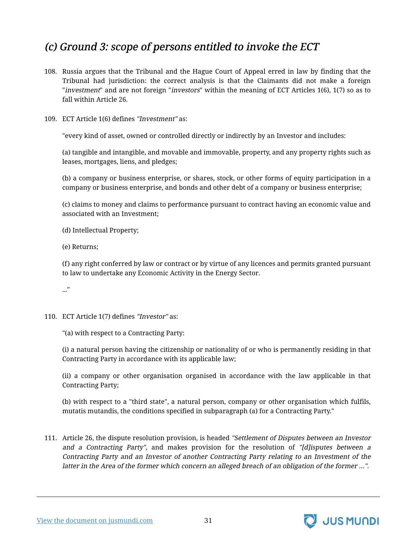### (c) Ground 3: scope of persons entitled to invoke the ECT

- 108. Russia argues that the Tribunal and the Hague Court of Appeal erred in law by finding that the Tribunal had jurisdiction: the correct analysis is that the Claimants did not make a foreign "investment" and are not foreign "investors" within the meaning of ECT Articles 1(6), 1(7) so as to fall within Article 26.
- 109. ECT Article 1(6) defines "Investment" as:

"every kind of asset, owned or controlled directly or indirectly by an Investor and includes:

(a) tangible and intangible, and movable and immovable, property, and any property rights such as leases, mortgages, liens, and pledges;

(b) a company or business enterprise, or shares, stock, or other forms of equity participation in a company or business enterprise, and bonds and other debt of a company or business enterprise;

(c) claims to money and claims to performance pursuant to contract having an economic value and associated with an Investment;

(d) Intellectual Property;

(e) Returns;

(f) any right conferred by law or contract or by virtue of any licences and permits granted pursuant to law to undertake any Economic Activity in the Energy Sector.

..."

110. ECT Article 1(7) defines "Investor" as:

"(a) with respect to a Contracting Party:

(i) a natural person having the citizenship or nationality of or who is permanently residing in that Contracting Party in accordance with its applicable law;

(ii) a company or other organisation organised in accordance with the law applicable in that Contracting Party;

(b) with respect to a "third state", a natural person, company or other organisation which fulfils, mutatis mutandis, the conditions specified in subparagraph (a) for a Contracting Party."

111. Article 26, the dispute resolution provision, is headed "Settlement of Disputes between an Investor and a Contracting Party", and makes provision for the resolution of "[d]isputes between a Contracting Party and an Investor of another Contracting Party relating to an Investment of the latter in the Area of the former which concern an alleged breach of an obligation of the former …".

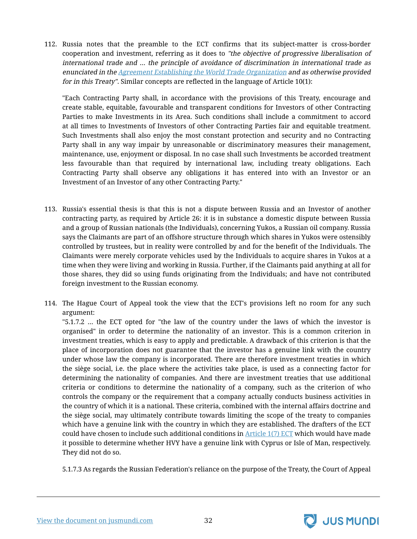112. Russia notes that the preamble to the ECT confirms that its subject-matter is cross-border cooperation and investment, referring as it does to "the objective of progressive liberalisation of international trade and … the principle of avoidance of discrimination in international trade as enunciated in the Agreement Establishing the World Trade [Organization](https://jusmundi.com/en/document/h/dDA1UFl6SHNaZmZZR1RERDQxcjY4QnpHYzlKTTRQMmFXaFlYNU41b25JNE1hOE4xNEJUUDNkYWtkNTZyd3p6d3IxQmlYYzhHN1ZpQWtsSzFmNkhyZVc2VEtYZHo1TSs0cXhqbk5uVDB4b0cxV3QyZjY1VUhpOUtCd3ZpNG8wR1prdzlYMWdJWThxcTNzZmZLNjVDRUVqYjU2UUc4RzFTekdUQ2w5K3J5b1M4TDQxUDF3cm50MURmcm9aNmxXMGVN) and as otherwise provided for in this Treaty". Similar concepts are reflected in the language of Article 10(1):

"Each Contracting Party shall, in accordance with the provisions of this Treaty, encourage and create stable, equitable, favourable and transparent conditions for Investors of other Contracting Parties to make Investments in its Area. Such conditions shall include a commitment to accord at all times to Investments of Investors of other Contracting Parties fair and equitable treatment. Such Investments shall also enjoy the most constant protection and security and no Contracting Party shall in any way impair by unreasonable or discriminatory measures their management, maintenance, use, enjoyment or disposal. In no case shall such Investments be accorded treatment less favourable than that required by international law, including treaty obligations. Each Contracting Party shall observe any obligations it has entered into with an Investor or an Investment of an Investor of any other Contracting Party."

- 113. Russia's essential thesis is that this is not a dispute between Russia and an Investor of another contracting party, as required by Article 26: it is in substance a domestic dispute between Russia and a group of Russian nationals (the Individuals), concerning Yukos, a Russian oil company. Russia says the Claimants are part of an offshore structure through which shares in Yukos were ostensibly controlled by trustees, but in reality were controlled by and for the benefit of the Individuals. The Claimants were merely corporate vehicles used by the Individuals to acquire shares in Yukos at a time when they were living and working in Russia. Further, if the Claimants paid anything at all for those shares, they did so using funds originating from the Individuals; and have not contributed foreign investment to the Russian economy.
- 114. The Hague Court of Appeal took the view that the ECT's provisions left no room for any such argument:

"5.1.7.2 … the ECT opted for "the law of the country under the laws of which the investor is organised" in order to determine the nationality of an investor. This is a common criterion in investment treaties, which is easy to apply and predictable. A drawback of this criterion is that the place of incorporation does not guarantee that the investor has a genuine link with the country under whose law the company is incorporated. There are therefore investment treaties in which the siège social, i.e. the place where the activities take place, is used as a connecting factor for determining the nationality of companies. And there are investment treaties that use additional criteria or conditions to determine the nationality of a company, such as the criterion of who controls the company or the requirement that a company actually conducts business activities in the country of which it is a national. These criteria, combined with the internal affairs doctrine and the siège social, may ultimately contribute towards limiting the scope of the treaty to companies which have a genuine link with the country in which they are established. The drafters of the ECT could have chosen to include such additional conditions in  $Article 1(7) ECT$  which would have made it possible to determine whether HVY have a genuine link with Cyprus or Isle of Man, respectively. They did not do so.

5.1.7.3 As regards the Russian Federation's reliance on the purpose of the Treaty, the Court of Appeal



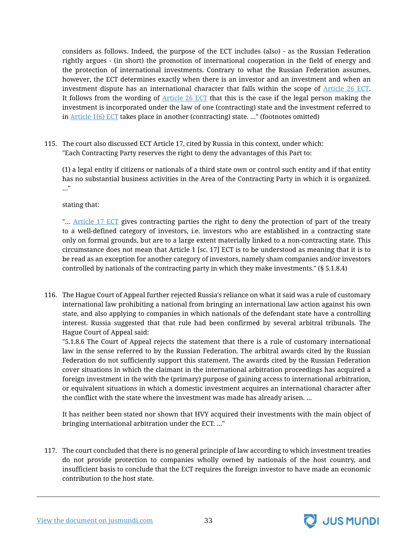considers as follows. Indeed, the purpose of the ECT includes (also) - as the Russian Federation rightly argues - (in short) the promotion of international cooperation in the field of energy and the protection of international investments. Contrary to what the Russian Federation assumes, however, the ECT determines exactly when there is an investor and an investment and when an investment dispute has an international character that falls within the scope of [Article 26 ECT](https://jusmundi.com/en/document/h/clljWVJHbGxISEg0VUZMdWNJazE2TnJ3Mmxwb2NlQ1R3cmNjQXR1UDFhaUg5bDhhczBqUjlmYmVtWWhITFNjK3dCV0JaSFlDK3BFbFIyL0xvSHhiR2sxdnZtV2R3TDJsQUR2Q0hoUUhPeWlwUFRXK0ZmSTJDNUVyTytCd1RRNTNDQmJGNXZZVGpGLzhUODVQMzdWbEl3PT0=). It follows from the wording of [Article 26 ECT](https://jusmundi.com/en/document/h/clljWVJHbGxISEg0VUZMdWNJazE2TnJ3Mmxwb2NlQ1R3cmNjQXR1UDFhaUg5bDhhczBqUjlmYmVtWWhITFNjK3dCV0JaSFlDK3BFbFIyL0xvSHhiR2sxdnZtV2R3TDJsQUR2Q0hoUUhPeWlwUFRXK0ZmSTJDNUVyTytCd1RRNTNDQmJGNXZZVGpGLzhUODVQMzdWbEl3PT0=) that this is the case if the legal person making the investment is incorporated under the law of one (contracting) state and the investment referred to in [Article 1\(6\) ECT](https://jusmundi.com/en/document/h/clljWVJHbGxISEg0VUZMdWNJazE2TnJ3Mmxwb2NlQ1R3cmNjQXR1UDFhaUg5bDhhczBqUjlmYmVtWWhITFNjK3dCV0JaSFlDK3BFbFIyL0xvSHhiR2sxdnZtV2R3TDJsQUR2Q0hoUUhPeWlwUFRXK0ZmSTJDNUVyTytCd1RRNTNwN01Gb3dPWkZkKy8zeWpwclM0RlZBPT0=) takes place in another (contracting) state. …" (footnotes omitted)

115. The court also discussed ECT Article 17, cited by Russia in this context, under which: "Each Contracting Party reserves the right to deny the advantages of this Part to:

(1) a legal entity if citizens or nationals of a third state own or control such entity and if that entity has no substantial business activities in the Area of the Contracting Party in which it is organized. …"

stating that:

"... [Article 17 ECT](https://jusmundi.com/en/document/h/clljWVJHbGxISEg0VUZMdWNJazE2TnJ3Mmxwb2NlQ1R3cmNjQXR1UDFhaUg5bDhhczBqUjlmYmVtWWhITFNjK3dCV0JaSFlDK3BFbFIyL0xvSHhiR2sxdnZtV2R3TDJsQUR2Q0hoUUhPeWlwUFRXK0ZmSTJDNUVyTytCd1RRNTNrTFNKdXRuc1d2YTVWckFIWE9rMld3PT0=) gives contracting parties the right to deny the protection of part of the treaty to a well-defined category of investors, i.e. investors who are established in a contracting state only on formal grounds, but are to a large extent materially linked to a non-contracting state. This circumstance does not mean that Article 1 [sc. 17] ECT is to be understood as meaning that it is to be read as an exception for another category of investors, namely sham companies and/or investors controlled by nationals of the contracting party in which they make investments." (§ 5.1.8.4)

116. The Hague Court of Appeal further rejected Russia's reliance on what it said was a rule of customary international law prohibiting a national from bringing an international law action against his own state, and also applying to companies in which nationals of the defendant state have a controlling interest. Russia suggested that that rule had been confirmed by several arbitral tribunals. The Hague Court of Appeal said:

"5.1.8.6 The Court of Appeal rejects the statement that there is a rule of customary international law in the sense referred to by the Russian Federation. The arbitral awards cited by the Russian Federation do not sufficiently support this statement. The awards cited by the Russian Federation cover situations in which the claimant in the international arbitration proceedings has acquired a foreign investment in the with the (primary) purpose of gaining access to international arbitration, or equivalent situations in which a domestic investment acquires an international character after the conflict with the state where the investment was made has already arisen. …

It has neither been stated nor shown that HVY acquired their investments with the main object of bringing international arbitration under the ECT. …"

117. The court concluded that there is no general principle of law according to which investment treaties do not provide protection to companies wholly owned by nationals of the host country, and insufficient basis to conclude that the ECT requires the foreign investor to have made an economic contribution to the host state.

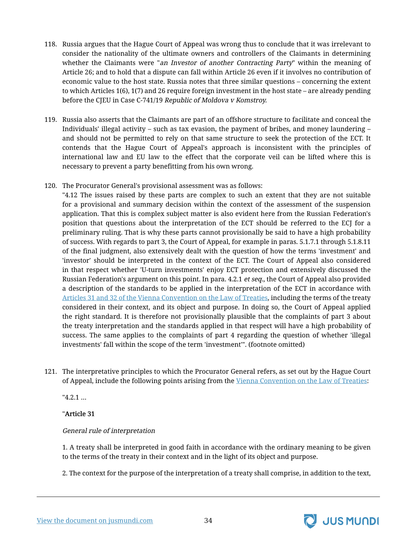- 118. Russia argues that the Hague Court of Appeal was wrong thus to conclude that it was irrelevant to consider the nationality of the ultimate owners and controllers of the Claimants in determining whether the Claimants were "an Investor of another Contracting Party" within the meaning of Article 26; and to hold that a dispute can fall within Article 26 even if it involves no contribution of economic value to the host state. Russia notes that three similar questions – concerning the extent to which Articles 1(6), 1(7) and 26 require foreign investment in the host state – are already pending before the CJEU in Case C-741/19 Republic of Moldova v Komstroy.
- 119. Russia also asserts that the Claimants are part of an offshore structure to facilitate and conceal the Individuals' illegal activity – such as tax evasion, the payment of bribes, and money laundering – and should not be permitted to rely on that same structure to seek the protection of the ECT. It contends that the Hague Court of Appeal's approach is inconsistent with the principles of international law and EU law to the effect that the corporate veil can be lifted where this is necessary to prevent a party benefitting from his own wrong.
- 120. The Procurator General's provisional assessment was as follows:
	- "4.12 The issues raised by these parts are complex to such an extent that they are not suitable for a provisional and summary decision within the context of the assessment of the suspension application. That this is complex subject matter is also evident here from the Russian Federation's position that questions about the interpretation of the ECT should be referred to the ECJ for a preliminary ruling. That is why these parts cannot provisionally be said to have a high probability of success. With regards to part 3, the Court of Appeal, for example in paras. 5.1.7.1 through 5.1.8.11 of the final judgment, also extensively dealt with the question of how the terms 'investment' and 'investor' should be interpreted in the context of the ECT. The Court of Appeal also considered in that respect whether 'U-turn investments' enjoy ECT protection and extensively discussed the Russian Federation's argument on this point. In para. 4.2.1 et seq., the Court of Appeal also provided a description of the standards to be applied in the interpretation of the ECT in accordance with [Articles 31 and 32 of the Vienna Convention on the Law of Treaties](https://jusmundi.com/en/document/h/NVFwR2lWbkFqaXdJRmhJT3hnNFo0NEhoLzFzTjdSbU9icGpNYlQ0N3hXUjByQUw3dW1hT1I5OW90REYzWjlFYW1iQm0xR2ZxcmE5MFIwL3EyeU1DWUVRbENBMnU5S3g1dERqLzZnTWNMRHc3U0YwLzlEK2VYZ1FOT1ZFUEszei8yM25adnZnUXlFS0VUZE44K1VxYnNNQWhnL25UaklhUkx3TnUyNUhIdlZvPQ==), including the terms of the treaty considered in their context, and its object and purpose. In doing so, the Court of Appeal applied the right standard. It is therefore not provisionally plausible that the complaints of part 3 about the treaty interpretation and the standards applied in that respect will have a high probability of success. The same applies to the complaints of part 4 regarding the question of whether 'illegal investments' fall within the scope of the term 'investment'". (footnote omitted)
- 121. The interpretative principles to which the Procurator General refers, as set out by the Hague Court of Appeal, include the following points arising from the [Vienna Convention on the Law of Treaties](https://jusmundi.com/en/document/h/NVFwR2lWbkFqaXdJRmhJT3hnNFo0NEhoLzFzTjdSbU9icGpNYlQ0N3hXUjByQUw3dW1hT1I5OW90REYzWjlFYW1iQm0xR2ZxcmE5MFIwL3EyeU1DWUVRbENBMnU5S3g1dERqLzZnTWNMRHc3U0YwLzlEK2VYZ1FOT1ZFUEszei8yM25adnZnUXlFS0VUZE44K1VxYnNFSWthUlBsT2ZpNWh3eUE2MTVGaXpnPQ==):

"4.2.1 …

#### "Article 31

#### General rule of interpretation

1. A treaty shall be interpreted in good faith in accordance with the ordinary meaning to be given to the terms of the treaty in their context and in the light of its object and purpose.

2. The context for the purpose of the interpretation of a treaty shall comprise, in addition to the text,

[View the document on jusmundi.com](https://jusmundi.com/en/document/decision/en-veteran-petroleum-limited-v-the-russian-federation-judgment-of-the-high-court-of-justice-of-england-and-wales-2021-ewhc-894-wednesday-14th-april-2021) 34

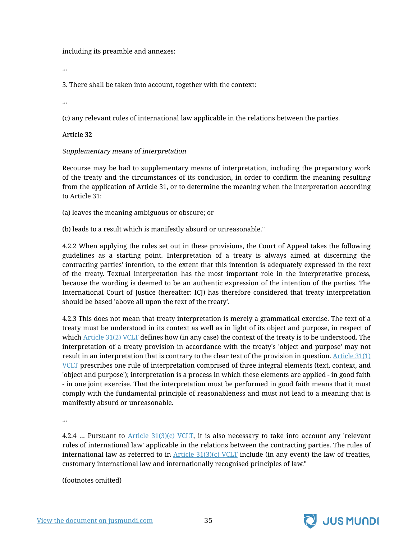including its preamble and annexes:

...

3. There shall be taken into account, together with the context:

...

(c) any relevant rules of international law applicable in the relations between the parties.

#### Article 32

#### Supplementary means of interpretation

Recourse may be had to supplementary means of interpretation, including the preparatory work of the treaty and the circumstances of its conclusion, in order to confirm the meaning resulting from the application of Article 31, or to determine the meaning when the interpretation according to Article 31:

(a) leaves the meaning ambiguous or obscure; or

(b) leads to a result which is manifestly absurd or unreasonable."

4.2.2 When applying the rules set out in these provisions, the Court of Appeal takes the following guidelines as a starting point. Interpretation of a treaty is always aimed at discerning the contracting parties' intention, to the extent that this intention is adequately expressed in the text of the treaty. Textual interpretation has the most important role in the interpretative process, because the wording is deemed to be an authentic expression of the intention of the parties. The International Court of Justice (hereafter: ICJ) has therefore considered that treaty interpretation should be based 'above all upon the text of the treaty'.

4.2.3 This does not mean that treaty interpretation is merely a grammatical exercise. The text of a treaty must be understood in its context as well as in light of its object and purpose, in respect of which [Article 31\(2\) VCLT](https://jusmundi.com/en/document/h/NVFwR2lWbkFqaXdJRmhJT3hnNFo0NEhoLzFzTjdSbU9icGpNYlQ0N3hXUjByQUw3dW1hT1I5OW90REYzWjlFYW1iQm0xR2ZxcmE5MFIwL3EyeU1DWUVRbENBMnU5S3g1dERqLzZnTWNMRHc3U0YwLzlEK2VYZ1FOT1ZFUEszei8yM25adnZnUXlFS0VUZE44K1VxYnNMYWVDSG9XLzdBOHI3ci9WS1ZxMFZRPQ==) defines how (in any case) the context of the treaty is to be understood. The interpretation of a treaty provision in accordance with the treaty's 'object and purpose' may not result in an interpretation that is contrary to the clear text of the provision in question. [Article 31\(1\)](https://jusmundi.com/en/document/h/NVFwR2lWbkFqaXdJRmhJT3hnNFo0NEhoLzFzTjdSbU9icGpNYlQ0N3hXUjByQUw3dW1hT1I5OW90REYzWjlFYW1iQm0xR2ZxcmE5MFIwL3EyeU1DWUVRbENBMnU5S3g1dERqLzZnTWNMRHc3U0YwLzlEK2VYZ1FOT1ZFUEszei8yM25adnZnUXlFS0VUZE44K1VxYnNHZy8vTXhHVnpTL1p1WUpPMGFFYWNNPQ==) [VCLT](https://jusmundi.com/en/document/h/NVFwR2lWbkFqaXdJRmhJT3hnNFo0NEhoLzFzTjdSbU9icGpNYlQ0N3hXUjByQUw3dW1hT1I5OW90REYzWjlFYW1iQm0xR2ZxcmE5MFIwL3EyeU1DWUVRbENBMnU5S3g1dERqLzZnTWNMRHc3U0YwLzlEK2VYZ1FOT1ZFUEszei8yM25adnZnUXlFS0VUZE44K1VxYnNHZy8vTXhHVnpTL1p1WUpPMGFFYWNNPQ==) prescribes one rule of interpretation comprised of three integral elements (text, context, and 'object and purpose'); interpretation is a process in which these elements are applied - in good faith - in one joint exercise. That the interpretation must be performed in good faith means that it must comply with the fundamental principle of reasonableness and must not lead to a meaning that is manifestly absurd or unreasonable.

...

4.2.4 ... Pursuant to  $\text{Article } 31(3)(c)$  VCLT, it is also necessary to take into account any 'relevant rules of international law' applicable in the relations between the contracting parties. The rules of international law as referred to in  $Article$   $31(3)(c)$  VCLT include (in any event) the law of treaties, customary international law and internationally recognised principles of law."

(footnotes omitted)

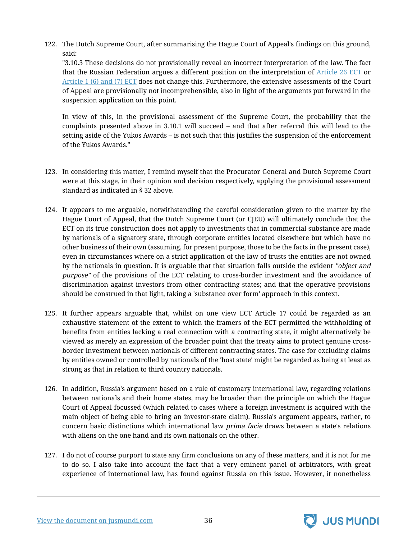122. The Dutch Supreme Court, after summarising the Hague Court of Appeal's findings on this ground, said:

"3.10.3 These decisions do not provisionally reveal an incorrect interpretation of the law. The fact that the Russian Federation argues a different position on the interpretation of [Article 26 ECT](https://jusmundi.com/en/document/h/clljWVJHbGxISEg0VUZMdWNJazE2TnJ3Mmxwb2NlQ1R3cmNjQXR1UDFhaUg5bDhhczBqUjlmYmVtWWhITFNjK3dCV0JaSFlDK3BFbFIyL0xvSHhiR2sxdnZtV2R3TDJsQUR2Q0hoUUhPeWlwUFRXK0ZmSTJDNUVyTytCd1RRNTNDQmJGNXZZVGpGLzhUODVQMzdWbEl3PT0=) or [Article 1 \(6\) and \(7\) ECT](https://jusmundi.com/en/document/h/clljWVJHbGxISEg0VUZMdWNJazE2TnJ3Mmxwb2NlQ1R3cmNjQXR1UDFhaUg5bDhhczBqUjlmYmVtWWhITFNjK3dCV0JaSFlDK3BFbFIyL0xvSHhiR2sxdnZtV2R3TDJsQUR2Q0hoUUhPeWlwUFRXK0ZmSTJDNUVyTytCd1RRNTNwN01Gb3dPWkZkKy8zeWpwclM0RlZBPT0=) does not change this. Furthermore, the extensive assessments of the Court of Appeal are provisionally not incomprehensible, also in light of the arguments put forward in the suspension application on this point.

In view of this, in the provisional assessment of the Supreme Court, the probability that the complaints presented above in 3.10.1 will succeed – and that after referral this will lead to the setting aside of the Yukos Awards – is not such that this justifies the suspension of the enforcement of the Yukos Awards."

- 123. In considering this matter, I remind myself that the Procurator General and Dutch Supreme Court were at this stage, in their opinion and decision respectively, applying the provisional assessment standard as indicated in § 32 above.
- 124. It appears to me arguable, notwithstanding the careful consideration given to the matter by the Hague Court of Appeal, that the Dutch Supreme Court (or CJEU) will ultimately conclude that the ECT on its true construction does not apply to investments that in commercial substance are made by nationals of a signatory state, through corporate entities located elsewhere but which have no other business of their own (assuming, for present purpose, those to be the facts in the present case), even in circumstances where on a strict application of the law of trusts the entities are not owned by the nationals in question. It is arguable that that situation falls outside the evident "object and purpose" of the provisions of the ECT relating to cross-border investment and the avoidance of discrimination against investors from other contracting states; and that the operative provisions should be construed in that light, taking a 'substance over form' approach in this context.
- 125. It further appears arguable that, whilst on one view ECT Article 17 could be regarded as an exhaustive statement of the extent to which the framers of the ECT permitted the withholding of benefits from entities lacking a real connection with a contracting state, it might alternatively be viewed as merely an expression of the broader point that the treaty aims to protect genuine crossborder investment between nationals of different contracting states. The case for excluding claims by entities owned or controlled by nationals of the 'host state' might be regarded as being at least as strong as that in relation to third country nationals.
- 126. In addition, Russia's argument based on a rule of customary international law, regarding relations between nationals and their home states, may be broader than the principle on which the Hague Court of Appeal focussed (which related to cases where a foreign investment is acquired with the main object of being able to bring an investor-state claim). Russia's argument appears, rather, to concern basic distinctions which international law prima facie draws between a state's relations with aliens on the one hand and its own nationals on the other.
- 127. I do not of course purport to state any firm conclusions on any of these matters, and it is not for me to do so. I also take into account the fact that a very eminent panel of arbitrators, with great experience of international law, has found against Russia on this issue. However, it nonetheless



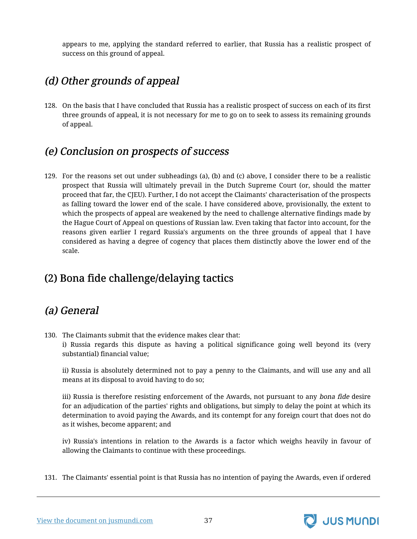appears to me, applying the standard referred to earlier, that Russia has a realistic prospect of success on this ground of appeal.

# (d) Other grounds of appeal

128. On the basis that I have concluded that Russia has a realistic prospect of success on each of its first three grounds of appeal, it is not necessary for me to go on to seek to assess its remaining grounds of appeal.

### (e) Conclusion on prospects of success

129. For the reasons set out under subheadings (a), (b) and (c) above, I consider there to be a realistic prospect that Russia will ultimately prevail in the Dutch Supreme Court (or, should the matter proceed that far, the CJEU). Further, I do not accept the Claimants' characterisation of the prospects as falling toward the lower end of the scale. I have considered above, provisionally, the extent to which the prospects of appeal are weakened by the need to challenge alternative findings made by the Hague Court of Appeal on questions of Russian law. Even taking that factor into account, for the reasons given earlier I regard Russia's arguments on the three grounds of appeal that I have considered as having a degree of cogency that places them distinctly above the lower end of the scale.

### (2) Bona fide challenge/delaying tactics

# (a) General

130. The Claimants submit that the evidence makes clear that: i) Russia regards this dispute as having a political significance going well beyond its (very substantial) financial value;

ii) Russia is absolutely determined not to pay a penny to the Claimants, and will use any and all means at its disposal to avoid having to do so;

iii) Russia is therefore resisting enforcement of the Awards, not pursuant to any bona fide desire for an adjudication of the parties' rights and obligations, but simply to delay the point at which its determination to avoid paying the Awards, and its contempt for any foreign court that does not do as it wishes, become apparent; and

iv) Russia's intentions in relation to the Awards is a factor which weighs heavily in favour of allowing the Claimants to continue with these proceedings.

131. The Claimants' essential point is that Russia has no intention of paying the Awards, even if ordered

[View the document on jusmundi.com](https://jusmundi.com/en/document/decision/en-veteran-petroleum-limited-v-the-russian-federation-judgment-of-the-high-court-of-justice-of-england-and-wales-2021-ewhc-894-wednesday-14th-april-2021) 37

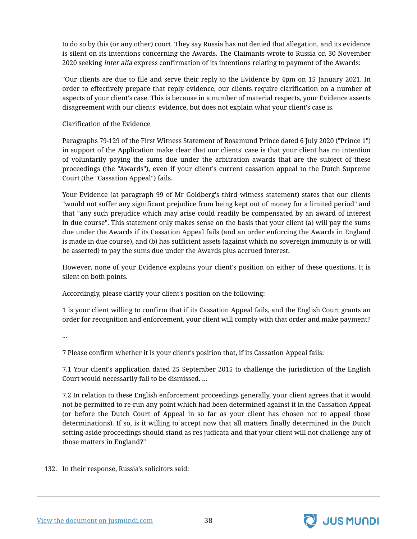to do so by this (or any other) court. They say Russia has not denied that allegation, and its evidence is silent on its intentions concerning the Awards. The Claimants wrote to Russia on 30 November 2020 seeking *inter alia* express confirmation of its intentions relating to payment of the Awards:

"Our clients are due to file and serve their reply to the Evidence by 4pm on 15 January 2021. In order to effectively prepare that reply evidence, our clients require clarification on a number of aspects of your client's case. This is because in a number of material respects, your Evidence asserts disagreement with our clients' evidence, but does not explain what your client's case is.

#### Clarification of the Evidence

Paragraphs 79-129 of the First Witness Statement of Rosamund Prince dated 6 July 2020 ("Prince 1") in support of the Application make clear that our clients' case is that your client has no intention of voluntarily paying the sums due under the arbitration awards that are the subject of these proceedings (the "Awards"), even if your client's current cassation appeal to the Dutch Supreme Court (the "Cassation Appeal") fails.

Your Evidence (at paragraph 99 of Mr Goldberg's third witness statement) states that our clients "would not suffer any significant prejudice from being kept out of money for a limited period" and that "any such prejudice which may arise could readily be compensated by an award of interest in due course". This statement only makes sense on the basis that your client (a) will pay the sums due under the Awards if its Cassation Appeal fails (and an order enforcing the Awards in England is made in due course), and (b) has sufficient assets (against which no sovereign immunity is or will be asserted) to pay the sums due under the Awards plus accrued interest.

However, none of your Evidence explains your client's position on either of these questions. It is silent on both points.

Accordingly, please clarify your client's position on the following:

1 Is your client willing to confirm that if its Cassation Appeal fails, and the English Court grants an order for recognition and enforcement, your client will comply with that order and make payment?

...

7 Please confirm whether it is your client's position that, if its Cassation Appeal fails:

7.1 Your client's application dated 25 September 2015 to challenge the jurisdiction of the English Court would necessarily fall to be dismissed. …

7.2 In relation to these English enforcement proceedings generally, your client agrees that it would not be permitted to re-run any point which had been determined against it in the Cassation Appeal (or before the Dutch Court of Appeal in so far as your client has chosen not to appeal those determinations). If so, is it willing to accept now that all matters finally determined in the Dutch setting-aside proceedings should stand as res judicata and that your client will not challenge any of those matters in England?"

132. In their response, Russia's solicitors said:

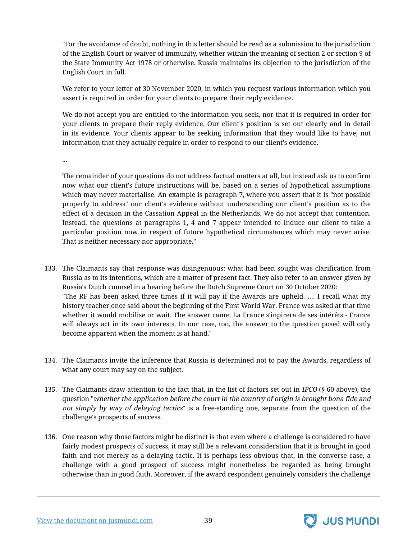"For the avoidance of doubt, nothing in this letter should be read as a submission to the jurisdiction of the English Court or waiver of immunity, whether within the meaning of section 2 or section 9 of the State Immunity Act 1978 or otherwise. Russia maintains its objection to the jurisdiction of the English Court in full.

We refer to your letter of 30 November 2020, in which you request various information which you assert is required in order for your clients to prepare their reply evidence.

We do not accept you are entitled to the information you seek, nor that it is required in order for your clients to prepare their reply evidence. Our client's position is set out clearly and in detail in its evidence. Your clients appear to be seeking information that they would like to have, not information that they actually require in order to respond to our client's evidence.

...

The remainder of your questions do not address factual matters at all, but instead ask us to confirm now what our client's future instructions will be, based on a series of hypothetical assumptions which may never materialise. An example is paragraph 7, where you assert that it is "not possible properly to address" our client's evidence without understanding our client's position as to the effect of a decision in the Cassation Appeal in the Netherlands. We do not accept that contention. Instead, the questions at paragraphs 1, 4 and 7 appear intended to induce our client to take a particular position now in respect of future hypothetical circumstances which may never arise. That is neither necessary nor appropriate."

- 133. The Claimants say that response was disingenuous: what had been sought was clarification from Russia as to its intentions, which are a matter of present fact. They also refer to an answer given by Russia's Dutch counsel in a hearing before the Dutch Supreme Court on 30 October 2020: "The RF has been asked three times if it will pay if the Awards are upheld. …. I recall what my history teacher once said about the beginning of the First World War. France was asked at that time whether it would mobilise or wait. The answer came: La France s'inpirera de ses intérêts - France will always act in its own interests. In our case, too, the answer to the question posed will only become apparent when the moment is at hand."
- 134. The Claimants invite the inference that Russia is determined not to pay the Awards, regardless of what any court may say on the subject.
- 135. The Claimants draw attention to the fact that, in the list of factors set out in IPCO (§ 60 above), the question "whether the application before the court in the country of origin is brought bona fide and not simply by way of delaying tactics" is a free-standing one, separate from the question of the challenge's prospects of success.
- 136. One reason why those factors might be distinct is that even where a challenge is considered to have fairly modest prospects of success, it may still be a relevant consideration that it is brought in good faith and not merely as a delaying tactic. It is perhaps less obvious that, in the converse case, a challenge with a good prospect of success might nonetheless be regarded as being brought otherwise than in good faith. Moreover, if the award respondent genuinely considers the challenge



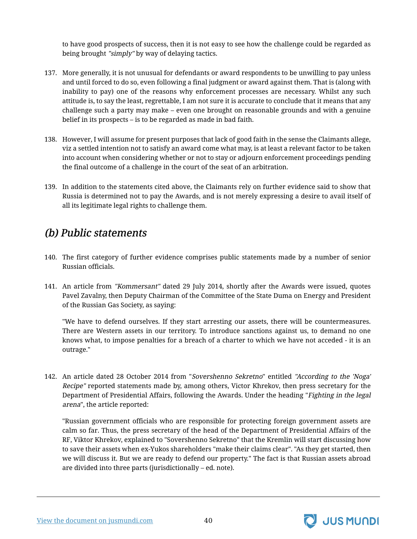to have good prospects of success, then it is not easy to see how the challenge could be regarded as being brought "simply" by way of delaying tactics.

- 137. More generally, it is not unusual for defendants or award respondents to be unwilling to pay unless and until forced to do so, even following a final judgment or award against them. That is (along with inability to pay) one of the reasons why enforcement processes are necessary. Whilst any such attitude is, to say the least, regrettable, I am not sure it is accurate to conclude that it means that any challenge such a party may make – even one brought on reasonable grounds and with a genuine belief in its prospects – is to be regarded as made in bad faith.
- 138. However, I will assume for present purposes that lack of good faith in the sense the Claimants allege, viz a settled intention not to satisfy an award come what may, is at least a relevant factor to be taken into account when considering whether or not to stay or adjourn enforcement proceedings pending the final outcome of a challenge in the court of the seat of an arbitration.
- 139. In addition to the statements cited above, the Claimants rely on further evidence said to show that Russia is determined not to pay the Awards, and is not merely expressing a desire to avail itself of all its legitimate legal rights to challenge them.

### (b) Public statements

- 140. The first category of further evidence comprises public statements made by a number of senior Russian officials.
- 141. An article from *"Kommersant"* dated 29 July 2014, shortly after the Awards were issued, quotes Pavel Zavalny, then Deputy Chairman of the Committee of the State Duma on Energy and President of the Russian Gas Society, as saying:

"We have to defend ourselves. If they start arresting our assets, there will be countermeasures. There are Western assets in our territory. To introduce sanctions against us, to demand no one knows what, to impose penalties for a breach of a charter to which we have not acceded - it is an outrage."

142. An article dated 28 October 2014 from "Sovershenno Sekretno" entitled "According to the 'Noga' Recipe" reported statements made by, among others, Victor Khrekov, then press secretary for the Department of Presidential Affairs, following the Awards. Under the heading "Fighting in the legal arena", the article reported:

"Russian government officials who are responsible for protecting foreign government assets are calm so far. Thus, the press secretary of the head of the Department of Presidential Affairs of the RF, Viktor Khrekov, explained to "Sovershenno Sekretno" that the Kremlin will start discussing how to save their assets when ex-Yukos shareholders "make their claims clear". "As they get started, then we will discuss it. But we are ready to defend our property." The fact is that Russian assets abroad are divided into three parts (jurisdictionally – ed. note).



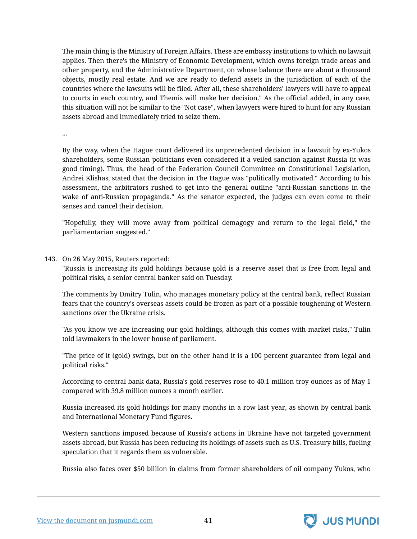The main thing is the Ministry of Foreign Affairs. These are embassy institutions to which no lawsuit applies. Then there's the Ministry of Economic Development, which owns foreign trade areas and other property, and the Administrative Department, on whose balance there are about a thousand objects, mostly real estate. And we are ready to defend assets in the jurisdiction of each of the countries where the lawsuits will be filed. After all, these shareholders' lawyers will have to appeal to courts in each country, and Themis will make her decision." As the official added, in any case, this situation will not be similar to the "Not case", when lawyers were hired to hunt for any Russian assets abroad and immediately tried to seize them.

...

By the way, when the Hague court delivered its unprecedented decision in a lawsuit by ex-Yukos shareholders, some Russian politicians even considered it a veiled sanction against Russia (it was good timing). Thus, the head of the Federation Council Committee on Constitutional Legislation, Andrei Klishas, stated that the decision in The Hague was "politically motivated." According to his assessment, the arbitrators rushed to get into the general outline "anti-Russian sanctions in the wake of anti-Russian propaganda." As the senator expected, the judges can even come to their senses and cancel their decision.

"Hopefully, they will move away from political demagogy and return to the legal field," the parliamentarian suggested."

#### 143. On 26 May 2015, Reuters reported:

"Russia is increasing its gold holdings because gold is a reserve asset that is free from legal and political risks, a senior central banker said on Tuesday.

The comments by Dmitry Tulin, who manages monetary policy at the central bank, reflect Russian fears that the country's overseas assets could be frozen as part of a possible toughening of Western sanctions over the Ukraine crisis.

"As you know we are increasing our gold holdings, although this comes with market risks," Tulin told lawmakers in the lower house of parliament.

"The price of it (gold) swings, but on the other hand it is a 100 percent guarantee from legal and political risks."

According to central bank data, Russia's gold reserves rose to 40.1 million troy ounces as of May 1 compared with 39.8 million ounces a month earlier.

Russia increased its gold holdings for many months in a row last year, as shown by central bank and International Monetary Fund figures.

Western sanctions imposed because of Russia's actions in Ukraine have not targeted government assets abroad, but Russia has been reducing its holdings of assets such as U.S. Treasury bills, fueling speculation that it regards them as vulnerable.

Russia also faces over \$50 billion in claims from former shareholders of oil company Yukos, who

[View the document on jusmundi.com](https://jusmundi.com/en/document/decision/en-veteran-petroleum-limited-v-the-russian-federation-judgment-of-the-high-court-of-justice-of-england-and-wales-2021-ewhc-894-wednesday-14th-april-2021) 41

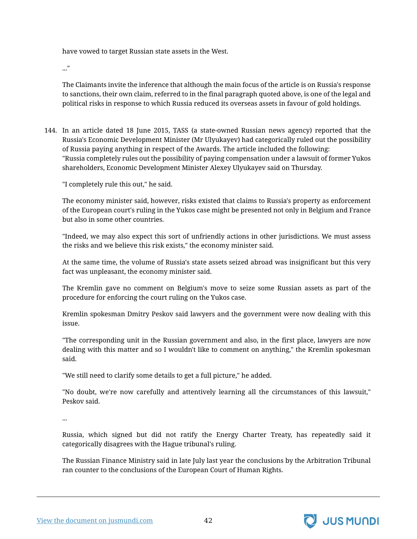have vowed to target Russian state assets in the West.

..."

The Claimants invite the inference that although the main focus of the article is on Russia's response to sanctions, their own claim, referred to in the final paragraph quoted above, is one of the legal and political risks in response to which Russia reduced its overseas assets in favour of gold holdings.

144. In an article dated 18 June 2015, TASS (a state-owned Russian news agency) reported that the Russia's Economic Development Minister (Mr Ulyukayev) had categorically ruled out the possibility of Russia paying anything in respect of the Awards. The article included the following: "Russia completely rules out the possibility of paying compensation under a lawsuit of former Yukos shareholders, Economic Development Minister Alexey Ulyukayev said on Thursday.

"I completely rule this out," he said.

The economy minister said, however, risks existed that claims to Russia's property as enforcement of the European court's ruling in the Yukos case might be presented not only in Belgium and France but also in some other countries.

"Indeed, we may also expect this sort of unfriendly actions in other jurisdictions. We must assess the risks and we believe this risk exists," the economy minister said.

At the same time, the volume of Russia's state assets seized abroad was insignificant but this very fact was unpleasant, the economy minister said.

The Kremlin gave no comment on Belgium's move to seize some Russian assets as part of the procedure for enforcing the court ruling on the Yukos case.

Kremlin spokesman Dmitry Peskov said lawyers and the government were now dealing with this issue.

"The corresponding unit in the Russian government and also, in the first place, lawyers are now dealing with this matter and so I wouldn't like to comment on anything," the Kremlin spokesman said.

"We still need to clarify some details to get a full picture," he added.

"No doubt, we're now carefully and attentively learning all the circumstances of this lawsuit," Peskov said.

...

Russia, which signed but did not ratify the Energy Charter Treaty, has repeatedly said it categorically disagrees with the Hague tribunal's ruling.

The Russian Finance Ministry said in late July last year the conclusions by the Arbitration Tribunal ran counter to the conclusions of the European Court of Human Rights.

[View the document on jusmundi.com](https://jusmundi.com/en/document/decision/en-veteran-petroleum-limited-v-the-russian-federation-judgment-of-the-high-court-of-justice-of-england-and-wales-2021-ewhc-894-wednesday-14th-april-2021) 42

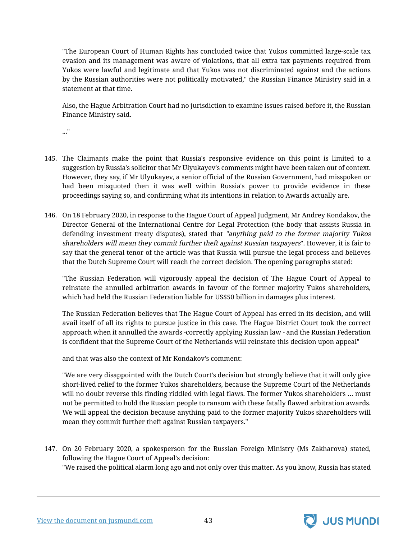"The European Court of Human Rights has concluded twice that Yukos committed large-scale tax evasion and its management was aware of violations, that all extra tax payments required from Yukos were lawful and legitimate and that Yukos was not discriminated against and the actions by the Russian authorities were not politically motivated," the Russian Finance Ministry said in a statement at that time.

Also, the Hague Arbitration Court had no jurisdiction to examine issues raised before it, the Russian Finance Ministry said.

..."

- 145. The Claimants make the point that Russia's responsive evidence on this point is limited to a suggestion by Russia's solicitor that Mr Ulyukayev's comments might have been taken out of context. However, they say, if Mr Ulyukayev, a senior official of the Russian Government, had misspoken or had been misquoted then it was well within Russia's power to provide evidence in these proceedings saying so, and confirming what its intentions in relation to Awards actually are.
- 146. On 18 February 2020, in response to the Hague Court of Appeal Judgment, Mr Andrey Kondakov, the Director General of the International Centre for Legal Protection (the body that assists Russia in defending investment treaty disputes), stated that "anything paid to the former majority Yukos shareholders will mean they commit further theft against Russian taxpayers". However, it is fair to say that the general tenor of the article was that Russia will pursue the legal process and believes that the Dutch Supreme Court will reach the correct decision. The opening paragraphs stated:

"The Russian Federation will vigorously appeal the decision of The Hague Court of Appeal to reinstate the annulled arbitration awards in favour of the former majority Yukos shareholders, which had held the Russian Federation liable for US\$50 billion in damages plus interest.

The Russian Federation believes that The Hague Court of Appeal has erred in its decision, and will avail itself of all its rights to pursue justice in this case. The Hague District Court took the correct approach when it annulled the awards -correctly applying Russian law - and the Russian Federation is confident that the Supreme Court of the Netherlands will reinstate this decision upon appeal"

and that was also the context of Mr Kondakov's comment:

"We are very disappointed with the Dutch Court's decision but strongly believe that it will only give short-lived relief to the former Yukos shareholders, because the Supreme Court of the Netherlands will no doubt reverse this finding riddled with legal flaws. The former Yukos shareholders … must not be permitted to hold the Russian people to ransom with these fatally flawed arbitration awards. We will appeal the decision because anything paid to the former majority Yukos shareholders will mean they commit further theft against Russian taxpayers."

147. On 20 February 2020, a spokesperson for the Russian Foreign Ministry (Ms Zakharova) stated, following the Hague Court of Appeal's decision:

"We raised the political alarm long ago and not only over this matter. As you know, Russia has stated

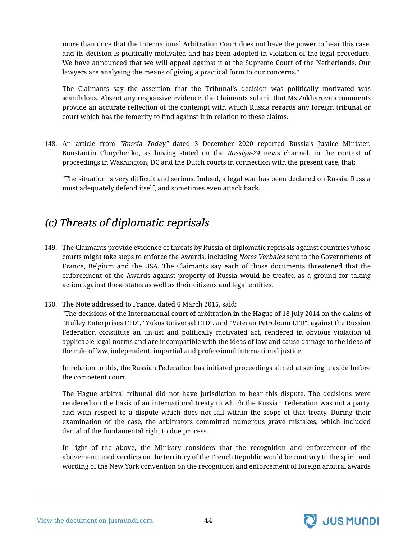more than once that the International Arbitration Court does not have the power to hear this case, and its decision is politically motivated and has been adopted in violation of the legal procedure. We have announced that we will appeal against it at the Supreme Court of the Netherlands. Our lawyers are analysing the means of giving a practical form to our concerns."

The Claimants say the assertion that the Tribunal's decision was politically motivated was scandalous. Absent any responsive evidence, the Claimants submit that Ms Zakharova's comments provide an accurate reflection of the contempt with which Russia regards any foreign tribunal or court which has the temerity to find against it in relation to these claims.

148. An article from *"Russia Today"* dated 3 December 2020 reported Russia's Justice Minister, Konstantin Chuychenko, as having stated on the Rossiya-24 news channel, in the context of proceedings in Washington, DC and the Dutch courts in connection with the present case, that:

"The situation is very difficult and serious. Indeed, a legal war has been declared on Russia. Russia must adequately defend itself, and sometimes even attack back."

### (c) Threats of diplomatic reprisals

- 149. The Claimants provide evidence of threats by Russia of diplomatic reprisals against countries whose courts might take steps to enforce the Awards, including Notes Verbales sent to the Governments of France, Belgium and the USA. The Claimants say each of those documents threatened that the enforcement of the Awards against property of Russia would be treated as a ground for taking action against these states as well as their citizens and legal entities.
- 150. The Note addressed to France, dated 6 March 2015, said:

"The decisions of the International court of arbitration in the Hague of 18 July 2014 on the claims of "Hulley Enterprises LTD", "Yukos Universal LTD", and "Veteran Petroleum LTD", against the Russian Federation constitute an unjust and politically motivated act, rendered in obvious violation of applicable legal norms and are incompatible with the ideas of law and cause damage to the ideas of the rule of law, independent, impartial and professional international justice.

In relation to this, the Russian Federation has initiated proceedings aimed at setting it aside before the competent court.

The Hague arbitral tribunal did not have jurisdiction to hear this dispute. The decisions were rendered on the basis of an international treaty to which the Russian Federation was not a party, and with respect to a dispute which does not fall within the scope of that treaty. During their examination of the case, the arbitrators committed numerous grave mistakes, which included denial of the fundamental right to due process.

In light of the above, the Ministry considers that the recognition and enforcement of the abovementioned verdicts on the territory of the French Republic would be contrary to the spirit and wording of the New York convention on the recognition and enforcement of foreign arbitral awards



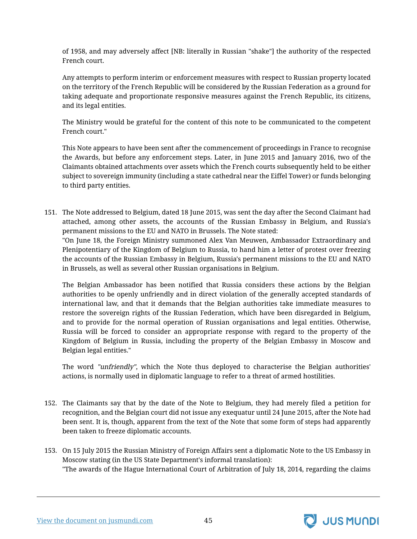of 1958, and may adversely affect [NB: literally in Russian "shake"] the authority of the respected French court.

Any attempts to perform interim or enforcement measures with respect to Russian property located on the territory of the French Republic will be considered by the Russian Federation as a ground for taking adequate and proportionate responsive measures against the French Republic, its citizens, and its legal entities.

The Ministry would be grateful for the content of this note to be communicated to the competent French court."

This Note appears to have been sent after the commencement of proceedings in France to recognise the Awards, but before any enforcement steps. Later, in June 2015 and January 2016, two of the Claimants obtained attachments over assets which the French courts subsequently held to be either subject to sovereign immunity (including a state cathedral near the Eiffel Tower) or funds belonging to third party entities.

151. The Note addressed to Belgium, dated 18 June 2015, was sent the day after the Second Claimant had attached, among other assets, the accounts of the Russian Embassy in Belgium, and Russia's permanent missions to the EU and NATO in Brussels. The Note stated:

"On June 18, the Foreign Ministry summoned Alex Van Meuwen, Ambassador Extraordinary and Plenipotentiary of the Kingdom of Belgium to Russia, to hand him a letter of protest over freezing the accounts of the Russian Embassy in Belgium, Russia's permanent missions to the EU and NATO in Brussels, as well as several other Russian organisations in Belgium.

The Belgian Ambassador has been notified that Russia considers these actions by the Belgian authorities to be openly unfriendly and in direct violation of the generally accepted standards of international law, and that it demands that the Belgian authorities take immediate measures to restore the sovereign rights of the Russian Federation, which have been disregarded in Belgium, and to provide for the normal operation of Russian organisations and legal entities. Otherwise, Russia will be forced to consider an appropriate response with regard to the property of the Kingdom of Belgium in Russia, including the property of the Belgian Embassy in Moscow and Belgian legal entities."

The word "unfriendly", which the Note thus deployed to characterise the Belgian authorities' actions, is normally used in diplomatic language to refer to a threat of armed hostilities.

- 152. The Claimants say that by the date of the Note to Belgium, they had merely filed a petition for recognition, and the Belgian court did not issue any exequatur until 24 June 2015, after the Note had been sent. It is, though, apparent from the text of the Note that some form of steps had apparently been taken to freeze diplomatic accounts.
- 153. On 15 July 2015 the Russian Ministry of Foreign Affairs sent a diplomatic Note to the US Embassy in Moscow stating (in the US State Department's informal translation): "The awards of the Hague International Court of Arbitration of July 18, 2014, regarding the claims



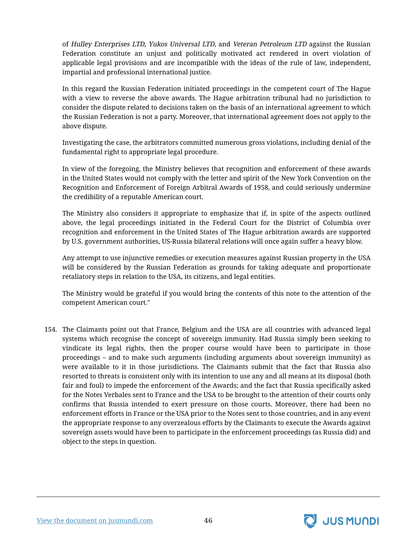of Hulley Enterprises LTD, Yukos Universal LTD, and Veteran Petroleum LTD against the Russian Federation constitute an unjust and politically motivated act rendered in overt violation of applicable legal provisions and are incompatible with the ideas of the rule of law, independent, impartial and professional international justice.

In this regard the Russian Federation initiated proceedings in the competent court of The Hague with a view to reverse the above awards. The Hague arbitration tribunal had no jurisdiction to consider the dispute related to decisions taken on the basis of an international agreement to which the Russian Federation is not a party. Moreover, that international agreement does not apply to the above dispute.

Investigating the case, the arbitrators committed numerous gross violations, including denial of the fundamental right to appropriate legal procedure.

In view of the foregoing, the Ministry believes that recognition and enforcement of these awards in the United States would not comply with the letter and spirit of the New York Convention on the Recognition and Enforcement of Foreign Arbitral Awards of 1958, and could seriously undermine the credibility of a reputable American court.

The Ministry also considers it appropriate to emphasize that if, in spite of the aspects outlined above, the legal proceedings initiated in the Federal Court for the District of Columbia over recognition and enforcement in the United States of The Hague arbitration awards are supported by U.S. government authorities, US-Russia bilateral relations will once again suffer a heavy blow.

Any attempt to use injunctive remedies or execution measures against Russian property in the USA will be considered by the Russian Federation as grounds for taking adequate and proportionate retaliatory steps in relation to the USA, its citizens, and legal entities.

The Ministry would be grateful if you would bring the contents of this note to the attention of the competent American court."

154. The Claimants point out that France, Belgium and the USA are all countries with advanced legal systems which recognise the concept of sovereign immunity. Had Russia simply been seeking to vindicate its legal rights, then the proper course would have been to participate in those proceedings – and to make such arguments (including arguments about sovereign immunity) as were available to it in those jurisdictions. The Claimants submit that the fact that Russia also resorted to threats is consistent only with its intention to use any and all means at its disposal (both fair and foul) to impede the enforcement of the Awards; and the fact that Russia specifically asked for the Notes Verbales sent to France and the USA to be brought to the attention of their courts only confirms that Russia intended to exert pressure on those courts. Moreover, there had been no enforcement efforts in France or the USA prior to the Notes sent to those countries, and in any event the appropriate response to any overzealous efforts by the Claimants to execute the Awards against sovereign assets would have been to participate in the enforcement proceedings (as Russia did) and object to the steps in question.

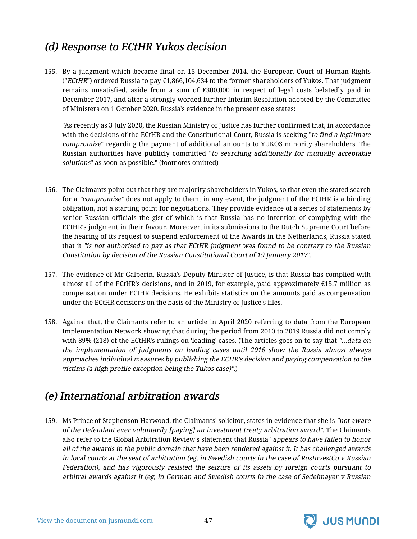# (d) Response to ECtHR Yukos decision

155. By a judgment which became final on 15 December 2014, the European Court of Human Rights ("ECtHR") ordered Russia to pay  $\epsilon$ 1,866,104,634 to the former shareholders of Yukos. That judgment remains unsatisfied, aside from a sum of €300,000 in respect of legal costs belatedly paid in December 2017, and after a strongly worded further Interim Resolution adopted by the Committee of Ministers on 1 October 2020. Russia's evidence in the present case states:

"As recently as 3 July 2020, the Russian Ministry of Justice has further confirmed that, in accordance with the decisions of the ECtHR and the Constitutional Court, Russia is seeking "to find a legitimate compromise" regarding the payment of additional amounts to YUKOS minority shareholders. The Russian authorities have publicly committed "to searching additionally for mutually acceptable solutions" as soon as possible." (footnotes omitted)

- 156. The Claimants point out that they are majority shareholders in Yukos, so that even the stated search for a "compromise" does not apply to them; in any event, the judgment of the ECtHR is a binding obligation, not a starting point for negotiations. They provide evidence of a series of statements by senior Russian officials the gist of which is that Russia has no intention of complying with the ECtHR's judgment in their favour. Moreover, in its submissions to the Dutch Supreme Court before the hearing of its request to suspend enforcement of the Awards in the Netherlands, Russia stated that it "is not authorised to pay as that ECtHR judgment was found to be contrary to the Russian Constitution by decision of the Russian Constitutional Court of 19 January 2017".
- 157. The evidence of Mr Galperin, Russia's Deputy Minister of Justice, is that Russia has complied with almost all of the ECtHR's decisions, and in 2019, for example, paid approximately €15.7 million as compensation under ECtHR decisions. He exhibits statistics on the amounts paid as compensation under the ECtHR decisions on the basis of the Ministry of Justice's files.
- 158. Against that, the Claimants refer to an article in April 2020 referring to data from the European Implementation Network showing that during the period from 2010 to 2019 Russia did not comply with 89% (218) of the ECtHR's rulings on 'leading' cases. (The articles goes on to say that "...data on the implementation of judgments on leading cases until 2016 show the Russia almost always approaches individual measures by publishing the ECHR's decision and paying compensation to the victims (a high profile exception being the Yukos case)".)

### (e) International arbitration awards

159. Ms Prince of Stephenson Harwood, the Claimants' solicitor, states in evidence that she is *"not aware* of the Defendant ever voluntarily [paying] an investment treaty arbitration award". The Claimants also refer to the Global Arbitration Review's statement that Russia "appears to have failed to honor all of the awards in the public domain that have been rendered against it. It has challenged awards in local courts at the seat of arbitration (eg, in Swedish courts in the case of RosInvestCo <sup>v</sup> Russian Federation), and has vigorously resisted the seizure of its assets by foreign courts pursuant to arbitral awards against it (eg, in German and Swedish courts in the case of Sedelmayer <sup>v</sup> Russian

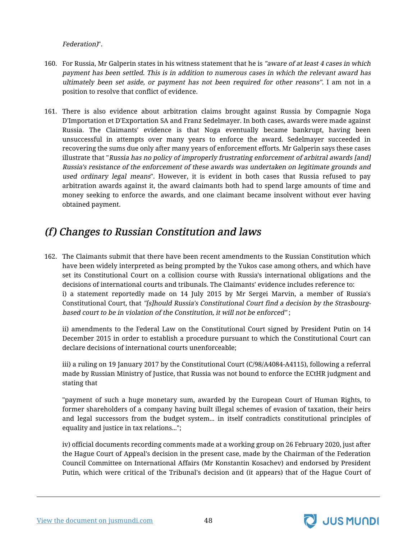Federation)".

- 160. For Russia, Mr Galperin states in his witness statement that he is *"aware of at least 4 cases in which* payment has been settled. This is in addition to numerous cases in which the relevant award has ultimately been set aside, or payment has not been required for other reasons". I am not in a position to resolve that conflict of evidence.
- 161. There is also evidence about arbitration claims brought against Russia by Compagnie Noga D'Importation et D'Exportation SA and Franz Sedelmayer. In both cases, awards were made against Russia. The Claimants' evidence is that Noga eventually became bankrupt, having been unsuccessful in attempts over many years to enforce the award. Sedelmayer succeeded in recovering the sums due only after many years of enforcement efforts. Mr Galperin says these cases illustrate that "Russia has no policy of improperly frustrating enforcement of arbitral awards [and] Russia's resistance of the enforcement of these awards was undertaken on legitimate grounds and used ordinary legal means". However, it is evident in both cases that Russia refused to pay arbitration awards against it, the award claimants both had to spend large amounts of time and money seeking to enforce the awards, and one claimant became insolvent without ever having obtained payment.

### (f) Changes to Russian Constitution and laws

162. The Claimants submit that there have been recent amendments to the Russian Constitution which have been widely interpreted as being prompted by the Yukos case among others, and which have set its Constitutional Court on a collision course with Russia's international obligations and the decisions of international courts and tribunals. The Claimants' evidence includes reference to: i) a statement reportedly made on 14 July 2015 by Mr Sergei Marvin, a member of Russia's Constitutional Court, that "[s]hould Russia's Constitutional Court find <sup>a</sup> decision by the Strasbourgbased court to be in violation of the Constitution, it will not be enforced" ;

ii) amendments to the Federal Law on the Constitutional Court signed by President Putin on 14 December 2015 in order to establish a procedure pursuant to which the Constitutional Court can declare decisions of international courts unenforceable;

iii) a ruling on 19 January 2017 by the Constitutional Court (C/98/A4084-A4115), following a referral made by Russian Ministry of Justice, that Russia was not bound to enforce the ECtHR judgment and stating that

"payment of such a huge monetary sum, awarded by the European Court of Human Rights, to former shareholders of a company having built illegal schemes of evasion of taxation, their heirs and legal successors from the budget system... in itself contradicts constitutional principles of equality and justice in tax relations...";

iv) official documents recording comments made at a working group on 26 February 2020, just after the Hague Court of Appeal's decision in the present case, made by the Chairman of the Federation Council Committee on International Affairs (Mr Konstantin Kosachev) and endorsed by President Putin, which were critical of the Tribunal's decision and (it appears) that of the Hague Court of

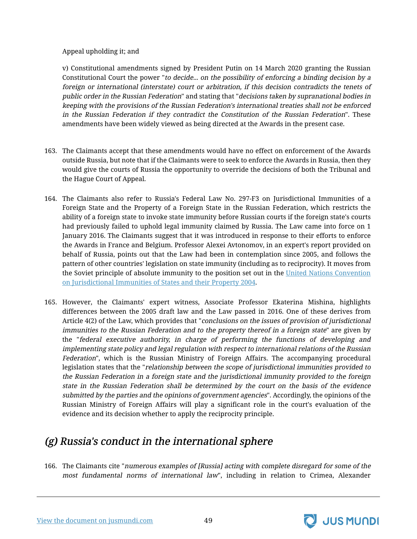#### Appeal upholding it; and

v) Constitutional amendments signed by President Putin on 14 March 2020 granting the Russian Constitutional Court the power "to decide... on the possibility of enforcing <sup>a</sup> binding decision by <sup>a</sup> foreign or international (interstate) court or arbitration, if this decision contradicts the tenets of public order in the Russian Federation" and stating that "decisions taken by supranational bodies in keeping with the provisions of the Russian Federation's international treaties shall not be enforced in the Russian Federation if they contradict the Constitution of the Russian Federation". These amendments have been widely viewed as being directed at the Awards in the present case.

- 163. The Claimants accept that these amendments would have no effect on enforcement of the Awards outside Russia, but note that if the Claimants were to seek to enforce the Awards in Russia, then they would give the courts of Russia the opportunity to override the decisions of both the Tribunal and the Hague Court of Appeal.
- 164. The Claimants also refer to Russia's Federal Law No. 297-F3 on Jurisdictional Immunities of a Foreign State and the Property of a Foreign State in the Russian Federation, which restricts the ability of a foreign state to invoke state immunity before Russian courts if the foreign state's courts had previously failed to uphold legal immunity claimed by Russia. The Law came into force on 1 January 2016. The Claimants suggest that it was introduced in response to their efforts to enforce the Awards in France and Belgium. Professor Alexei Avtonomov, in an expert's report provided on behalf of Russia, points out that the Law had been in contemplation since 2005, and follows the pattern of other countries' legislation on state immunity (including as to reciprocity). It moves from the Soviet principle of absolute immunity to the position set out in the [United Nations Convention](https://jusmundi.com/en/document/h/QU40cHZUZkJRUURFNUNJWUNndHJFdFdrdHhZSWZBTE04d2NyNTNwTzd2VzhSOStPeE01ZlVDSHhNanlFMm42TlpZL212cERWMlQ0YzBoNFhvcWttMlJucDErK0xNNUVpbGROY0hodWVQNFVxOFF5ZXRRQUxLa0VoTVovMW8wd2w1Y0hCYXEwVGd3VDhaVnNPSGNKZDdnQVdlMDdONDBHbVFwdy95R0I2VGJXTTkrNytxQnp0NjQzenozMllHNitSZ0pyUVBjeGRia3RvZzlnbEJDczJwMmFRSU0zS09pSlJDT1E5NVprSitVaGYrRDlPWENpdXE1Y3RuV1EzclF3RnM5M3FsV3RZNURjK1lQWTNuekpxS3c9PQ==) [on Jurisdictional Immunities of States and their Property 2004](https://jusmundi.com/en/document/h/QU40cHZUZkJRUURFNUNJWUNndHJFdFdrdHhZSWZBTE04d2NyNTNwTzd2VzhSOStPeE01ZlVDSHhNanlFMm42TlpZL212cERWMlQ0YzBoNFhvcWttMlJucDErK0xNNUVpbGROY0hodWVQNFVxOFF5ZXRRQUxLa0VoTVovMW8wd2w1Y0hCYXEwVGd3VDhaVnNPSGNKZDdnQVdlMDdONDBHbVFwdy95R0I2VGJXTTkrNytxQnp0NjQzenozMllHNitSZ0pyUVBjeGRia3RvZzlnbEJDczJwMmFRSU0zS09pSlJDT1E5NVprSitVaGYrRDlPWENpdXE1Y3RuV1EzclF3RnM5M3FsV3RZNURjK1lQWTNuekpxS3c9PQ==).
- 165. However, the Claimants' expert witness, Associate Professor Ekaterina Mishina, highlights differences between the 2005 draft law and the Law passed in 2016. One of these derives from Article 4(2) of the Law, which provides that "conclusions on the issues of provision of jurisdictional immunities to the Russian Federation and to the property thereof in <sup>a</sup> foreign state" are given by the "federal executive authority, in charge of performing the functions of developing and implementing state policy and legal regulation with respect to international relations of the Russian Federation", which is the Russian Ministry of Foreign Affairs. The accompanying procedural legislation states that the "relationship between the scope of jurisdictional immunities provided to the Russian Federation in <sup>a</sup> foreign state and the jurisdictional immunity provided to the foreign state in the Russian Federation shall be determined by the court on the basis of the evidence submitted by the parties and the opinions of government agencies". Accordingly, the opinions of the Russian Ministry of Foreign Affairs will play a significant role in the court's evaluation of the evidence and its decision whether to apply the reciprocity principle.

### (g) Russia's conduct in the international sphere

166. The Claimants cite "numerous examples of [Russia] acting with complete disregard for some of the most fundamental norms of international law", including in relation to Crimea, Alexander

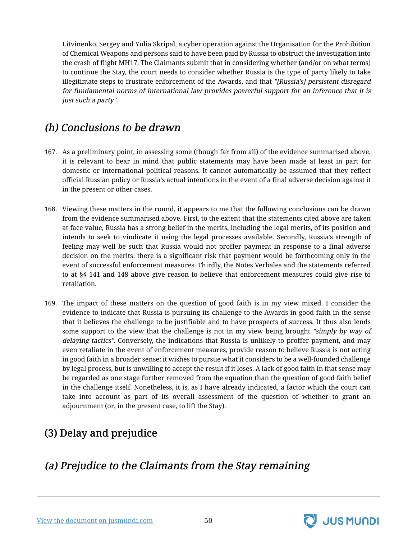Litvinenko, Sergey and Yulia Skripal, a cyber operation against the Organisation for the Prohibition of Chemical Weapons and persons said to have been paid by Russia to obstruct the investigation into the crash of flight MH17. The Claimants submit that in considering whether (and/or on what terms) to continue the Stay, the court needs to consider whether Russia is the type of party likely to take illegitimate steps to frustrate enforcement of the Awards, and that "[Russia's] persistent disregard for fundamental norms of international law provides powerful support for an inference that it is just such a party".

### (h) Conclusions to be drawn

- 167. As a preliminary point, in assessing some (though far from all) of the evidence summarised above, it is relevant to bear in mind that public statements may have been made at least in part for domestic or international political reasons. It cannot automatically be assumed that they reflect official Russian policy or Russia's actual intentions in the event of a final adverse decision against it in the present or other cases.
- 168. Viewing these matters in the round, it appears to me that the following conclusions can be drawn from the evidence summarised above. First, to the extent that the statements cited above are taken at face value, Russia has a strong belief in the merits, including the legal merits, of its position and intends to seek to vindicate it using the legal processes available. Secondly, Russia's strength of feeling may well be such that Russia would not proffer payment in response to a final adverse decision on the merits: there is a significant risk that payment would be forthcoming only in the event of successful enforcement measures. Thirdly, the Notes Verbales and the statements referred to at §§ 141 and 148 above give reason to believe that enforcement measures could give rise to retaliation.
- 169. The impact of these matters on the question of good faith is in my view mixed. I consider the evidence to indicate that Russia is pursuing its challenge to the Awards in good faith in the sense that it believes the challenge to be justifiable and to have prospects of success. It thus also lends some support to the view that the challenge is not in my view being brought "simply by way of delaying tactics". Conversely, the indications that Russia is unlikely to proffer payment, and may even retaliate in the event of enforcement measures, provide reason to believe Russia is not acting in good faith in a broader sense: it wishes to pursue what it considers to be a well-founded challenge by legal process, but is unwilling to accept the result if it loses. A lack of good faith in that sense may be regarded as one stage further removed from the equation than the question of good faith belief in the challenge itself. Nonetheless, it is, as I have already indicated, a factor which the court can take into account as part of its overall assessment of the question of whether to grant an adjournment (or, in the present case, to lift the Stay).

### (3) Delay and prejudice

### (a) Prejudice to the Claimants from the Stay remaining

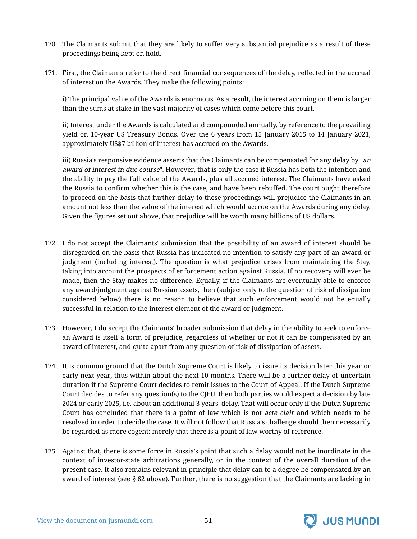- 170. The Claimants submit that they are likely to suffer very substantial prejudice as a result of these proceedings being kept on hold.
- 171. <u>First</u>, the Claimants refer to the direct financial consequences of the delay, reflected in the accrual of interest on the Awards. They make the following points:

i) The principal value of the Awards is enormous. As a result, the interest accruing on them is larger than the sums at stake in the vast majority of cases which come before this court.

ii) Interest under the Awards is calculated and compounded annually, by reference to the prevailing yield on 10-year US Treasury Bonds. Over the 6 years from 15 January 2015 to 14 January 2021, approximately US\$7 billion of interest has accrued on the Awards.

iii) Russia's responsive evidence asserts that the Claimants can be compensated for any delay by "an award of interest in due course". However, that is only the case if Russia has both the intention and the ability to pay the full value of the Awards, plus all accrued interest. The Claimants have asked the Russia to confirm whether this is the case, and have been rebuffed. The court ought therefore to proceed on the basis that further delay to these proceedings will prejudice the Claimants in an amount not less than the value of the interest which would accrue on the Awards during any delay. Given the figures set out above, that prejudice will be worth many billions of US dollars.

- 172. I do not accept the Claimants' submission that the possibility of an award of interest should be disregarded on the basis that Russia has indicated no intention to satisfy any part of an award or judgment (including interest). The question is what prejudice arises from maintaining the Stay, taking into account the prospects of enforcement action against Russia. If no recovery will ever be made, then the Stay makes no difference. Equally, if the Claimants are eventually able to enforce any award/judgment against Russian assets, then (subject only to the question of risk of dissipation considered below) there is no reason to believe that such enforcement would not be equally successful in relation to the interest element of the award or judgment.
- 173. However, I do accept the Claimants' broader submission that delay in the ability to seek to enforce an Award is itself a form of prejudice, regardless of whether or not it can be compensated by an award of interest, and quite apart from any question of risk of dissipation of assets.
- 174. It is common ground that the Dutch Supreme Court is likely to issue its decision later this year or early next year, thus within about the next 10 months. There will be a further delay of uncertain duration if the Supreme Court decides to remit issues to the Court of Appeal. If the Dutch Supreme Court decides to refer any question(s) to the CJEU, then both parties would expect a decision by late 2024 or early 2025, i.e. about an additional 3 years' delay. That will occur only if the Dutch Supreme Court has concluded that there is a point of law which is not *acte clair* and which needs to be resolved in order to decide the case. It will not follow that Russia's challenge should then necessarily be regarded as more cogent: merely that there is a point of law worthy of reference.
- 175. Against that, there is some force in Russia's point that such a delay would not be inordinate in the context of investor-state arbitrations generally, or in the context of the overall duration of the present case. It also remains relevant in principle that delay can to a degree be compensated by an award of interest (see § 62 above). Further, there is no suggestion that the Claimants are lacking in

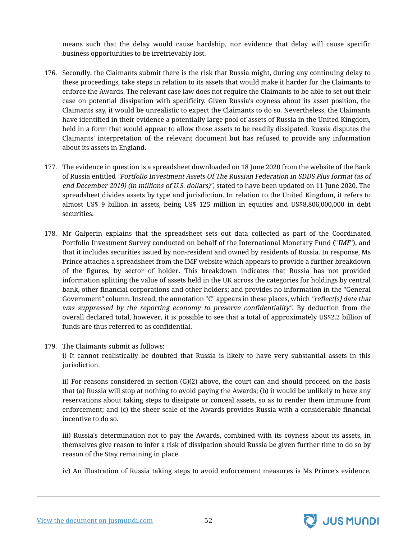means such that the delay would cause hardship, nor evidence that delay will cause specific business opportunities to be irretrievably lost.

- 176. <u>Secondly</u>, the Claimants submit there is the risk that Russia might, during any continuing delay to these proceedings, take steps in relation to its assets that would make it harder for the Claimants to enforce the Awards. The relevant case law does not require the Claimants to be able to set out their case on potential dissipation with specificity. Given Russia's coyness about its asset position, the Claimants say, it would be unrealistic to expect the Claimants to do so. Nevertheless, the Claimants have identified in their evidence a potentially large pool of assets of Russia in the United Kingdom, held in a form that would appear to allow those assets to be readily dissipated. Russia disputes the Claimants' interpretation of the relevant document but has refused to provide any information about its assets in England.
- 177. The evidence in question is a spreadsheet downloaded on 18 June 2020 from the website of the Bank of Russia entitled "Portfolio Investment Assets Of The Russian Federation in SDDS Plus format (as of end December 2019) (in millions of U.S. dollars)", stated to have been updated on 11 June 2020. The spreadsheet divides assets by type and jurisdiction. In relation to the United Kingdom, it refers to almost US\$ 9 billion in assets, being US\$ 125 million in equities and US\$8,806,000,000 in debt securities.
- 178. Mr Galperin explains that the spreadsheet sets out data collected as part of the Coordinated Portfolio Investment Survey conducted on behalf of the International Monetary Fund ("IMF"), and that it includes securities issued by non-resident and owned by residents of Russia. In response, Ms Prince attaches a spreadsheet from the IMF website which appears to provide a further breakdown of the figures, by sector of holder. This breakdown indicates that Russia has not provided information splitting the value of assets held in the UK across the categories for holdings by central bank, other financial corporations and other holders; and provides no information in the "General Government" column. Instead, the annotation "C" appears in these places, which "reflect[s] data that was suppressed by the reporting economy to preserve confidentiality". By deduction from the overall declared total, however, it is possible to see that a total of approximately US\$2.2 billion of funds are thus referred to as confidential.
- 179. The Claimants submit as follows:

i) It cannot realistically be doubted that Russia is likely to have very substantial assets in this jurisdiction.

ii) For reasons considered in section (G)(2) above, the court can and should proceed on the basis that (a) Russia will stop at nothing to avoid paying the Awards; (b) it would be unlikely to have any reservations about taking steps to dissipate or conceal assets, so as to render them immune from enforcement; and (c) the sheer scale of the Awards provides Russia with a considerable financial incentive to do so.

iii) Russia's determination not to pay the Awards, combined with its coyness about its assets, in themselves give reason to infer a risk of dissipation should Russia be given further time to do so by reason of the Stay remaining in place.

iv) An illustration of Russia taking steps to avoid enforcement measures is Ms Prince's evidence,

[View the document on jusmundi.com](https://jusmundi.com/en/document/decision/en-veteran-petroleum-limited-v-the-russian-federation-judgment-of-the-high-court-of-justice-of-england-and-wales-2021-ewhc-894-wednesday-14th-april-2021) 52

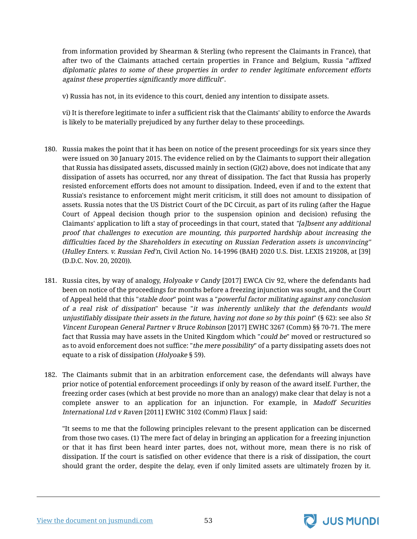from information provided by Shearman & Sterling (who represent the Claimants in France), that after two of the Claimants attached certain properties in France and Belgium, Russia "affixed diplomatic plates to some of these properties in order to render legitimate enforcement efforts against these properties significantly more difficult".

v) Russia has not, in its evidence to this court, denied any intention to dissipate assets.

vi) It is therefore legitimate to infer a sufficient risk that the Claimants' ability to enforce the Awards is likely to be materially prejudiced by any further delay to these proceedings.

- 180. Russia makes the point that it has been on notice of the present proceedings for six years since they were issued on 30 January 2015. The evidence relied on by the Claimants to support their allegation that Russia has dissipated assets, discussed mainly in section (G)(2) above, does not indicate that any dissipation of assets has occurred, nor any threat of dissipation. The fact that Russia has properly resisted enforcement efforts does not amount to dissipation. Indeed, even if and to the extent that Russia's resistance to enforcement might merit criticism, it still does not amount to dissipation of assets. Russia notes that the US District Court of the DC Circuit, as part of its ruling (after the Hague Court of Appeal decision though prior to the suspension opinion and decision) refusing the Claimants' application to lift a stay of proceedings in that court, stated that "[a]bsent any additional proof that challenges to execution are mounting, this purported hardship about increasing the difficulties faced by the Shareholders in executing on Russian Federation assets is unconvincing" (Hulley Enters. v. Russian Fed'n, Civil Action No. 14-1996 (BAH) 2020 U.S. Dist. LEXIS 219208, at [39] (D.D.C. Nov. 20, 2020)).
- 181. Russia cites, by way of analogy, *Holyoake v Candy* [2017] EWCA Civ 92, where the defendants had been on notice of the proceedings for months before a freezing injunction was sought, and the Court of Appeal held that this "stable door" point was a "powerful factor militating against any conclusion of <sup>a</sup> real risk of dissipation" because "it was inherently unlikely that the defendants would unjustifiably dissipate their assets in the future, having not done so by this point" (§ 62): see also St Vincent European General Partner <sup>v</sup> Bruce Robinson [2017] EWHC 3267 (Comm) §§ 70-71. The mere fact that Russia may have assets in the United Kingdom which "could be" moved or restructured so as to avoid enforcement does not suffice: "the mere possibility" of a party dissipating assets does not equate to a risk of dissipation (Holyoake § 59).
- 182. The Claimants submit that in an arbitration enforcement case, the defendants will always have prior notice of potential enforcement proceedings if only by reason of the award itself. Further, the freezing order cases (which at best provide no more than an analogy) make clear that delay is not a complete answer to an application for an injunction. For example, in Madoff Securities International Ltd v Raven [2011] EWHC 3102 (Comm) Flaux J said:

"It seems to me that the following principles relevant to the present application can be discerned from those two cases. (1) The mere fact of delay in bringing an application for a freezing injunction or that it has first been heard inter partes, does not, without more, mean there is no risk of dissipation. If the court is satisfied on other evidence that there is a risk of dissipation, the court should grant the order, despite the delay, even if only limited assets are ultimately frozen by it.



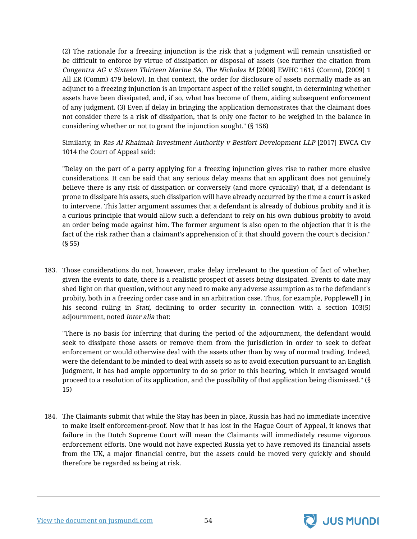(2) The rationale for a freezing injunction is the risk that a judgment will remain unsatisfied or be difficult to enforce by virtue of dissipation or disposal of assets (see further the citation from Congentra AG <sup>v</sup> Sixteen Thirteen Marine SA, The Nicholas <sup>M</sup> [2008] EWHC 1615 (Comm), [2009] 1 All ER (Comm) 479 below). In that context, the order for disclosure of assets normally made as an adjunct to a freezing injunction is an important aspect of the relief sought, in determining whether assets have been dissipated, and, if so, what has become of them, aiding subsequent enforcement of any judgment. (3) Even if delay in bringing the application demonstrates that the claimant does not consider there is a risk of dissipation, that is only one factor to be weighed in the balance in considering whether or not to grant the injunction sought." (§ 156)

Similarly, in Ras Al Khaimah Investment Authority <sup>v</sup> Bestfort Development LLP [2017] EWCA Civ 1014 the Court of Appeal said:

"Delay on the part of a party applying for a freezing injunction gives rise to rather more elusive considerations. It can be said that any serious delay means that an applicant does not genuinely believe there is any risk of dissipation or conversely (and more cynically) that, if a defendant is prone to dissipate his assets, such dissipation will have already occurred by the time a court is asked to intervene. This latter argument assumes that a defendant is already of dubious probity and it is a curious principle that would allow such a defendant to rely on his own dubious probity to avoid an order being made against him. The former argument is also open to the objection that it is the fact of the risk rather than a claimant's apprehension of it that should govern the court's decision." (§ 55)

183. Those considerations do not, however, make delay irrelevant to the question of fact of whether, given the events to date, there is a realistic prospect of assets being dissipated. Events to date may shed light on that question, without any need to make any adverse assumption as to the defendant's probity, both in a freezing order case and in an arbitration case. Thus, for example, Popplewell J in his second ruling in *Stati*, declining to order security in connection with a section 103(5) adjournment, noted *inter alia* that:

"There is no basis for inferring that during the period of the adjournment, the defendant would seek to dissipate those assets or remove them from the jurisdiction in order to seek to defeat enforcement or would otherwise deal with the assets other than by way of normal trading. Indeed, were the defendant to be minded to deal with assets so as to avoid execution pursuant to an English Judgment, it has had ample opportunity to do so prior to this hearing, which it envisaged would proceed to a resolution of its application, and the possibility of that application being dismissed." (§ 15)

184. The Claimants submit that while the Stay has been in place, Russia has had no immediate incentive to make itself enforcement-proof. Now that it has lost in the Hague Court of Appeal, it knows that failure in the Dutch Supreme Court will mean the Claimants will immediately resume vigorous enforcement efforts. One would not have expected Russia yet to have removed its financial assets from the UK, a major financial centre, but the assets could be moved very quickly and should therefore be regarded as being at risk.

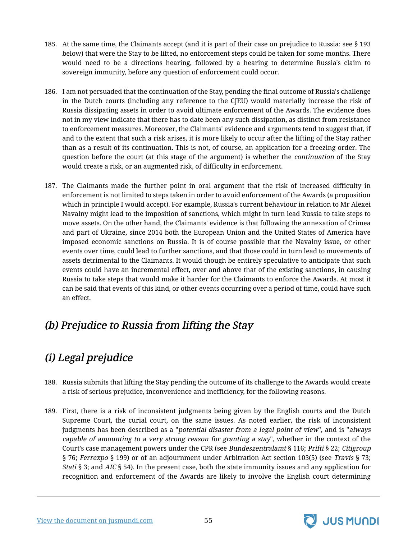- 185. At the same time, the Claimants accept (and it is part of their case on prejudice to Russia: see § 193 below) that were the Stay to be lifted, no enforcement steps could be taken for some months. There would need to be a directions hearing, followed by a hearing to determine Russia's claim to sovereign immunity, before any question of enforcement could occur.
- 186. I am not persuaded that the continuation of the Stay, pending the final outcome of Russia's challenge in the Dutch courts (including any reference to the CJEU) would materially increase the risk of Russia dissipating assets in order to avoid ultimate enforcement of the Awards. The evidence does not in my view indicate that there has to date been any such dissipation, as distinct from resistance to enforcement measures. Moreover, the Claimants' evidence and arguments tend to suggest that, if and to the extent that such a risk arises, it is more likely to occur after the lifting of the Stay rather than as a result of its continuation. This is not, of course, an application for a freezing order. The question before the court (at this stage of the argument) is whether the continuation of the Stay would create a risk, or an augmented risk, of difficulty in enforcement.
- 187. The Claimants made the further point in oral argument that the risk of increased difficulty in enforcement is not limited to steps taken in order to avoid enforcement of the Awards (a proposition which in principle I would accept). For example, Russia's current behaviour in relation to Mr Alexei Navalny might lead to the imposition of sanctions, which might in turn lead Russia to take steps to move assets. On the other hand, the Claimants' evidence is that following the annexation of Crimea and part of Ukraine, since 2014 both the European Union and the United States of America have imposed economic sanctions on Russia. It is of course possible that the Navalny issue, or other events over time, could lead to further sanctions, and that those could in turn lead to movements of assets detrimental to the Claimants. It would though be entirely speculative to anticipate that such events could have an incremental effect, over and above that of the existing sanctions, in causing Russia to take steps that would make it harder for the Claimants to enforce the Awards. At most it can be said that events of this kind, or other events occurring over a period of time, could have such an effect.

### (b) Prejudice to Russia from lifting the Stay

# (i) Legal prejudice

- 188. Russia submits that lifting the Stay pending the outcome of its challenge to the Awards would create a risk of serious prejudice, inconvenience and inefficiency, for the following reasons.
- 189. First, there is a risk of inconsistent judgments being given by the English courts and the Dutch Supreme Court, the curial court, on the same issues. As noted earlier, the risk of inconsistent judgments has been described as a "potential disaster from a legal point of view", and is "always capable of amounting to <sup>a</sup> very strong reason for granting <sup>a</sup> stay", whether in the context of the Court's case management powers under the CPR (see Bundeszentralamt § 116; Prifti § 22; Citigroup § 76; Ferrexpo § 199) or of an adjournment under Arbitration Act section 103(5) (see Travis § 73; Stati § 3; and AIC § 54). In the present case, both the state immunity issues and any application for recognition and enforcement of the Awards are likely to involve the English court determining

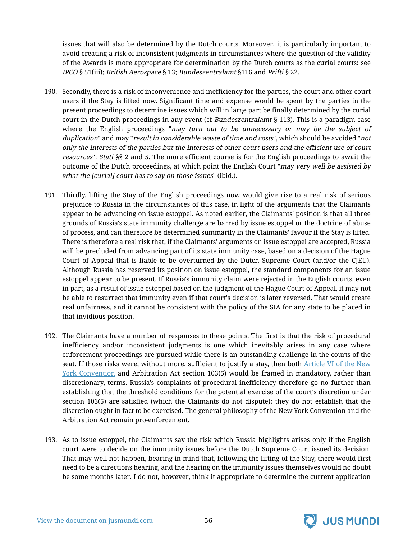issues that will also be determined by the Dutch courts. Moreover, it is particularly important to avoid creating a risk of inconsistent judgments in circumstances where the question of the validity of the Awards is more appropriate for determination by the Dutch courts as the curial courts: see IPCO § 51(iii); British Aerospace § 13; Bundeszentralamt §116 and Prifti § 22.

- 190. Secondly, there is a risk of inconvenience and inefficiency for the parties, the court and other court users if the Stay is lifted now. Significant time and expense would be spent by the parties in the present proceedings to determine issues which will in large part be finally determined by the curial court in the Dutch proceedings in any event (cf Bundeszentralamt § 113). This is a paradigm case where the English proceedings "may turn out to be unnecessary or may be the subject of duplication" and may "result in considerable waste of time and costs", which should be avoided "not only the interests of the parties but the interests of other court users and the efficient use of court resources": Stati §§ 2 and 5. The more efficient course is for the English proceedings to await the outcome of the Dutch proceedings, at which point the English Court "may very well be assisted by what the [curial] court has to say on those issues" (ibid.).
- 191. Thirdly, lifting the Stay of the English proceedings now would give rise to a real risk of serious prejudice to Russia in the circumstances of this case, in light of the arguments that the Claimants appear to be advancing on issue estoppel. As noted earlier, the Claimants' position is that all three grounds of Russia's state immunity challenge are barred by issue estoppel or the doctrine of abuse of process, and can therefore be determined summarily in the Claimants' favour if the Stay is lifted. There is therefore a real risk that, if the Claimants' arguments on issue estoppel are accepted, Russia will be precluded from advancing part of its state immunity case, based on a decision of the Hague Court of Appeal that is liable to be overturned by the Dutch Supreme Court (and/or the CJEU). Although Russia has reserved its position on issue estoppel, the standard components for an issue estoppel appear to be present. If Russia's immunity claim were rejected in the English courts, even in part, as a result of issue estoppel based on the judgment of the Hague Court of Appeal, it may not be able to resurrect that immunity even if that court's decision is later reversed. That would create real unfairness, and it cannot be consistent with the policy of the SIA for any state to be placed in that invidious position.
- 192. The Claimants have a number of responses to these points. The first is that the risk of procedural inefficiency and/or inconsistent judgments is one which inevitably arises in any case where enforcement proceedings are pursued while there is an outstanding challenge in the courts of the seat. If those risks were, without more, sufficient to justify a stay, then both [Article VI of the New](https://jusmundi.com/en/document/h/QU40cHZUZkJRUURFNUNJWUNndHJFdFdrdHhZSWZBTE04d2NyNTNwTzd2V2duWUJtOHZza3ltZUJSaUhVNXdFOExaYVowY0tWcnZHNGM1NHE3aHVGSmExb3B0MjRsUXpSazdZZk9PM0hHNWpvL2RJWTdHY3VBam44cllUUTc3bDF6TWkwY1ZCOXI5RGg5S0ZhRmN3WlBIeThCSGZUalVXUU9EQ2c1bGpHYWhremdFdjZoYVFraTFaeWMzQTcydEtaRXBQYnBZUjllOHF6ZEdZc1BMcDhwQT09) [York Convention](https://jusmundi.com/en/document/h/QU40cHZUZkJRUURFNUNJWUNndHJFdFdrdHhZSWZBTE04d2NyNTNwTzd2V2duWUJtOHZza3ltZUJSaUhVNXdFOExaYVowY0tWcnZHNGM1NHE3aHVGSmExb3B0MjRsUXpSazdZZk9PM0hHNWpvL2RJWTdHY3VBam44cllUUTc3bDF6TWkwY1ZCOXI5RGg5S0ZhRmN3WlBIeThCSGZUalVXUU9EQ2c1bGpHYWhremdFdjZoYVFraTFaeWMzQTcydEtaRXBQYnBZUjllOHF6ZEdZc1BMcDhwQT09) and Arbitration Act section 103(5) would be framed in mandatory, rather than discretionary, terms. Russia's complaints of procedural inefficiency therefore go no further than establishing that the threshold conditions for the potential exercise of the court's discretion under section 103(5) are satisfied (which the Claimants do not dispute): they do not establish that the discretion ought in fact to be exercised. The general philosophy of the New York Convention and the Arbitration Act remain pro-enforcement.
- 193. As to issue estoppel, the Claimants say the risk which Russia highlights arises only if the English court were to decide on the immunity issues before the Dutch Supreme Court issued its decision. That may well not happen, bearing in mind that, following the lifting of the Stay, there would first need to be a directions hearing, and the hearing on the immunity issues themselves would no doubt be some months later. I do not, however, think it appropriate to determine the current application

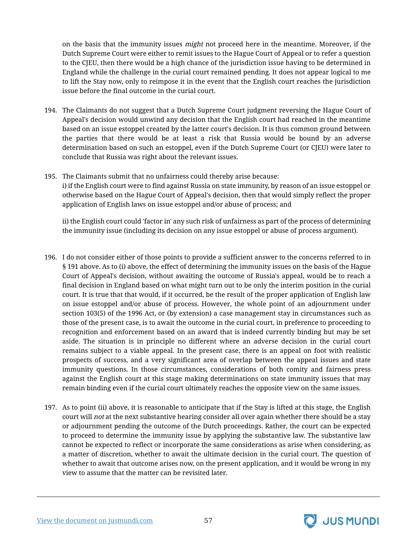on the basis that the immunity issues *might* not proceed here in the meantime. Moreover, if the Dutch Supreme Court were either to remit issues to the Hague Court of Appeal or to refer a question to the CJEU, then there would be a high chance of the jurisdiction issue having to be determined in England while the challenge in the curial court remained pending. It does not appear logical to me to lift the Stay now, only to reimpose it in the event that the English court reaches the jurisdiction issue before the final outcome in the curial court.

- 194. The Claimants do not suggest that a Dutch Supreme Court judgment reversing the Hague Court of Appeal's decision would unwind any decision that the English court had reached in the meantime based on an issue estoppel created by the latter court's decision. It is thus common ground between the parties that there would be at least a risk that Russia would be bound by an adverse determination based on such an estoppel, even if the Dutch Supreme Court (or CJEU) were later to conclude that Russia was right about the relevant issues.
- 195. The Claimants submit that no unfairness could thereby arise because: i) if the English court were to find against Russia on state immunity, by reason of an issue estoppel or otherwise based on the Hague Court of Appeal's decision, then that would simply reflect the proper application of English laws on issue estoppel and/or abuse of process; and

ii) the English court could 'factor in' any such risk of unfairness as part of the process of determining the immunity issue (including its decision on any issue estoppel or abuse of process argument).

- 196. I do not consider either of those points to provide a sufficient answer to the concerns referred to in § 191 above. As to (i) above, the effect of determining the immunity issues on the basis of the Hague Court of Appeal's decision, without awaiting the outcome of Russia's appeal, would be to reach a final decision in England based on what might turn out to be only the interim position in the curial court. It is true that that would, if it occurred, be the result of the proper application of English law on issue estoppel and/or abuse of process. However, the whole point of an adjournment under section 103(5) of the 1996 Act, or (by extension) a case management stay in circumstances such as those of the present case, is to await the outcome in the curial court, in preference to proceeding to recognition and enforcement based on an award that is indeed currently binding but may be set aside. The situation is in principle no different where an adverse decision in the curial court remains subject to a viable appeal. In the present case, there is an appeal on foot with realistic prospects of success, and a very significant area of overlap between the appeal issues and state immunity questions. In those circumstances, considerations of both comity and fairness press against the English court at this stage making determinations on state immunity issues that may remain binding even if the curial court ultimately reaches the opposite view on the same issues.
- 197. As to point (ii) above, it is reasonable to anticipate that if the Stay is lifted at this stage, the English court will not at the next substantive hearing consider all over again whether there should be a stay or adjournment pending the outcome of the Dutch proceedings. Rather, the court can be expected to proceed to determine the immunity issue by applying the substantive law. The substantive law cannot be expected to reflect or incorporate the same considerations as arise when considering, as a matter of discretion, whether to await the ultimate decision in the curial court. The question of whether to await that outcome arises now, on the present application, and it would be wrong in my view to assume that the matter can be revisited later.



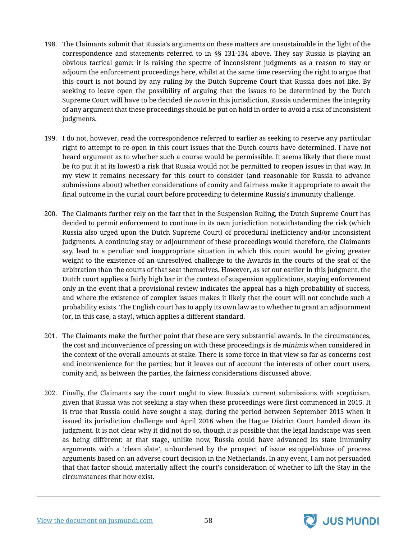- 198. The Claimants submit that Russia's arguments on these matters are unsustainable in the light of the correspondence and statements referred to in §§ 131-134 above. They say Russia is playing an obvious tactical game: it is raising the spectre of inconsistent judgments as a reason to stay or adjourn the enforcement proceedings here, whilst at the same time reserving the right to argue that this court is not bound by any ruling by the Dutch Supreme Court that Russia does not like. By seeking to leave open the possibility of arguing that the issues to be determined by the Dutch Supreme Court will have to be decided *de novo* in this jurisdiction, Russia undermines the integrity of any argument that these proceedings should be put on hold in order to avoid a risk of inconsistent judgments.
- 199. I do not, however, read the correspondence referred to earlier as seeking to reserve any particular right to attempt to re-open in this court issues that the Dutch courts have determined. I have not heard argument as to whether such a course would be permissible. It seems likely that there must be (to put it at its lowest) a risk that Russia would not be permitted to reopen issues in that way. In my view it remains necessary for this court to consider (and reasonable for Russia to advance submissions about) whether considerations of comity and fairness make it appropriate to await the final outcome in the curial court before proceeding to determine Russia's immunity challenge.
- 200. The Claimants further rely on the fact that in the Suspension Ruling, the Dutch Supreme Court has decided to permit enforcement to continue in its own jurisdiction notwithstanding the risk (which Russia also urged upon the Dutch Supreme Court) of procedural inefficiency and/or inconsistent judgments. A continuing stay or adjournment of these proceedings would therefore, the Claimants say, lead to a peculiar and inappropriate situation in which this court would be giving greater weight to the existence of an unresolved challenge to the Awards in the courts of the seat of the arbitration than the courts of that seat themselves. However, as set out earlier in this judgment, the Dutch court applies a fairly high bar in the context of suspension applications, staying enforcement only in the event that a provisional review indicates the appeal has a high probability of success, and where the existence of complex issues makes it likely that the court will not conclude such a probability exists. The English court has to apply its own law as to whether to grant an adjournment (or, in this case, a stay), which applies a different standard.
- 201. The Claimants make the further point that these are very substantial awards. In the circumstances, the cost and inconvenience of pressing on with these proceedings is de minimis when considered in the context of the overall amounts at stake. There is some force in that view so far as concerns cost and inconvenience for the parties; but it leaves out of account the interests of other court users, comity and, as between the parties, the fairness considerations discussed above.
- 202. Finally, the Claimants say the court ought to view Russia's current submissions with scepticism, given that Russia was not seeking a stay when these proceedings were first commenced in 2015. It is true that Russia could have sought a stay, during the period between September 2015 when it issued its jurisdiction challenge and April 2016 when the Hague District Court handed down its judgment. It is not clear why it did not do so, though it is possible that the legal landscape was seen as being different: at that stage, unlike now, Russia could have advanced its state immunity arguments with a 'clean slate', unburdened by the prospect of issue estoppel/abuse of process arguments based on an adverse court decision in the Netherlands. In any event, I am not persuaded that that factor should materially affect the court's consideration of whether to lift the Stay in the circumstances that now exist.



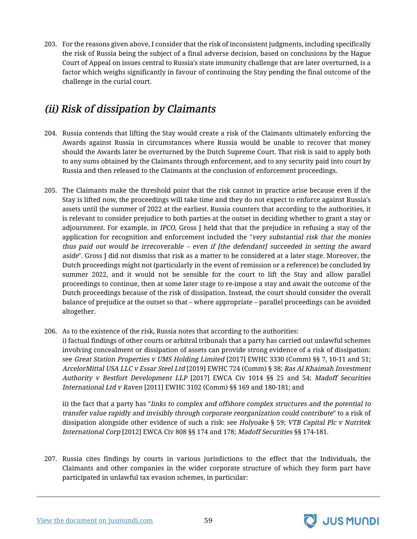203. For the reasons given above, I consider that the risk of inconsistent judgments, including specifically the risk of Russia being the subject of a final adverse decision, based on conclusions by the Hague Court of Appeal on issues central to Russia's state immunity challenge that are later overturned, is a factor which weighs significantly in favour of continuing the Stay pending the final outcome of the challenge in the curial court.

## (ii) Risk of dissipation by Claimants

- 204. Russia contends that lifting the Stay would create a risk of the Claimants ultimately enforcing the Awards against Russia in circumstances where Russia would be unable to recover that money should the Awards later be overturned by the Dutch Supreme Court. That risk is said to apply both to any sums obtained by the Claimants through enforcement, and to any security paid into court by Russia and then released to the Claimants at the conclusion of enforcement proceedings.
- 205. The Claimants make the threshold point that the risk cannot in practice arise because even if the Stay is lifted now, the proceedings will take time and they do not expect to enforce against Russia's assets until the summer of 2022 at the earliest. Russia counters that according to the authorities, it is relevant to consider prejudice to both parties at the outset in deciding whether to grant a stay or adjournment. For example, in *IPCO*, Gross I held that that the prejudice in refusing a stay of the application for recognition and enforcement included the "very substantial risk that the monies thus paid out would be irrecoverable – even if [the defendant] succeeded in setting the award aside". Gross J did not dismiss that risk as a matter to be considered at a later stage. Moreover, the Dutch proceedings might not (particularly in the event of remission or a reference) be concluded by summer 2022, and it would not be sensible for the court to lift the Stay and allow parallel proceedings to continue, then at some later stage to re-impose a stay and await the outcome of the Dutch proceedings because of the risk of dissipation. Instead, the court should consider the overall balance of prejudice at the outset so that – where appropriate – parallel proceedings can be avoided altogether.
- 206. As to the existence of the risk, Russia notes that according to the authorities:

i) factual findings of other courts or arbitral tribunals that a party has carried out unlawful schemes involving concealment or dissipation of assets can provide strong evidence of a risk of dissipation: see Great Station Properties v UMS Holding Limited [2017] EWHC 3330 (Comm) §§ 7, 10-11 and 51; ArcelorMittal USA LLC <sup>v</sup> Essar Steel Ltd [2019] EWHC 724 (Comm) § 38; Ras Al Khaimah Investment Authority <sup>v</sup> Bestfort Development LLP [2017] EWCA Civ 1014 §§ 25 and 54; Madoff Securities International Ltd v Raven [2011] EWHC 3102 (Comm) §§ 169 and 180-181; and

ii) the fact that a party has "links to complex and offshore complex structures and the potential to transfer value rapidly and invisibly through corporate reorganization could contribute" to a risk of dissipation alongside other evidence of such a risk: see Holyoake § 59; VTB Capital Plc v Nutritek International Corp [2012] EWCA Civ 808 §§ 174 and 178; Madoff Securities §§ 174-181.

207. Russia cites findings by courts in various jurisdictions to the effect that the Individuals, the Claimants and other companies in the wider corporate structure of which they form part have participated in unlawful tax evasion schemes, in particular:



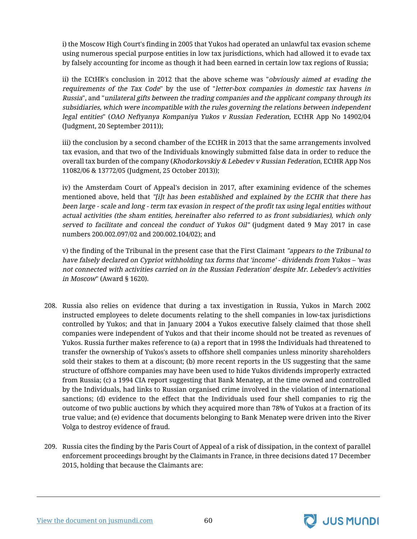i) the Moscow High Court's finding in 2005 that Yukos had operated an unlawful tax evasion scheme using numerous special purpose entities in low tax jurisdictions, which had allowed it to evade tax by falsely accounting for income as though it had been earned in certain low tax regions of Russia;

ii) the ECtHR's conclusion in 2012 that the above scheme was "obviously aimed at evading the requirements of the Tax Code" by the use of "letter-box companies in domestic tax havens in Russia", and "unilateral gifts between the trading companies and the applicant company through its subsidiaries, which were incompatible with the rules governing the relations between independent legal entities" (OAO Neftyanya Kompaniya Yukos <sup>v</sup> Russian Federation, ECtHR App No 14902/04 (Judgment, 20 September 2011));

iii) the conclusion by a second chamber of the ECtHR in 2013 that the same arrangements involved tax evasion, and that two of the Individuals knowingly submitted false data in order to reduce the overall tax burden of the company (Khodorkovskiy & Lebedev v Russian Federation, ECtHR App Nos 11082/06 & 13772/05 (Judgment, 25 October 2013));

iv) the Amsterdam Court of Appeal's decision in 2017, after examining evidence of the schemes mentioned above, held that "[i]t has been established and explained by the ECHR that there has been large ‐ scale and long ‐ term tax evasion in respect of the profit tax using legal entities without actual activities (the sham entities, hereinafter also referred to as front subsidiaries), which only served to facilitate and conceal the conduct of Yukos Oil" (judgment dated 9 May 2017 in case numbers 200.002.097/02 and 200.002.104/02); and

v) the finding of the Tribunal in the present case that the First Claimant "appears to the Tribunal to have falsely declared on Cypriot withholding tax forms that 'income' - dividends from Yukos – 'was not connected with activities carried on in the Russian Federation' despite Mr. Lebedev's activities in Moscow" (Award § 1620).

- 208. Russia also relies on evidence that during a tax investigation in Russia, Yukos in March 2002 instructed employees to delete documents relating to the shell companies in low-tax jurisdictions controlled by Yukos; and that in January 2004 a Yukos executive falsely claimed that those shell companies were independent of Yukos and that their income should not be treated as revenues of Yukos. Russia further makes reference to (a) a report that in 1998 the Individuals had threatened to transfer the ownership of Yukos's assets to offshore shell companies unless minority shareholders sold their stakes to them at a discount; (b) more recent reports in the US suggesting that the same structure of offshore companies may have been used to hide Yukos dividends improperly extracted from Russia; (c) a 1994 CIA report suggesting that Bank Menatep, at the time owned and controlled by the Individuals, had links to Russian organised crime involved in the violation of international sanctions; (d) evidence to the effect that the Individuals used four shell companies to rig the outcome of two public auctions by which they acquired more than 78% of Yukos at a fraction of its true value; and (e) evidence that documents belonging to Bank Menatep were driven into the River Volga to destroy evidence of fraud.
- 209. Russia cites the finding by the Paris Court of Appeal of a risk of dissipation, in the context of parallel enforcement proceedings brought by the Claimants in France, in three decisions dated 17 December 2015, holding that because the Claimants are:



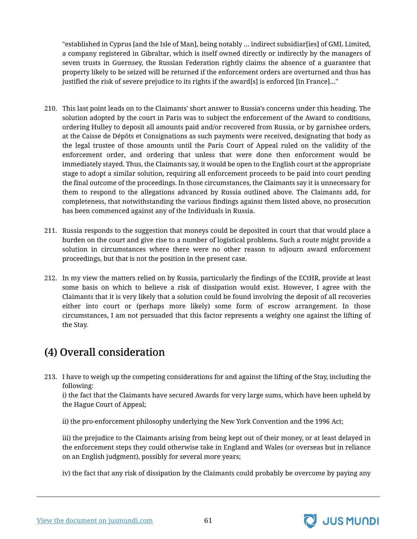"established in Cyprus [and the Isle of Man], being notably … indirect subsidiar[ies] of GML Limited, a company registered in Gibraltar, which is itself owned directly or indirectly by the managers of seven trusts in Guernsey, the Russian Federation rightly claims the absence of a guarantee that property likely to be seized will be returned if the enforcement orders are overturned and thus has justified the risk of severe prejudice to its rights if the award[s] is enforced [in France]…"

- 210. This last point leads on to the Claimants' short answer to Russia's concerns under this heading. The solution adopted by the court in Paris was to subject the enforcement of the Award to conditions, ordering Hulley to deposit all amounts paid and/or recovered from Russia, or by garnishee orders, at the Caisse de Dépôts et Consignations as such payments were received, designating that body as the legal trustee of those amounts until the Paris Court of Appeal ruled on the validity of the enforcement order, and ordering that unless that were done then enforcement would be immediately stayed. Thus, the Claimants say, it would be open to the English court at the appropriate stage to adopt a similar solution, requiring all enforcement proceeds to be paid into court pending the final outcome of the proceedings. In those circumstances, the Claimants say it is unnecessary for them to respond to the allegations advanced by Russia outlined above. The Claimants add, for completeness, that notwithstanding the various findings against them listed above, no prosecution has been commenced against any of the Individuals in Russia.
- 211. Russia responds to the suggestion that moneys could be deposited in court that that would place a burden on the court and give rise to a number of logistical problems. Such a route might provide a solution in circumstances where there were no other reason to adjourn award enforcement proceedings, but that is not the position in the present case.
- 212. In my view the matters relied on by Russia, particularly the findings of the ECtHR, provide at least some basis on which to believe a risk of dissipation would exist. However, I agree with the Claimants that it is very likely that a solution could be found involving the deposit of all recoveries either into court or (perhaps more likely) some form of escrow arrangement. In those circumstances, I am not persuaded that this factor represents a weighty one against the lifting of the Stay.

# (4) Overall consideration

213. I have to weigh up the competing considerations for and against the lifting of the Stay, including the following:

i) the fact that the Claimants have secured Awards for very large sums, which have been upheld by the Hague Court of Appeal;

ii) the pro-enforcement philosophy underlying the New York Convention and the 1996 Act;

iii) the prejudice to the Claimants arising from being kept out of their money, or at least delayed in the enforcement steps they could otherwise take in England and Wales (or overseas but in reliance on an English judgment), possibly for several more years;

iv) the fact that any risk of dissipation by the Claimants could probably be overcome by paying any

[View the document on jusmundi.com](https://jusmundi.com/en/document/decision/en-veteran-petroleum-limited-v-the-russian-federation-judgment-of-the-high-court-of-justice-of-england-and-wales-2021-ewhc-894-wednesday-14th-april-2021) 61

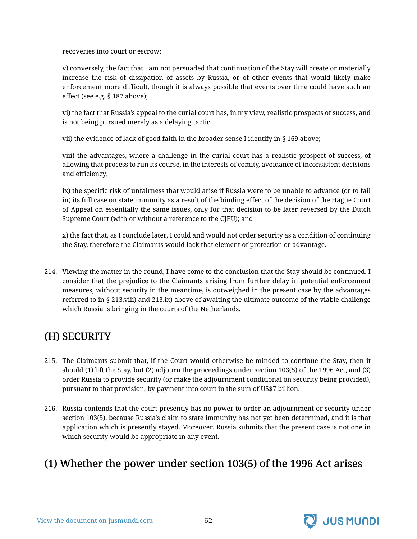recoveries into court or escrow;

v) conversely, the fact that I am not persuaded that continuation of the Stay will create or materially increase the risk of dissipation of assets by Russia, or of other events that would likely make enforcement more difficult, though it is always possible that events over time could have such an effect (see e.g. § 187 above);

vi) the fact that Russia's appeal to the curial court has, in my view, realistic prospects of success, and is not being pursued merely as a delaying tactic;

vii) the evidence of lack of good faith in the broader sense I identify in § 169 above;

viii) the advantages, where a challenge in the curial court has a realistic prospect of success, of allowing that process to run its course, in the interests of comity, avoidance of inconsistent decisions and efficiency;

ix) the specific risk of unfairness that would arise if Russia were to be unable to advance (or to fail in) its full case on state immunity as a result of the binding effect of the decision of the Hague Court of Appeal on essentially the same issues, only for that decision to be later reversed by the Dutch Supreme Court (with or without a reference to the CJEU); and

x) the fact that, as I conclude later, I could and would not order security as a condition of continuing the Stay, therefore the Claimants would lack that element of protection or advantage.

214. Viewing the matter in the round, I have come to the conclusion that the Stay should be continued. I consider that the prejudice to the Claimants arising from further delay in potential enforcement measures, without security in the meantime, is outweighed in the present case by the advantages referred to in § 213.viii) and 213.ix) above of awaiting the ultimate outcome of the viable challenge which Russia is bringing in the courts of the Netherlands.

# (H) SECURITY

- 215. The Claimants submit that, if the Court would otherwise be minded to continue the Stay, then it should (1) lift the Stay, but (2) adjourn the proceedings under section 103(5) of the 1996 Act, and (3) order Russia to provide security (or make the adjournment conditional on security being provided), pursuant to that provision, by payment into court in the sum of US\$7 billion.
- 216. Russia contends that the court presently has no power to order an adjournment or security under section 103(5), because Russia's claim to state immunity has not yet been determined, and it is that application which is presently stayed. Moreover, Russia submits that the present case is not one in which security would be appropriate in any event.

# (1) Whether the power under section 103(5) of the 1996 Act arises

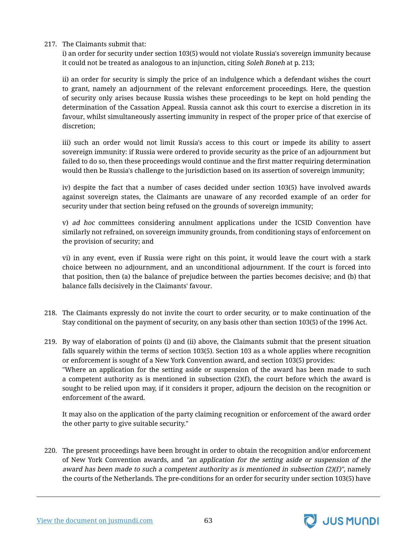217. The Claimants submit that:

i) an order for security under section 103(5) would not violate Russia's sovereign immunity because it could not be treated as analogous to an injunction, citing Soleh Boneh at p. 213;

ii) an order for security is simply the price of an indulgence which a defendant wishes the court to grant, namely an adjournment of the relevant enforcement proceedings. Here, the question of security only arises because Russia wishes these proceedings to be kept on hold pending the determination of the Cassation Appeal. Russia cannot ask this court to exercise a discretion in its favour, whilst simultaneously asserting immunity in respect of the proper price of that exercise of discretion;

iii) such an order would not limit Russia's access to this court or impede its ability to assert sovereign immunity: if Russia were ordered to provide security as the price of an adjournment but failed to do so, then these proceedings would continue and the first matter requiring determination would then be Russia's challenge to the jurisdiction based on its assertion of sovereign immunity;

iv) despite the fact that a number of cases decided under section 103(5) have involved awards against sovereign states, the Claimants are unaware of any recorded example of an order for security under that section being refused on the grounds of sovereign immunity;

v) ad hoc committees considering annulment applications under the ICSID Convention have similarly not refrained, on sovereign immunity grounds, from conditioning stays of enforcement on the provision of security; and

vi) in any event, even if Russia were right on this point, it would leave the court with a stark choice between no adjournment, and an unconditional adjournment. If the court is forced into that position, then (a) the balance of prejudice between the parties becomes decisive; and (b) that balance falls decisively in the Claimants' favour.

- 218. The Claimants expressly do not invite the court to order security, or to make continuation of the Stay conditional on the payment of security, on any basis other than section 103(5) of the 1996 Act.
- 219. By way of elaboration of points (i) and (ii) above, the Claimants submit that the present situation falls squarely within the terms of section 103(5). Section 103 as a whole applies where recognition or enforcement is sought of a New York Convention award, and section 103(5) provides: "Where an application for the setting aside or suspension of the award has been made to such a competent authority as is mentioned in subsection (2)(f), the court before which the award is sought to be relied upon may, if it considers it proper, adjourn the decision on the recognition or enforcement of the award.

It may also on the application of the party claiming recognition or enforcement of the award order the other party to give suitable security."

220. The present proceedings have been brought in order to obtain the recognition and/or enforcement of New York Convention awards, and "an application for the setting aside or suspension of the award has been made to such <sup>a</sup> competent authority as is mentioned in subsection (2)(f)", namely the courts of the Netherlands. The pre-conditions for an order for security under section 103(5) have

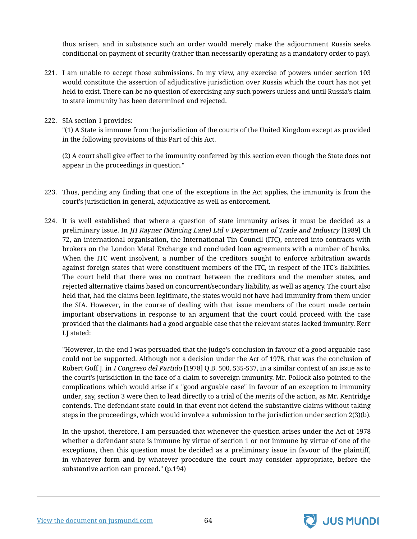thus arisen, and in substance such an order would merely make the adjournment Russia seeks conditional on payment of security (rather than necessarily operating as a mandatory order to pay).

- 221. I am unable to accept those submissions. In my view, any exercise of powers under section 103 would constitute the assertion of adjudicative jurisdiction over Russia which the court has not yet held to exist. There can be no question of exercising any such powers unless and until Russia's claim to state immunity has been determined and rejected.
- 222. SIA section 1 provides:

"(1) A State is immune from the jurisdiction of the courts of the United Kingdom except as provided in the following provisions of this Part of this Act.

(2) A court shall give effect to the immunity conferred by this section even though the State does not appear in the proceedings in question."

- 223. Thus, pending any finding that one of the exceptions in the Act applies, the immunity is from the court's jurisdiction in general, adjudicative as well as enforcement.
- 224. It is well established that where a question of state immunity arises it must be decided as a preliminary issue. In JH Rayner (Mincing Lane) Ltd <sup>v</sup> Department of Trade and Industry [1989] Ch 72, an international organisation, the International Tin Council (ITC), entered into contracts with brokers on the London Metal Exchange and concluded loan agreements with a number of banks. When the ITC went insolvent, a number of the creditors sought to enforce arbitration awards against foreign states that were constituent members of the ITC, in respect of the ITC's liabilities. The court held that there was no contract between the creditors and the member states, and rejected alternative claims based on concurrent/secondary liability, as well as agency. The court also held that, had the claims been legitimate, the states would not have had immunity from them under the SIA. However, in the course of dealing with that issue members of the court made certain important observations in response to an argument that the court could proceed with the case provided that the claimants had a good arguable case that the relevant states lacked immunity. Kerr LJ stated:

"However, in the end I was persuaded that the judge's conclusion in favour of a good arguable case could not be supported. Although not a decision under the Act of 1978, that was the conclusion of Robert Goff J. in *I Congreso del Partido* [1978] Q.B. 500, 535-537, in a similar context of an issue as to the court's jurisdiction in the face of a claim to sovereign immunity. Mr. Pollock also pointed to the complications which would arise if a "good arguable case" in favour of an exception to immunity under, say, section 3 were then to lead directly to a trial of the merits of the action, as Mr. Kentridge contends. The defendant state could in that event not defend the substantive claims without taking steps in the proceedings, which would involve a submission to the jurisdiction under section 2(3)(b).

In the upshot, therefore, I am persuaded that whenever the question arises under the Act of 1978 whether a defendant state is immune by virtue of section 1 or not immune by virtue of one of the exceptions, then this question must be decided as a preliminary issue in favour of the plaintiff, in whatever form and by whatever procedure the court may consider appropriate, before the substantive action can proceed." (p.194)

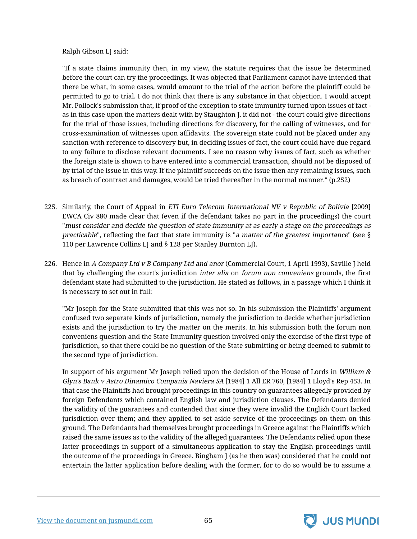Ralph Gibson LJ said:

"If a state claims immunity then, in my view, the statute requires that the issue be determined before the court can try the proceedings. It was objected that Parliament cannot have intended that there be what, in some cases, would amount to the trial of the action before the plaintiff could be permitted to go to trial. I do not think that there is any substance in that objection. I would accept Mr. Pollock's submission that, if proof of the exception to state immunity turned upon issues of fact as in this case upon the matters dealt with by Staughton J. it did not - the court could give directions for the trial of those issues, including directions for discovery, for the calling of witnesses, and for cross-examination of witnesses upon affidavits. The sovereign state could not be placed under any sanction with reference to discovery but, in deciding issues of fact, the court could have due regard to any failure to disclose relevant documents. I see no reason why issues of fact, such as whether the foreign state is shown to have entered into a commercial transaction, should not be disposed of by trial of the issue in this way. If the plaintiff succeeds on the issue then any remaining issues, such as breach of contract and damages, would be tried thereafter in the normal manner." (p.252)

- 225. Similarly, the Court of Appeal in ETI Euro Telecom International NV <sup>v</sup> Republic of Bolivia [2009] EWCA Civ 880 made clear that (even if the defendant takes no part in the proceedings) the court "must consider and decide the question of state immunity at as early <sup>a</sup> stage on the proceedings as practicable", reflecting the fact that state immunity is "<sup>a</sup> matter of the greatest importance" (see § 110 per Lawrence Collins LJ and § 128 per Stanley Burnton LJ).
- 226. Hence in *A Company Ltd v B Company Ltd and anor* (Commercial Court, 1 April 1993), Saville J held that by challenging the court's jurisdiction *inter alia* on *forum non conveniens* grounds, the first defendant state had submitted to the jurisdiction. He stated as follows, in a passage which I think it is necessary to set out in full:

"Mr Joseph for the State submitted that this was not so. In his submission the Plaintiffs' argument confused two separate kinds of jurisdiction, namely the jurisdiction to decide whether jurisdiction exists and the jurisdiction to try the matter on the merits. In his submission both the forum non conveniens question and the State Immunity question involved only the exercise of the first type of jurisdiction, so that there could be no question of the State submitting or being deemed to submit to the second type of jurisdiction.

In support of his argument Mr Joseph relied upon the decision of the House of Lords in William & Glyn's Bank <sup>v</sup> Astro Dinamico Compania Naviera SA [1984] 1 All ER 760, [1984] 1 Lloyd's Rep 453. In that case the Plaintiffs had brought proceedings in this country on guarantees allegedly provided by foreign Defendants which contained English law and jurisdiction clauses. The Defendants denied the validity of the guarantees and contended that since they were invalid the English Court lacked jurisdiction over them; and they applied to set aside service of the proceedings on them on this ground. The Defendants had themselves brought proceedings in Greece against the Plaintiffs which raised the same issues as to the validity of the alleged guarantees. The Defendants relied upon these latter proceedings in support of a simultaneous application to stay the English proceedings until the outcome of the proceedings in Greece. Bingham J (as he then was) considered that he could not entertain the latter application before dealing with the former, for to do so would be to assume a

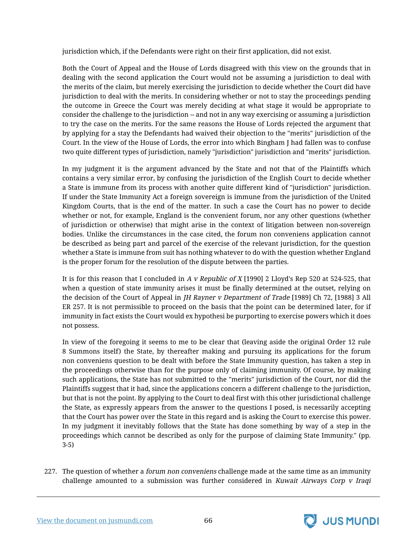jurisdiction which, if the Defendants were right on their first application, did not exist.

Both the Court of Appeal and the House of Lords disagreed with this view on the grounds that in dealing with the second application the Court would not be assuming a jurisdiction to deal with the merits of the claim, but merely exercising the jurisdiction to decide whether the Court did have jurisdiction to deal with the merits. In considering whether or not to stay the proceedings pending the outcome in Greece the Court was merely deciding at what stage it would be appropriate to consider the challenge to the jurisdiction -- and not in any way exercising or assuming a jurisdiction to try the case on the merits. For the same reasons the House of Lords rejected the argument that by applying for a stay the Defendants had waived their objection to the "merits" jurisdiction of the Court. In the view of the House of Lords, the error into which Bingham J had fallen was to confuse two quite different types of jurisdiction, namely "jurisdiction" jurisdiction and "merits" jurisdiction.

In my judgment it is the argument advanced by the State and not that of the Plaintiffs which contains a very similar error, by confusing the jurisdiction of the English Court to decide whether a State is immune from its process with another quite different kind of "jurisdiction" jurisdiction. If under the State Immunity Act a foreign sovereign is immune from the jurisdiction of the United Kingdom Courts, that is the end of the matter. In such a case the Court has no power to decide whether or not, for example, England is the convenient forum, nor any other questions (whether of jurisdiction or otherwise) that might arise in the context of litigation between non-sovereign bodies. Unlike the circumstances in the case cited, the forum non conveniens application cannot be described as being part and parcel of the exercise of the relevant jurisdiction, for the question whether a State is immune from suit has nothing whatever to do with the question whether England is the proper forum for the resolution of the dispute between the parties.

It is for this reason that I concluded in A v Republic of X [1990] 2 Lloyd's Rep 520 at 524-525, that when a question of state immunity arises it must be finally determined at the outset, relying on the decision of the Court of Appeal in *JH Rayner v Department of Trade* [1989] Ch 72, [1988] 3 All ER 257. It is not permissible to proceed on the basis that the point can be determined later, for if immunity in fact exists the Court would ex hypothesi be purporting to exercise powers which it does not possess.

In view of the foregoing it seems to me to be clear that (leaving aside the original Order 12 rule 8 Summons itself) the State, by thereafter making and pursuing its applications for the forum non conveniens question to be dealt with before the State Immunity question, has taken a step in the proceedings otherwise than for the purpose only of claiming immunity. Of course, by making such applications, the State has not submitted to the "merits" jurisdiction of the Court, nor did the Plaintiffs suggest that it had, since the applications concern a different challenge to the jurisdiction, but that is not the point. By applying to the Court to deal first with this other jurisdictional challenge the State, as expressly appears from the answer to the questions I posed, is necessarily accepting that the Court has power over the State in this regard and is asking the Court to exercise this power. In my judgment it inevitably follows that the State has done something by way of a step in the proceedings which cannot be described as only for the purpose of claiming State Immunity." (pp. 3-5)

227. The question of whether a *forum non conveniens* challenge made at the same time as an immunity challenge amounted to a submission was further considered in Kuwait Airways Corp  $v$  Iraqi

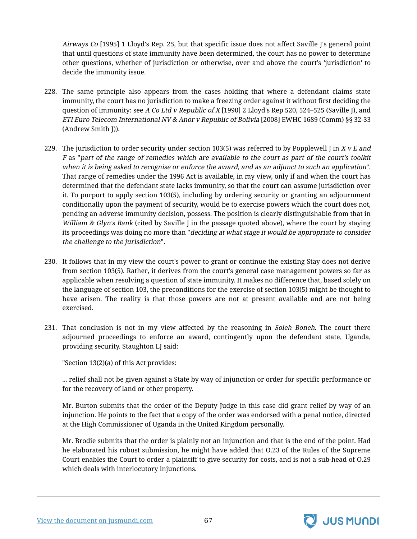Airways Co [1995] 1 Lloyd's Rep. 25, but that specific issue does not affect Saville J's general point that until questions of state immunity have been determined, the court has no power to determine other questions, whether of jurisdiction or otherwise, over and above the court's 'jurisdiction' to decide the immunity issue.

- 228. The same principle also appears from the cases holding that where a defendant claims state immunity, the court has no jurisdiction to make a freezing order against it without first deciding the question of immunity: see A Co Ltd v Republic of X [1990] 2 Lloyd's Rep 520, 524–525 (Saville J), and ETI Euro Telecom International NV & Anor <sup>v</sup> Republic of Bolivia [2008] EWHC 1689 (Comm) §§ 32-33 (Andrew Smith J)).
- 229. The jurisdiction to order security under section 103(5) was referred to by Popplewell J in  $X$  v  $E$  and <sup>F</sup> as "part of the range of remedies which are available to the court as part of the court's toolkit when it is being asked to recognise or enforce the award, and as an adjunct to such an application". That range of remedies under the 1996 Act is available, in my view, only if and when the court has determined that the defendant state lacks immunity, so that the court can assume jurisdiction over it. To purport to apply section 103(5), including by ordering security or granting an adjournment conditionally upon the payment of security, would be to exercise powers which the court does not, pending an adverse immunity decision, possess. The position is clearly distinguishable from that in William & Glyn's Bank (cited by Saville  $\overline{I}$  in the passage quoted above), where the court by staying its proceedings was doing no more than "deciding at what stage it would be appropriate to consider the challenge to the jurisdiction".
- 230. It follows that in my view the court's power to grant or continue the existing Stay does not derive from section 103(5). Rather, it derives from the court's general case management powers so far as applicable when resolving a question of state immunity. It makes no difference that, based solely on the language of section 103, the preconditions for the exercise of section 103(5) might be thought to have arisen. The reality is that those powers are not at present available and are not being exercised.
- 231. That conclusion is not in my view affected by the reasoning in *Soleh Boneh.* The court there adjourned proceedings to enforce an award, contingently upon the defendant state, Uganda, providing security. Staughton LJ said:

"Section 13(2)(a) of this Act provides:

... relief shall not be given against a State by way of injunction or order for specific performance or for the recovery of land or other property.

Mr. Burton submits that the order of the Deputy Judge in this case did grant relief by way of an injunction. He points to the fact that a copy of the order was endorsed with a penal notice, directed at the High Commissioner of Uganda in the United Kingdom personally.

Mr. Brodie submits that the order is plainly not an injunction and that is the end of the point. Had he elaborated his robust submission, he might have added that O.23 of the Rules of the Supreme Court enables the Court to order a plaintiff to give security for costs, and is not a sub-head of O.29 which deals with interlocutory injunctions.



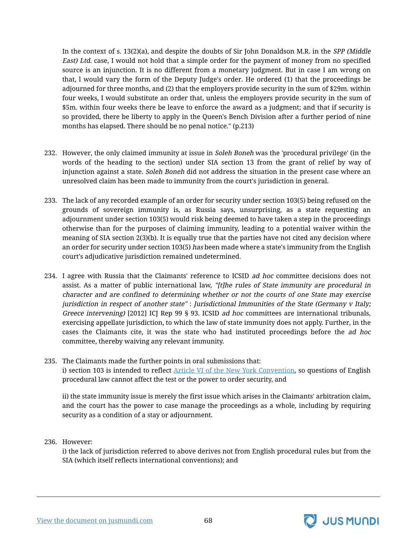In the context of s. 13(2)(a), and despite the doubts of Sir John Donaldson M.R. in the SPP (Middle East) Ltd. case, I would not hold that a simple order for the payment of money from no specified source is an injunction. It is no different from a monetary judgment. But in case I am wrong on that, l would vary the form of the Deputy Judge's order. He ordered (1) that the proceedings be adjourned for three months, and (2) that the employers provide security in the sum of \$29m. within four weeks, I would substitute an order that, unless the employers provide security in the sum of \$5m. within four weeks there be leave to enforce the award as a judgment; and that if security is so provided, there be liberty to apply in the Queen's Bench Division after a further period of nine months has elapsed. There should be no penal notice." (p.213)

- 232. However, the only claimed immunity at issue in *Soleh Boneh* was the 'procedural privilege' (in the words of the heading to the section) under SIA section 13 from the grant of relief by way of injunction against a state. Soleh Boneh did not address the situation in the present case where an unresolved claim has been made to immunity from the court's jurisdiction in general.
- 233. The lack of any recorded example of an order for security under section 103(5) being refused on the grounds of sovereign immunity is, as Russia says, unsurprising, as a state requesting an adjournment under section 103(5) would risk being deemed to have taken a step in the proceedings otherwise than for the purposes of claiming immunity, leading to a potential waiver within the meaning of SIA section 2(3)(b). It is equally true that the parties have not cited any decision where an order for security under section 103(5) has been made where a state's immunity from the English court's adjudicative jurisdiction remained undetermined.
- 234. I agree with Russia that the Claimants' reference to ICSID *ad hoc* committee decisions does not assist. As a matter of public international law, "[t]he rules of State immunity are procedural in character and are confined to determining whether or not the courts of one State may exercise jurisdiction in respect of another state" : Jurisdictional Immunities of the State (Germany <sup>v</sup> Italy; Greece intervening) [2012] ICJ Rep 99 § 93. ICSID ad hoc committees are international tribunals, exercising appellate jurisdiction, to which the law of state immunity does not apply. Further, in the cases the Claimants cite, it was the state who had instituted proceedings before the ad hoc committee, thereby waiving any relevant immunity.
- 235. The Claimants made the further points in oral submissions that: i) section 103 is intended to reflect [Article VI of the New York Convention,](https://jusmundi.com/en/document/h/QU40cHZUZkJRUURFNUNJWUNndHJFdFdrdHhZSWZBTE04d2NyNTNwTzd2V2duWUJtOHZza3ltZUJSaUhVNXdFOExaYVowY0tWcnZHNGM1NHE3aHVGSmExb3B0MjRsUXpSazdZZk9PM0hHNWpvL2RJWTdHY3VBam44cllUUTc3bDF6TWkwY1ZCOXI5RGg5S0ZhRmN3WlBIeThCSGZUalVXUU9EQ2c1bGpHYWhremdFdjZoYVFraTFaeWMzQTcydEtaRXBQYnBZUjllOHF6ZEdZc1BMcDhwQT09) so questions of English procedural law cannot affect the test or the power to order security, and

ii) the state immunity issue is merely the first issue which arises in the Claimants' arbitration claim, and the court has the power to case manage the proceedings as a whole, including by requiring security as a condition of a stay or adjournment.

236. However:

i) the lack of jurisdiction referred to above derives not from English procedural rules but from the SIA (which itself reflects international conventions); and

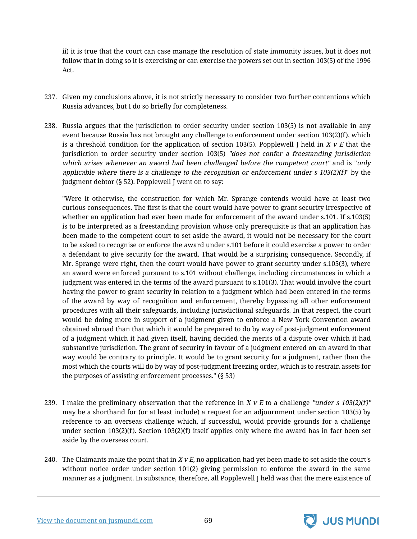ii) it is true that the court can case manage the resolution of state immunity issues, but it does not follow that in doing so it is exercising or can exercise the powers set out in section 103(5) of the 1996 Act.

- 237. Given my conclusions above, it is not strictly necessary to consider two further contentions which Russia advances, but I do so briefly for completeness.
- 238. Russia argues that the jurisdiction to order security under section 103(5) is not available in any event because Russia has not brought any challenge to enforcement under section 103(2)(f), which is a threshold condition for the application of section 103(5). Popplewell I held in X  $v E$  that the jurisdiction to order security under section 103(5) "does not confer a freestanding jurisdiction which arises whenever an award had been challenged before the competent court" and is "only applicable where there is a challenge to the recognition or enforcement under  $s$  103(2)(f)" by the judgment debtor (§ 52). Popplewell J went on to say:

"Were it otherwise, the construction for which Mr. Sprange contends would have at least two curious consequences. The first is that the court would have power to grant security irrespective of whether an application had ever been made for enforcement of the award under s.101. If s.103(5) is to be interpreted as a freestanding provision whose only prerequisite is that an application has been made to the competent court to set aside the award, it would not be necessary for the court to be asked to recognise or enforce the award under s.101 before it could exercise a power to order a defendant to give security for the award. That would be a surprising consequence. Secondly, if Mr. Sprange were right, then the court would have power to grant security under s.105(3), where an award were enforced pursuant to s.101 without challenge, including circumstances in which a judgment was entered in the terms of the award pursuant to s.101(3). That would involve the court having the power to grant security in relation to a judgment which had been entered in the terms of the award by way of recognition and enforcement, thereby bypassing all other enforcement procedures with all their safeguards, including jurisdictional safeguards. In that respect, the court would be doing more in support of a judgment given to enforce a New York Convention award obtained abroad than that which it would be prepared to do by way of post-judgment enforcement of a judgment which it had given itself, having decided the merits of a dispute over which it had substantive jurisdiction. The grant of security in favour of a judgment entered on an award in that way would be contrary to principle. It would be to grant security for a judgment, rather than the most which the courts will do by way of post-judgment freezing order, which is to restrain assets for the purposes of assisting enforcement processes." (§ 53)

- 239. I make the preliminary observation that the reference in *X v E* to a challenge *"under s 103(2)(f)"* may be a shorthand for (or at least include) a request for an adjournment under section 103(5) by reference to an overseas challenge which, if successful, would provide grounds for a challenge under section 103(2)(f). Section 103(2)(f) itself applies only where the award has in fact been set aside by the overseas court.
- 240. The Claimants make the point that in  $X$  v  $E$ , no application had yet been made to set aside the court's without notice order under section 101(2) giving permission to enforce the award in the same manner as a judgment. In substance, therefore, all Popplewell J held was that the mere existence of

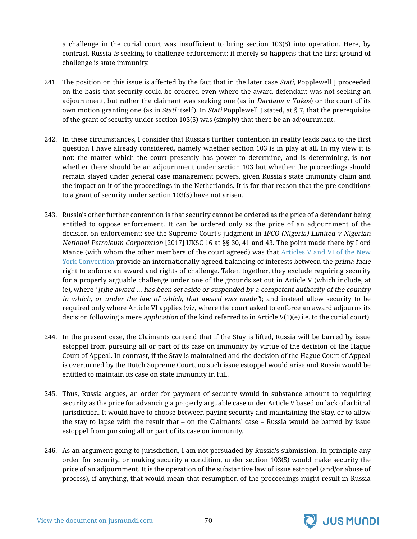a challenge in the curial court was insufficient to bring section 103(5) into operation. Here, by contrast, Russia is seeking to challenge enforcement: it merely so happens that the first ground of challenge is state immunity.

- 241. The position on this issue is affected by the fact that in the later case *Stati,* Popplewell J proceeded on the basis that security could be ordered even where the award defendant was not seeking an adjournment, but rather the claimant was seeking one (as in Dardana v Yukos) or the court of its own motion granting one (as in *Stati* itself). In *Stati* Popplewell J stated, at § 7, that the prerequisite of the grant of security under section 103(5) was (simply) that there be an adjournment.
- 242. In these circumstances, I consider that Russia's further contention in reality leads back to the first question I have already considered, namely whether section 103 is in play at all. In my view it is not: the matter which the court presently has power to determine, and is determining, is not whether there should be an adjournment under section 103 but whether the proceedings should remain stayed under general case management powers, given Russia's state immunity claim and the impact on it of the proceedings in the Netherlands. It is for that reason that the pre-conditions to a grant of security under section 103(5) have not arisen.
- 243. Russia's other further contention is that security cannot be ordered as the price of a defendant being entitled to oppose enforcement. It can be ordered only as the price of an adjournment of the decision on enforcement: see the Supreme Court's judgment in IPCO (Nigeria) Limited v Nigerian National Petroleum Corporation [2017] UKSC 16 at §§ 30, 41 and 43. The point made there by Lord Mance (with whom the other members of the court agreed) was that  $\text{Articles } V$  and VI of the New [York Convention](https://jusmundi.com/en/document/h/QU40cHZUZkJRUURFNUNJWUNndHJFdFdrdHhZSWZBTE04d2NyNTNwTzd2V2duWUJtOHZza3ltZUJSaUhVNXdFOExaYVowY0tWcnZHNGM1NHE3aHVGSmExb3B0MjRsUXpSazdZZk9PM0hHNWpvL2RJWTdHY3VBam44cllUUTc3bDF6TWkwY1ZCOXI5RGg5S0ZhRmN3WlBIeThCSGZUalVXUU9EQ2c1bGpHYWhremdFdjZoYVFraTFaeWMzQTcydEtacnNuS3hhTmhydE9JbE5HRmlrYjNvZz09) provide an internationally-agreed balancing of interests between the prima facie right to enforce an award and rights of challenge. Taken together, they exclude requiring security for a properly arguable challenge under one of the grounds set out in Article V (which include, at (e), where "[t]he award … has been set aside or suspended by <sup>a</sup> competent authority of the country in which, or under the law of which, that award was made"); and instead allow security to be required only where Article VI applies (viz, where the court asked to enforce an award adjourns its decision following a mere *application* of the kind referred to in Article V(1)(e) i.e. to the curial court).
- 244. In the present case, the Claimants contend that if the Stay is lifted, Russia will be barred by issue estoppel from pursuing all or part of its case on immunity by virtue of the decision of the Hague Court of Appeal. In contrast, if the Stay is maintained and the decision of the Hague Court of Appeal is overturned by the Dutch Supreme Court, no such issue estoppel would arise and Russia would be entitled to maintain its case on state immunity in full.
- 245. Thus, Russia argues, an order for payment of security would in substance amount to requiring security as the price for advancing a properly arguable case under Article V based on lack of arbitral jurisdiction. It would have to choose between paying security and maintaining the Stay, or to allow the stay to lapse with the result that – on the Claimants' case – Russia would be barred by issue estoppel from pursuing all or part of its case on immunity.
- 246. As an argument going to jurisdiction, I am not persuaded by Russia's submission. In principle any order for security, or making security a condition, under section 103(5) would make security the price of an adjournment. It is the operation of the substantive law of issue estoppel (and/or abuse of process), if anything, that would mean that resumption of the proceedings might result in Russia



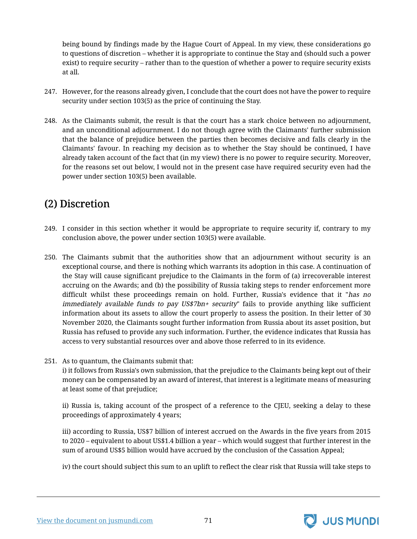being bound by findings made by the Hague Court of Appeal. In my view, these considerations go to questions of discretion – whether it is appropriate to continue the Stay and (should such a power exist) to require security – rather than to the question of whether a power to require security exists at all.

- 247. However, for the reasons already given, I conclude that the court does not have the power to require security under section 103(5) as the price of continuing the Stay.
- 248. As the Claimants submit, the result is that the court has a stark choice between no adjournment, and an unconditional adjournment. I do not though agree with the Claimants' further submission that the balance of prejudice between the parties then becomes decisive and falls clearly in the Claimants' favour. In reaching my decision as to whether the Stay should be continued, I have already taken account of the fact that (in my view) there is no power to require security. Moreover, for the reasons set out below, I would not in the present case have required security even had the power under section 103(5) been available.

## (2) Discretion

- 249. I consider in this section whether it would be appropriate to require security if, contrary to my conclusion above, the power under section 103(5) were available.
- 250. The Claimants submit that the authorities show that an adjournment without security is an exceptional course, and there is nothing which warrants its adoption in this case. A continuation of the Stay will cause significant prejudice to the Claimants in the form of (a) irrecoverable interest accruing on the Awards; and (b) the possibility of Russia taking steps to render enforcement more difficult whilst these proceedings remain on hold. Further, Russia's evidence that it "has no immediately available funds to pay  $US$7bh+$  security" fails to provide anything like sufficient information about its assets to allow the court properly to assess the position. In their letter of 30 November 2020, the Claimants sought further information from Russia about its asset position, but Russia has refused to provide any such information. Further, the evidence indicates that Russia has access to very substantial resources over and above those referred to in its evidence.
- 251. As to quantum, the Claimants submit that:

i) it follows from Russia's own submission, that the prejudice to the Claimants being kept out of their money can be compensated by an award of interest, that interest is a legitimate means of measuring at least some of that prejudice;

ii) Russia is, taking account of the prospect of a reference to the CJEU, seeking a delay to these proceedings of approximately 4 years;

iii) according to Russia, US\$7 billion of interest accrued on the Awards in the five years from 2015 to 2020 – equivalent to about US\$1.4 billion a year – which would suggest that further interest in the sum of around US\$5 billion would have accrued by the conclusion of the Cassation Appeal;

iv) the court should subject this sum to an uplift to reflect the clear risk that Russia will take steps to

[View the document on jusmundi.com](https://jusmundi.com/en/document/decision/en-veteran-petroleum-limited-v-the-russian-federation-judgment-of-the-high-court-of-justice-of-england-and-wales-2021-ewhc-894-wednesday-14th-april-2021) 71

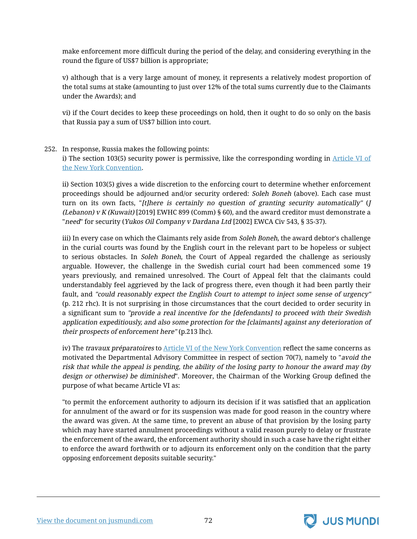make enforcement more difficult during the period of the delay, and considering everything in the round the figure of US\$7 billion is appropriate;

v) although that is a very large amount of money, it represents a relatively modest proportion of the total sums at stake (amounting to just over 12% of the total sums currently due to the Claimants under the Awards); and

vi) if the Court decides to keep these proceedings on hold, then it ought to do so only on the basis that Russia pay a sum of US\$7 billion into court.

## 252. In response, Russia makes the following points:

i) The section 103(5) security power is permissive, like the corresponding wording in [Article VI of](https://jusmundi.com/en/document/h/QU40cHZUZkJRUURFNUNJWUNndHJFdFdrdHhZSWZBTE04d2NyNTNwTzd2V2duWUJtOHZza3ltZUJSaUhVNXdFOExaYVowY0tWcnZHNGM1NHE3aHVGSmExb3B0MjRsUXpSazdZZk9PM0hHNWpvL2RJWTdHY3VBam44cllUUTc3bDF6TWkwY1ZCOXI5RGg5S0ZhRmN3WlBIeThCSGZUalVXUU9EQ2c1bGpHYWhremdFdjZoYVFraTFaeWMzQTcydEtaRXBQYnBZUjllOHF6ZEdZc1BMcDhwQT09) [the New York Convention](https://jusmundi.com/en/document/h/QU40cHZUZkJRUURFNUNJWUNndHJFdFdrdHhZSWZBTE04d2NyNTNwTzd2V2duWUJtOHZza3ltZUJSaUhVNXdFOExaYVowY0tWcnZHNGM1NHE3aHVGSmExb3B0MjRsUXpSazdZZk9PM0hHNWpvL2RJWTdHY3VBam44cllUUTc3bDF6TWkwY1ZCOXI5RGg5S0ZhRmN3WlBIeThCSGZUalVXUU9EQ2c1bGpHYWhremdFdjZoYVFraTFaeWMzQTcydEtaRXBQYnBZUjllOHF6ZEdZc1BMcDhwQT09).

ii) Section 103(5) gives a wide discretion to the enforcing court to determine whether enforcement proceedings should be adjourned and/or security ordered: Soleh Boneh (above). Each case must turn on its own facts, "[t]here is certainly no question of granting security automatically" (J (Lebanon) v K (Kuwait) [2019] EWHC 899 (Comm) § 60), and the award creditor must demonstrate a "need" for security (Yukos Oil Company v Dardana Ltd [2002] EWCA Civ 543, § 35-37).

iii) In every case on which the Claimants rely aside from *Soleh Boneh*, the award debtor's challenge in the curial courts was found by the English court in the relevant part to be hopeless or subject to serious obstacles. In Soleh Boneh, the Court of Appeal regarded the challenge as seriously arguable. However, the challenge in the Swedish curial court had been commenced some 19 years previously, and remained unresolved. The Court of Appeal felt that the claimants could understandably feel aggrieved by the lack of progress there, even though it had been partly their fault, and "could reasonably expect the English Court to attempt to inject some sense of urgency" (p. 212 rhc). It is not surprising in those circumstances that the court decided to order security in a significant sum to "provide <sup>a</sup> real incentive for the [defendants] to proceed with their Swedish application expeditiously, and also some protection for the [claimants] against any deterioration of their prospects of enforcement here" (p.213 lhc).

iv) The travaux préparatoires to [Article VI of the New York Convention](https://jusmundi.com/en/document/h/QU40cHZUZkJRUURFNUNJWUNndHJFdFdrdHhZSWZBTE04d2NyNTNwTzd2V2duWUJtOHZza3ltZUJSaUhVNXdFOExaYVowY0tWcnZHNGM1NHE3aHVGSmExb3B0MjRsUXpSazdZZk9PM0hHNWpvL2RJWTdHY3VBam44cllUUTc3bDF6TWkwY1ZCOXI5RGg5S0ZhRmN3WlBIeThCSGZUalVXUU9EQ2c1bGpHYWhremdFdjZoYVFraTFaeWMzQTcydEtaRXBQYnBZUjllOHF6ZEdZc1BMcDhwQT09) reflect the same concerns as motivated the Departmental Advisory Committee in respect of section 70(7), namely to "avoid the risk that while the appeal is pending, the ability of the losing party to honour the award may (by design or otherwise) be diminished". Moreover, the Chairman of the Working Group defined the purpose of what became Article VI as:

"to permit the enforcement authority to adjourn its decision if it was satisfied that an application for annulment of the award or for its suspension was made for good reason in the country where the award was given. At the same time, to prevent an abuse of that provision by the losing party which may have started annulment proceedings without a valid reason purely to delay or frustrate the enforcement of the award, the enforcement authority should in such a case have the right either to enforce the award forthwith or to adjourn its enforcement only on the condition that the party opposing enforcement deposits suitable security."

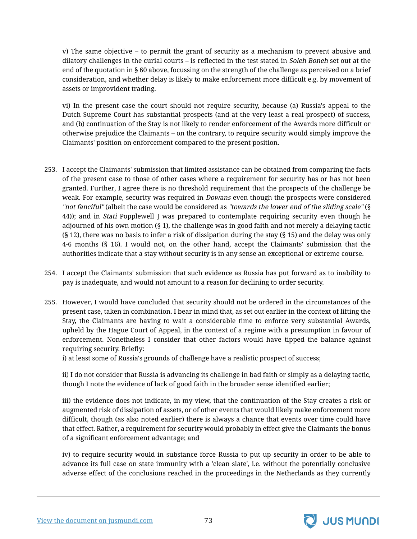v) The same objective – to permit the grant of security as a mechanism to prevent abusive and dilatory challenges in the curial courts – is reflected in the test stated in Soleh Boneh set out at the end of the quotation in § 60 above, focussing on the strength of the challenge as perceived on a brief consideration, and whether delay is likely to make enforcement more difficult e.g. by movement of assets or improvident trading.

vi) In the present case the court should not require security, because (a) Russia's appeal to the Dutch Supreme Court has substantial prospects (and at the very least a real prospect) of success, and (b) continuation of the Stay is not likely to render enforcement of the Awards more difficult or otherwise prejudice the Claimants – on the contrary, to require security would simply improve the Claimants' position on enforcement compared to the present position.

- 253. I accept the Claimants' submission that limited assistance can be obtained from comparing the facts of the present case to those of other cases where a requirement for security has or has not been granted. Further, I agree there is no threshold requirement that the prospects of the challenge be weak. For example, security was required in *Dowans* even though the prospects were considered "not fanciful" (albeit the case would be considered as "towards the lower end of the sliding scale" (§ 44)); and in *Stati* Popplewell J was prepared to contemplate requiring security even though he adjourned of his own motion (§ 1), the challenge was in good faith and not merely a delaying tactic (§ 12), there was no basis to infer a risk of dissipation during the stay (§ 15) and the delay was only 4-6 months (§ 16). I would not, on the other hand, accept the Claimants' submission that the authorities indicate that a stay without security is in any sense an exceptional or extreme course.
- 254. I accept the Claimants' submission that such evidence as Russia has put forward as to inability to pay is inadequate, and would not amount to a reason for declining to order security.
- 255. However, I would have concluded that security should not be ordered in the circumstances of the present case, taken in combination. I bear in mind that, as set out earlier in the context of lifting the Stay, the Claimants are having to wait a considerable time to enforce very substantial Awards, upheld by the Hague Court of Appeal, in the context of a regime with a presumption in favour of enforcement. Nonetheless I consider that other factors would have tipped the balance against requiring security. Briefly:

i) at least some of Russia's grounds of challenge have a realistic prospect of success;

ii) I do not consider that Russia is advancing its challenge in bad faith or simply as a delaying tactic, though I note the evidence of lack of good faith in the broader sense identified earlier;

iii) the evidence does not indicate, in my view, that the continuation of the Stay creates a risk or augmented risk of dissipation of assets, or of other events that would likely make enforcement more difficult, though (as also noted earlier) there is always a chance that events over time could have that effect. Rather, a requirement for security would probably in effect give the Claimants the bonus of a significant enforcement advantage; and

iv) to require security would in substance force Russia to put up security in order to be able to advance its full case on state immunity with a 'clean slate', i.e. without the potentially conclusive adverse effect of the conclusions reached in the proceedings in the Netherlands as they currently